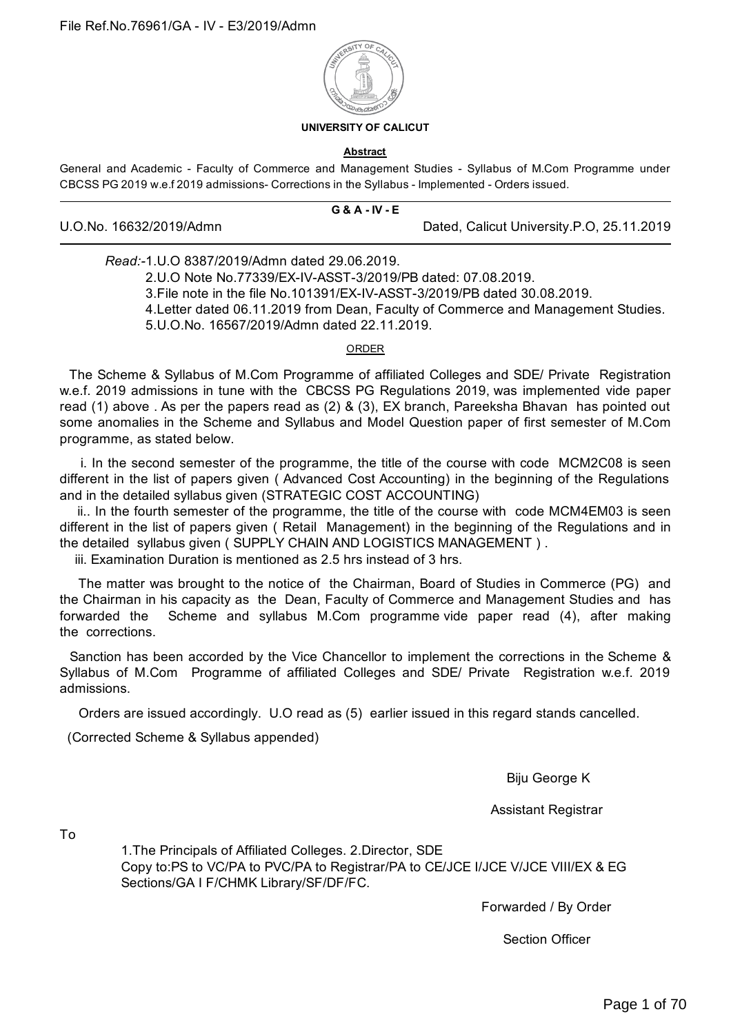

#### **UNIVERSITY OF CALICUT**

#### **Abstract**

General and Academic - Faculty of Commerce and Management Studies - Syllabus of M.Com Programme under CBCSS PG 2019 w.e.f 2019 admissions- Corrections in the Syllabus - Implemented - Orders issued.

|                         | $G$ & $A$ - IV - E |                                           |
|-------------------------|--------------------|-------------------------------------------|
| U.O.No. 16632/2019/Admn |                    | Dated, Calicut University.P.O, 25.11.2019 |

*Read:-*1.U.O 8387/2019/Admn dated 29.06.2019.

2.U.O Note No.77339/EX-IV-ASST-3/2019/PB dated: 07.08.2019. 3.File note in the file No.101391/EX-IV-ASST-3/2019/PB dated 30.08.2019. 4.Letter dated 06.11.2019 from Dean, Faculty of Commerce and Management Studies. 5.U.O.No. 16567/2019/Admn dated 22.11.2019.

ORDER

The Scheme & Syllabus of M.Com Programme of affiliated Colleges and SDE/ Private Registration w.e.f. 2019 admissions in tune with the CBCSS PG Regulations 2019, was implemented vide paper read (1) above . As per the papers read as (2) & (3), EX branch, Pareeksha Bhavan has pointed out some anomalies in the Scheme and Syllabus and Model Question paper of first semester of M.Com programme, as stated below.

i. In the second semester of the programme, the title of the course with code MCM2C08 is seen different in the list of papers given ( Advanced Cost Accounting) in the beginning of the Regulations and in the detailed syllabus given (STRATEGIC COST ACCOUNTING)

ii.. In the fourth semester of the programme, the title of the course with code MCM4EM03 is seen different in the list of papers given ( Retail Management) in the beginning of the Regulations and in the detailed syllabus given ( SUPPLY CHAIN AND LOGISTICS MANAGEMENT ) .

iii. Examination Duration is mentioned as 2.5 hrs instead of 3 hrs.

The matter was brought to the notice of the Chairman, Board of Studies in Commerce (PG) and the Chairman in his capacity as the Dean, Faculty of Commerce and Management Studies and has forwarded the Scheme and syllabus M.Com programme vide paper read (4), after making the corrections.

Sanction has been accorded by the Vice Chancellor to implement the corrections in the Scheme & Syllabus of M.Com Programme of affiliated Colleges and SDE/ Private Registration w.e.f. 2019 admissions.

Orders are issued accordingly. U.O read as (5) earlier issued in this regard stands cancelled.

(Corrected Scheme & Syllabus appended)

Biju George K

Assistant Registrar

To

1.The Principals of Affiliated Colleges. 2.Director, SDE Copy to:PS to VC/PA to PVC/PA to Registrar/PA to CE/JCE I/JCE V/JCE VIII/EX & EG Sections/GA I F/CHMK Library/SF/DF/FC.

Forwarded / By Order

Section Officer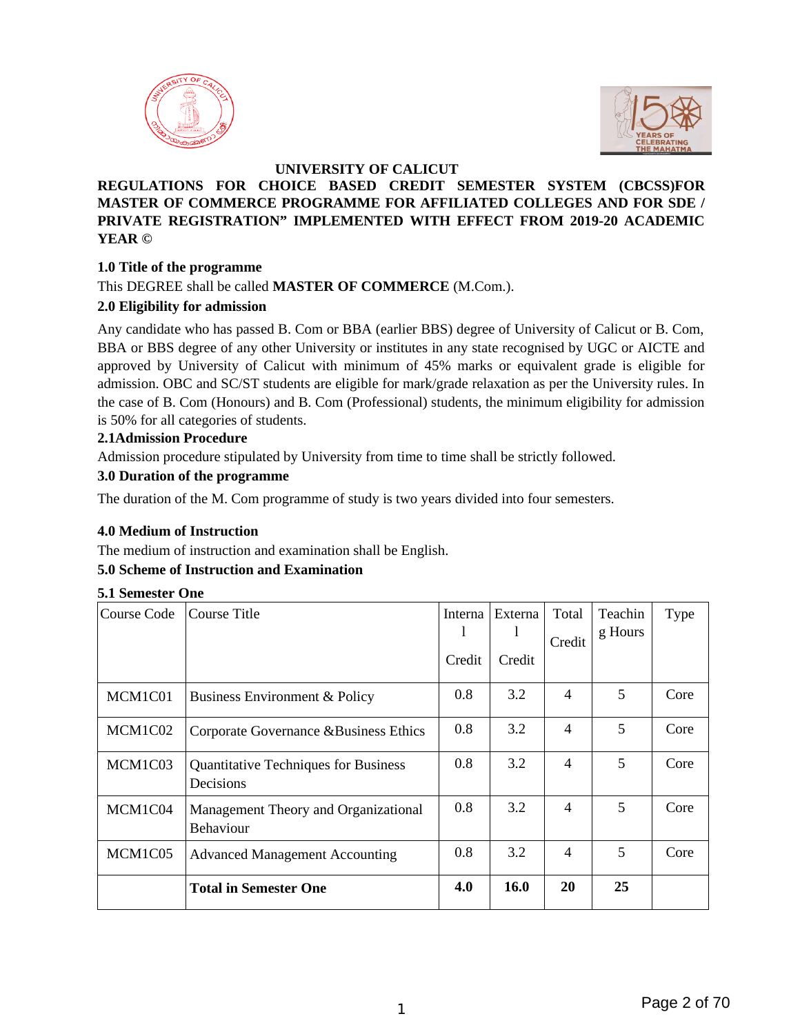



### **UNIVERSITY OF CALICUT**

### **REGULATIONS FOR CHOICE BASED CREDIT SEMESTER SYSTEM (CBCSS)FOR MASTER OF COMMERCE PROGRAMME FOR AFFILIATED COLLEGES AND FOR SDE / PRIVATE REGISTRATION" IMPLEMENTED WITH EFFECT FROM 2019-20 ACADEMIC YEAR ©**

#### **1.0 Title of the programme**

This DEGREE shall be called **MASTER OF COMMERCE** (M.Com.).

#### **2.0 Eligibility for admission**

Any candidate who has passed B. Com or BBA (earlier BBS) degree of University of Calicut or B. Com, BBA or BBS degree of any other University or institutes in any state recognised by UGC or AICTE and approved by University of Calicut with minimum of 45% marks or equivalent grade is eligible for admission. OBC and SC/ST students are eligible for mark/grade relaxation as per the University rules. In the case of B. Com (Honours) and B. Com (Professional) students, the minimum eligibility for admission is 50% for all categories of students.

#### **2.1Admission Procedure**

Admission procedure stipulated by University from time to time shall be strictly followed.

#### **3.0 Duration of the programme**

The duration of the M. Com programme of study is two years divided into four semesters.

#### **4.0 Medium of Instruction**

The medium of instruction and examination shall be English.

### **5.0 Scheme of Instruction and Examination**

| <b>5.1 Semester One</b> |                                                          |               |               |                 |                    |      |
|-------------------------|----------------------------------------------------------|---------------|---------------|-----------------|--------------------|------|
| Course Code             | Course Title                                             | Interna<br>I. | Externa<br>I. | Total<br>Credit | Teachin<br>g Hours | Type |
|                         |                                                          | Credit        | Credit        |                 |                    |      |
| MCM1C01                 | <b>Business Environment &amp; Policy</b>                 | 0.8           | 3.2           | $\overline{4}$  | 5                  | Core |
| MCM1C02                 | Corporate Governance &Business Ethics                    | 0.8           | 3.2           | $\overline{4}$  | 5                  | Core |
| MCM1C03                 | <b>Quantitative Techniques for Business</b><br>Decisions | 0.8           | 3.2           | $\overline{4}$  | 5                  | Core |
| MCM1C04                 | Management Theory and Organizational<br>Behaviour        | 0.8           | 3.2           | $\overline{4}$  | 5                  | Core |
| MCM1C05                 | <b>Advanced Management Accounting</b>                    | 0.8           | 3.2           | $\overline{4}$  | 5                  | Core |
|                         | <b>Total in Semester One</b>                             | 4.0           | 16.0          | 20              | 25                 |      |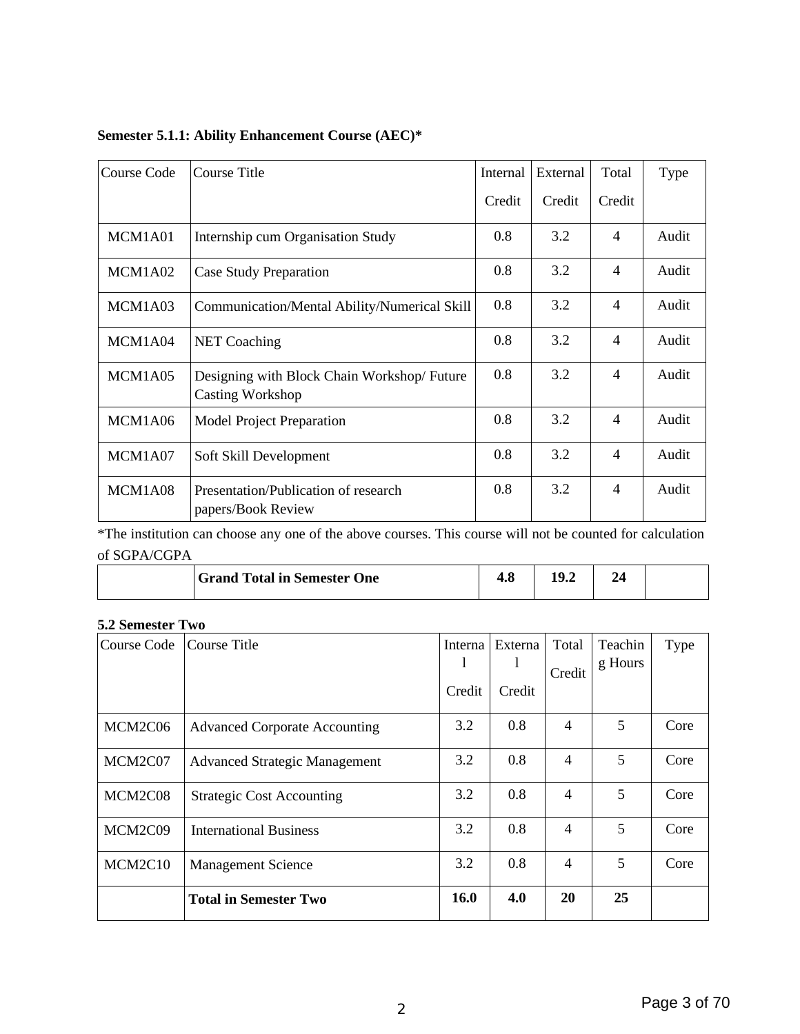| Course Code | Course Title                                                          | Internal | External | Total                    | <b>Type</b> |
|-------------|-----------------------------------------------------------------------|----------|----------|--------------------------|-------------|
|             |                                                                       | Credit   | Credit   | Credit                   |             |
| MCM1A01     | Internship cum Organisation Study                                     | 0.8      | 3.2      | 4                        | Audit       |
| MCM1A02     | <b>Case Study Preparation</b>                                         | 0.8      | 3.2      | 4                        | Audit       |
| MCM1A03     | Communication/Mental Ability/Numerical Skill                          | 0.8      | 3.2      | $\overline{4}$           | Audit       |
| MCM1A04     | <b>NET Coaching</b>                                                   | 0.8      | 3.2      | $\overline{\mathcal{A}}$ | Audit       |
| MCM1A05     | Designing with Block Chain Workshop/Future<br><b>Casting Workshop</b> | 0.8      | 3.2      | 4                        | Audit       |
| MCM1A06     | <b>Model Project Preparation</b>                                      | 0.8      | 3.2      | $\overline{4}$           | Audit       |
| MCM1A07     | Soft Skill Development                                                | 0.8      | 3.2      | $\overline{\mathcal{A}}$ | Audit       |
| MCM1A08     | Presentation/Publication of research<br>papers/Book Review            | 0.8      | 3.2      | 4                        | Audit       |

## **Semester 5.1.1: Ability Enhancement Course (AEC)\***

\*The institution can choose any one of the above courses. This course will not be counted for calculation of SGPA/CGPA

| <b>Grand Total in Semester One</b> | т. с |  |  |
|------------------------------------|------|--|--|
|                                    |      |  |  |

#### **5.2 Semester Two**

| Course Code | Course Title                         | Interna | Externa | Total          | Teachin<br>g Hours | <b>Type</b> |
|-------------|--------------------------------------|---------|---------|----------------|--------------------|-------------|
|             |                                      |         | T       | Credit         |                    |             |
|             |                                      | Credit  | Credit  |                |                    |             |
| MCM2C06     | <b>Advanced Corporate Accounting</b> | 3.2     | 0.8     | 4              | 5                  | Core        |
| MCM2C07     | Advanced Strategic Management        | 3.2     | 0.8     | $\overline{4}$ | 5                  | Core        |
| MCM2C08     | <b>Strategic Cost Accounting</b>     | 3.2     | 0.8     | $\overline{4}$ | 5                  | Core        |
| MCM2C09     | <b>International Business</b>        | 3.2     | 0.8     | $\overline{4}$ | 5                  | Core        |
| MCM2C10     | <b>Management Science</b>            | 3.2     | 0.8     | $\overline{4}$ | 5                  | Core        |
|             | <b>Total in Semester Two</b>         | 16.0    | 4.0     | 20             | 25                 |             |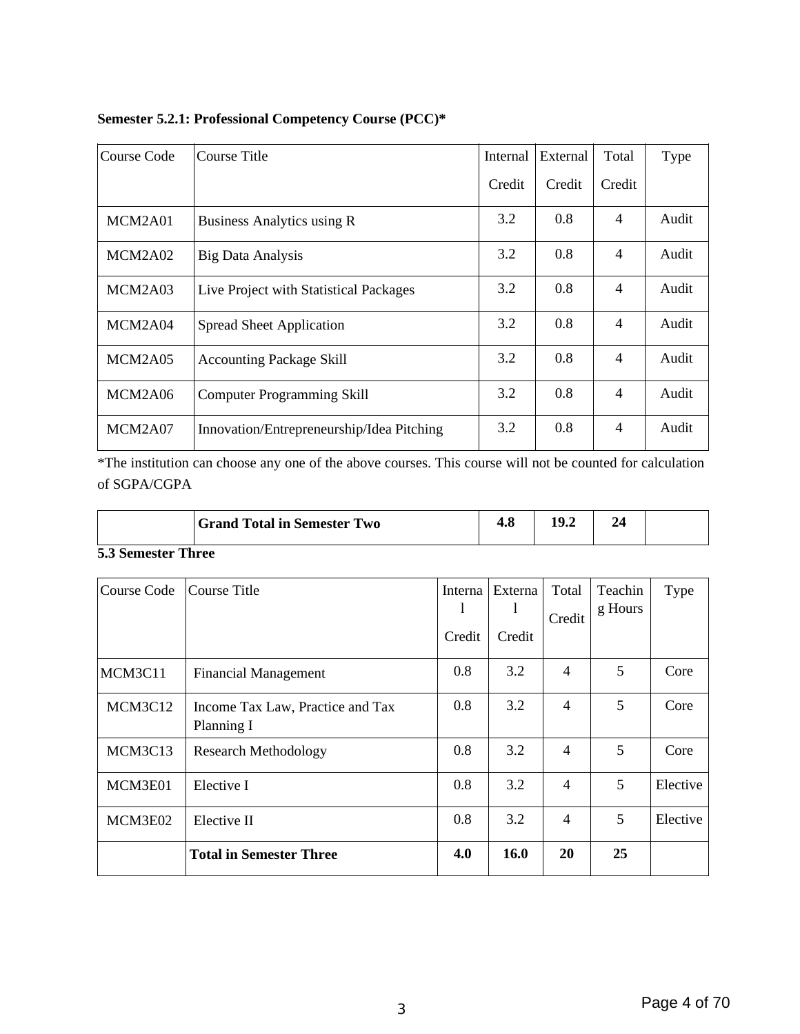| Semester 5.2.1: Professional Competency Course (PCC)* |  |  |
|-------------------------------------------------------|--|--|
|-------------------------------------------------------|--|--|

| Course Code | Course Title                              | <b>Internal</b> | External | Total          | Type  |
|-------------|-------------------------------------------|-----------------|----------|----------------|-------|
|             |                                           | Credit          | Credit   | Credit         |       |
| MCM2A01     | Business Analytics using R                | 3.2             | 0.8      | $\overline{4}$ | Audit |
| MCM2A02     | <b>Big Data Analysis</b>                  | 3.2             | 0.8      | $\overline{4}$ | Audit |
| MCM2A03     | Live Project with Statistical Packages    | 3.2             | 0.8      | $\overline{4}$ | Audit |
| MCM2A04     | <b>Spread Sheet Application</b>           | 3.2             | 0.8      | $\overline{4}$ | Audit |
| MCM2A05     | <b>Accounting Package Skill</b>           | 3.2             | 0.8      | $\overline{4}$ | Audit |
| MCM2A06     | <b>Computer Programming Skill</b>         | 3.2             | 0.8      | $\overline{4}$ | Audit |
| MCM2A07     | Innovation/Entrepreneurship/Idea Pitching | 3.2             | 0.8      | $\overline{4}$ | Audit |

\*The institution can choose any one of the above courses. This course will not be counted for calculation of SGPA/CGPA

|                     | <b>Grand Total in Semester Two</b> | Tou | 1 0<br>1J.Z |  |
|---------------------|------------------------------------|-----|-------------|--|
| $\blacksquare$<br>m |                                    |     |             |  |

#### **5.3 Semester Three**

| Course Code | Course Title                                   | Interna | Externa | Total          | Teachin<br>g Hours | <b>Type</b> |
|-------------|------------------------------------------------|---------|---------|----------------|--------------------|-------------|
|             |                                                | Credit  | Credit  | Credit         |                    |             |
| MCM3C11     | <b>Financial Management</b>                    | 0.8     | 3.2     | 4              | 5                  | Core        |
| MCM3C12     | Income Tax Law, Practice and Tax<br>Planning I | 0.8     | 3.2     | $\overline{4}$ | 5                  | Core        |
| MCM3C13     | <b>Research Methodology</b>                    | 0.8     | 3.2     | $\overline{4}$ | 5                  | Core        |
| MCM3E01     | Elective I                                     | 0.8     | 3.2     | $\overline{4}$ | 5                  | Elective    |
| MCM3E02     | Elective II                                    | 0.8     | 3.2     | $\overline{4}$ | 5                  | Elective    |
|             | <b>Total in Semester Three</b>                 | 4.0     | 16.0    | 20             | 25                 |             |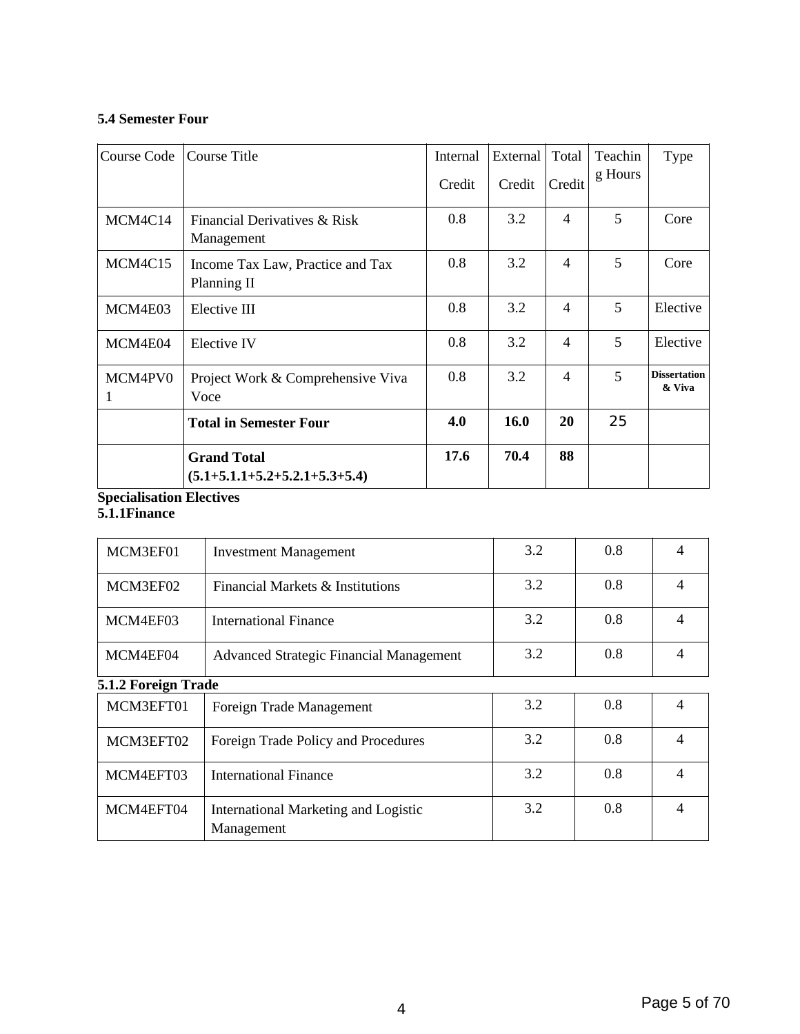#### **5.4 Semester Four**

| Course Code  | Course Title                                          | Internal | External | Total          | Teachin | Type                          |
|--------------|-------------------------------------------------------|----------|----------|----------------|---------|-------------------------------|
|              |                                                       | Credit   | Credit   | Credit         | g Hours |                               |
| MCM4C14      | Financial Derivatives & Risk<br>Management            | 0.8      | 3.2      | $\overline{4}$ | 5       | Core                          |
| MCM4C15      | Income Tax Law, Practice and Tax<br>Planning II       | 0.8      | 3.2      | $\overline{4}$ | 5       | Core                          |
| MCM4E03      | Elective III                                          | 0.8      | 3.2      | $\overline{4}$ | 5       | Elective                      |
| MCM4E04      | Elective IV                                           | 0.8      | 3.2      | $\overline{4}$ | 5       | Elective                      |
| MCM4PV0<br>1 | Project Work & Comprehensive Viva<br>Voce             | 0.8      | 3.2      | $\overline{4}$ | 5       | <b>Dissertation</b><br>& Viva |
|              | <b>Total in Semester Four</b>                         | 4.0      | 16.0     | 20             | 25      |                               |
|              | <b>Grand Total</b><br>$(5.1+5.1.1+5.2+5.2.1+5.3+5.4)$ | 17.6     | 70.4     | 88             |         |                               |

#### **Specialisation Electives**

#### **5.1.1Finance**

| MCM3EF01            | <b>Investment Management</b>                       | 3.2 | 0.8 | 4 |
|---------------------|----------------------------------------------------|-----|-----|---|
| MCM3EF02            | Financial Markets & Institutions                   | 3.2 | 0.8 | 4 |
| MCM4EF03            | International Finance                              | 3.2 | 0.8 | 4 |
| MCM4EF04            | Advanced Strategic Financial Management            | 3.2 | 0.8 | 4 |
| 5.1.2 Foreign Trade |                                                    |     |     |   |
| MCM3EFT01           | Foreign Trade Management                           | 3.2 | 0.8 | 4 |
| MCM3EFT02           | Foreign Trade Policy and Procedures                | 3.2 | 0.8 | 4 |
| MCM4EFT03           | International Finance                              | 3.2 | 0.8 | 4 |
| MCM4EFT04           | International Marketing and Logistic<br>Management | 3.2 | 0.8 | 4 |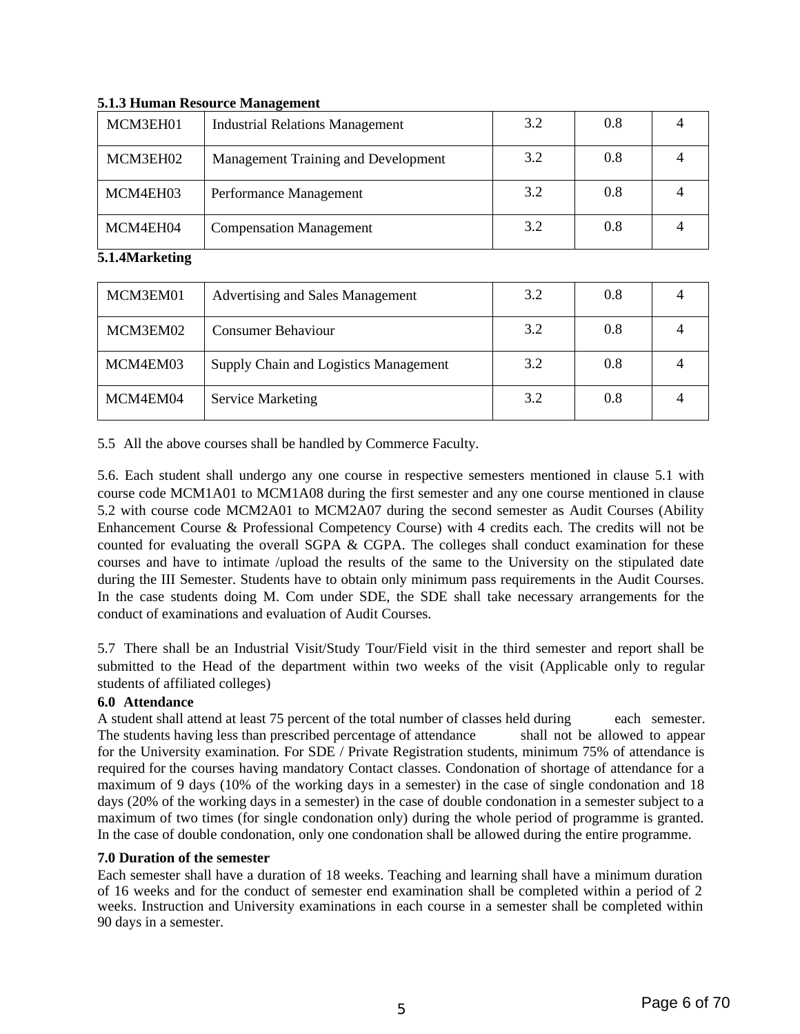| MCM3EH01 | <b>Industrial Relations Management</b> | 3.2 | 0.8 |  |
|----------|----------------------------------------|-----|-----|--|
| MCM3EH02 | Management Training and Development    | 3.2 | 0.8 |  |
| MCM4EH03 | Performance Management                 | 3.2 | 0.8 |  |
| MCM4EH04 | <b>Compensation Management</b>         | 3.2 | 0.8 |  |

#### **5.1.3 Human Resource Management**

#### **5.1.4Marketing**

| MCM3EM01 | Advertising and Sales Management      | 3.2 | 0.8 |  |
|----------|---------------------------------------|-----|-----|--|
| MCM3EM02 | <b>Consumer Behaviour</b>             | 3.2 | 0.8 |  |
| MCM4EM03 | Supply Chain and Logistics Management | 3.2 | 0.8 |  |
| MCM4EM04 | <b>Service Marketing</b>              | 3.2 | 0.8 |  |

5.5 All the above courses shall be handled by Commerce Faculty.

5.6. Each student shall undergo any one course in respective semesters mentioned in clause 5.1 with course code MCM1A01 to MCM1A08 during the first semester and any one course mentioned in clause 5.2 with course code MCM2A01 to MCM2A07 during the second semester as Audit Courses (Ability Enhancement Course & Professional Competency Course) with 4 credits each. The credits will not be counted for evaluating the overall SGPA & CGPA. The colleges shall conduct examination for these courses and have to intimate /upload the results of the same to the University on the stipulated date during the III Semester. Students have to obtain only minimum pass requirements in the Audit Courses. In the case students doing M. Com under SDE, the SDE shall take necessary arrangements for the conduct of examinations and evaluation of Audit Courses.

5.7 There shall be an Industrial Visit/Study Tour/Field visit in the third semester and report shall be submitted to the Head of the department within two weeks of the visit (Applicable only to regular students of affiliated colleges)

### **6.0 Attendance**

A student shall attend at least 75 percent of the total number of classes held during each semester. The students having less than prescribed percentage of attendance shall not be allowed to appear for the University examination. For SDE / Private Registration students, minimum 75% of attendance is required for the courses having mandatory Contact classes. Condonation of shortage of attendance for a maximum of 9 days (10% of the working days in a semester) in the case of single condonation and 18 days (20% of the working days in a semester) in the case of double condonation in a semester subject to a maximum of two times (for single condonation only) during the whole period of programme is granted. In the case of double condonation, only one condonation shall be allowed during the entire programme.

### **7.0 Duration of the semester**

Each semester shall have a duration of 18 weeks. Teaching and learning shall have a minimum duration of 16 weeks and for the conduct of semester end examination shall be completed within a period of 2 weeks. Instruction and University examinations in each course in a semester shall be completed within 90 days in a semester.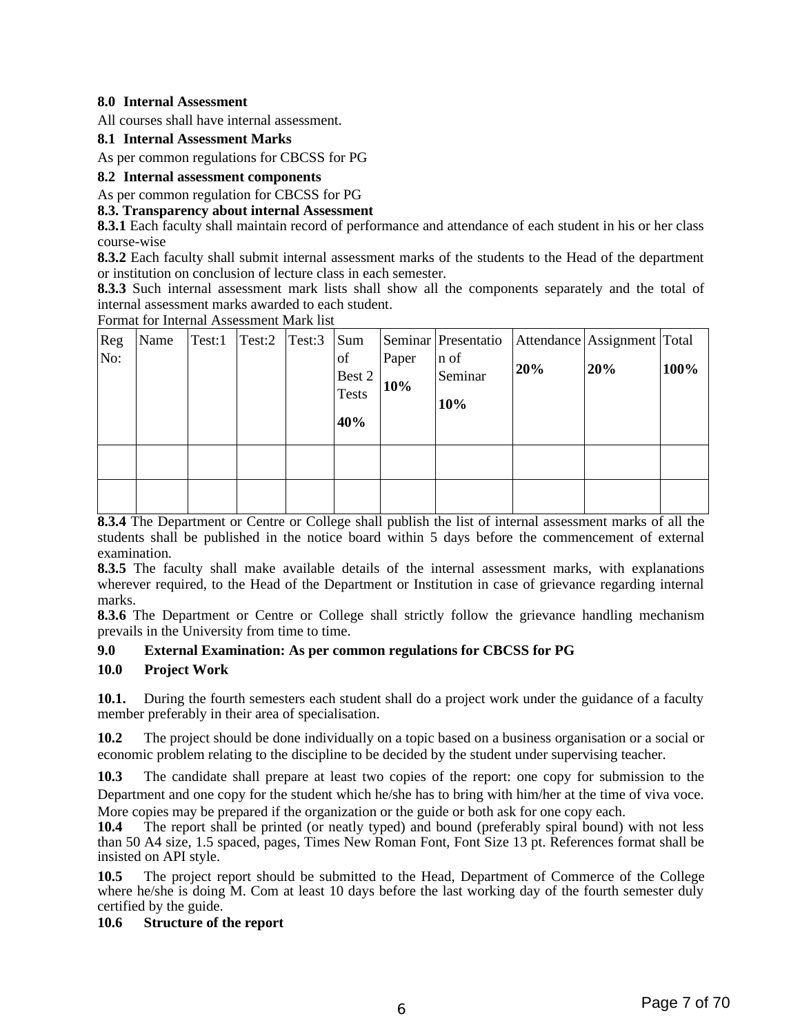#### **8.0 Internal Assessment**

All courses shall have internal assessment.

#### **8.1 Internal Assessment Marks**

As per common regulations for CBCSS for PG

#### **8.2 Internal assessment components**

As per common regulation for CBCSS for PG

#### **8.3. Transparency about internal Assessment**

**8.3.1** Each faculty shall maintain record of performance and attendance of each student in his or her class course-wise

**8.3.2** Each faculty shall submit internal assessment marks of the students to the Head of the department or institution on conclusion of lecture class in each semester.

**8.3.3** Such internal assessment mark lists shall show all the components separately and the total of internal assessment marks awarded to each student.

Format for Internal Assessment Mark list

| Reg<br>No: | Name | Test:1 | $\vert$ Test:2 $\vert$ Test:3 | Sum<br>of<br>Best 2<br><b>Tests</b><br>40% | Paper<br>10% | Seminar   Presentatio<br>n of<br>Seminar<br>10% | 20% | Attendance Assignment Total<br>20% | 100% |
|------------|------|--------|-------------------------------|--------------------------------------------|--------------|-------------------------------------------------|-----|------------------------------------|------|
|            |      |        |                               |                                            |              |                                                 |     |                                    |      |

**8.3.4** The Department or Centre or College shall publish the list of internal assessment marks of all the students shall be published in the notice board within 5 days before the commencement of external examination.

**8.3.5** The faculty shall make available details of the internal assessment marks, with explanations wherever required, to the Head of the Department or Institution in case of grievance regarding internal marks.

**8.3.6** The Department or Centre or College shall strictly follow the grievance handling mechanism prevails in the University from time to time.

#### **9.0 External Examination: As per common regulations for CBCSS for PG**

#### **10.0 Project Work**

**10.1.** During the fourth semesters each student shall do a project work under the guidance of a faculty member preferably in their area of specialisation.

**10.2** The project should be done individually on a topic based on a business organisation or a social or economic problem relating to the discipline to be decided by the student under supervising teacher.

**10.3** The candidate shall prepare at least two copies of the report: one copy for submission to the Department and one copy for the student which he/she has to bring with him/her at the time of viva voce. More copies may be prepared if the organization or the guide or both ask for one copy each.

**10.4** The report shall be printed (or neatly typed) and bound (preferably spiral bound) with not less than 50 A4 size, 1.5 spaced, pages, Times New Roman Font, Font Size 13 pt. References format shall be insisted on API style.

**10.5** The project report should be submitted to the Head, Department of Commerce of the College where he/she is doing M. Com at least 10 days before the last working day of the fourth semester duly certified by the guide.

#### **10.6 Structure of the report**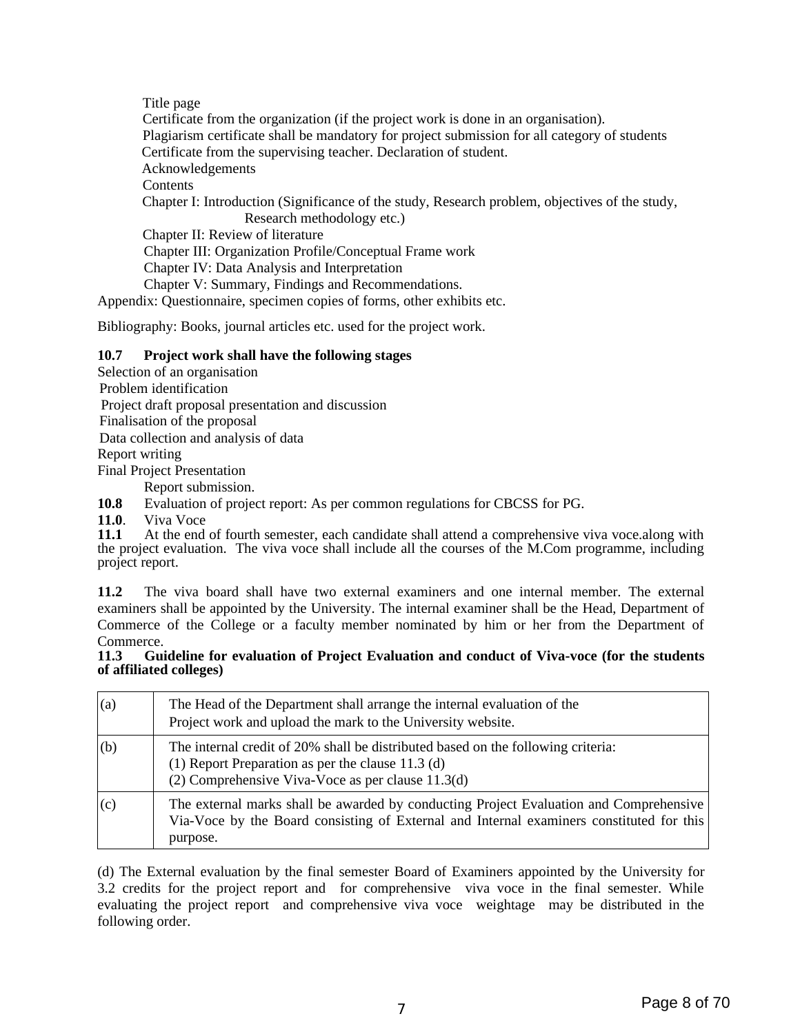Title page Certificate from the organization (if the project work is done in an organisation). Plagiarism certificate shall be mandatory for project submission for all category of students Certificate from the supervising teacher. Declaration of student. Acknowledgements **Contents** Chapter I: Introduction (Significance of the study, Research problem, objectives of the study, Research methodology etc.) Chapter II: Review of literature Chapter III: Organization Profile/Conceptual Frame work Chapter IV: Data Analysis and Interpretation Chapter V: Summary, Findings and Recommendations. Appendix: Questionnaire, specimen copies of forms, other exhibits etc.

Bibliography: Books, journal articles etc. used for the project work.

#### **10.7 Project work shall have the following stages**

Selection of an organisation Problem identification Project draft proposal presentation and discussion Finalisation of the proposal Data collection and analysis of data Report writing Final Project Presentation

Report submission.

**10.8** Evaluation of project report: As per common regulations for CBCSS for PG.

**11.0**. Viva Voce

**11.1** At the end of fourth semester, each candidate shall attend a comprehensive viva voce.along with the project evaluation. The viva voce shall include all the courses of the M.Com programme, including project report.

**11.2** The viva board shall have two external examiners and one internal member. The external examiners shall be appointed by the University. The internal examiner shall be the Head, Department of Commerce of the College or a faculty member nominated by him or her from the Department of Commerce.

**11.3 Guideline for evaluation of Project Evaluation and conduct of Viva-voce (for the students of affiliated colleges)**

| (a) | The Head of the Department shall arrange the internal evaluation of the<br>Project work and upload the mark to the University website.                                                         |
|-----|------------------------------------------------------------------------------------------------------------------------------------------------------------------------------------------------|
| (b) | The internal credit of 20% shall be distributed based on the following criteria:<br>(1) Report Preparation as per the clause $11.3$ (d)<br>(2) Comprehensive Viva-Voce as per clause 11.3(d)   |
| (c) | The external marks shall be awarded by conducting Project Evaluation and Comprehensive<br>Via-Voce by the Board consisting of External and Internal examiners constituted for this<br>purpose. |

(d) The External evaluation by the final semester Board of Examiners appointed by the University for 3.2 credits for the project report and for comprehensive viva voce in the final semester. While evaluating the project report and comprehensive viva voce weightage may be distributed in the following order.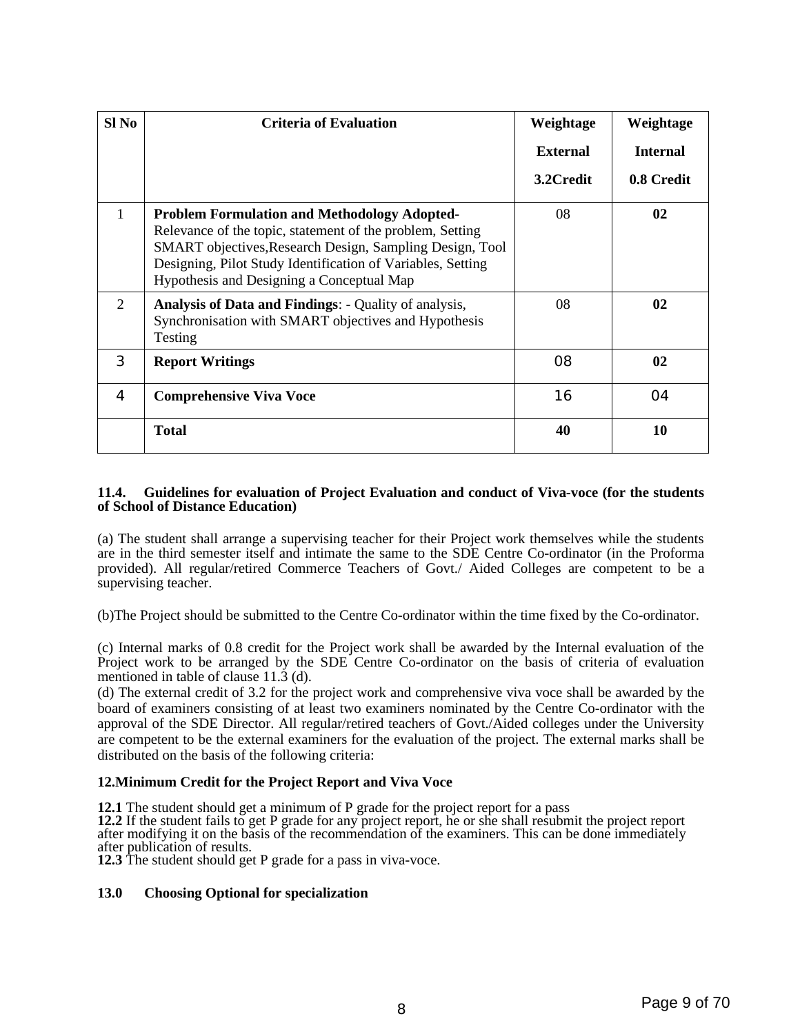| Sl <sub>No</sub> | <b>Criteria of Evaluation</b>                                                                                                                                                                                                                                                            | Weightage       | Weightage       |
|------------------|------------------------------------------------------------------------------------------------------------------------------------------------------------------------------------------------------------------------------------------------------------------------------------------|-----------------|-----------------|
|                  |                                                                                                                                                                                                                                                                                          | <b>External</b> | <b>Internal</b> |
|                  |                                                                                                                                                                                                                                                                                          | 3.2Credit       | 0.8 Credit      |
| $\mathbf{1}$     | <b>Problem Formulation and Methodology Adopted-</b><br>Relevance of the topic, statement of the problem, Setting<br>SMART objectives, Research Design, Sampling Design, Tool<br>Designing, Pilot Study Identification of Variables, Setting<br>Hypothesis and Designing a Conceptual Map | 08              | 02              |
| $\overline{2}$   | Analysis of Data and Findings: - Quality of analysis,<br>Synchronisation with SMART objectives and Hypothesis<br><b>Testing</b>                                                                                                                                                          | 08              | 02              |
| 3                | <b>Report Writings</b>                                                                                                                                                                                                                                                                   | 08              | 0 <sub>2</sub>  |
| 4                | <b>Comprehensive Viva Voce</b>                                                                                                                                                                                                                                                           | 16              | 04              |
|                  | <b>Total</b>                                                                                                                                                                                                                                                                             | 40              | 10              |

#### **11.4. Guidelines for evaluation of Project Evaluation and conduct of Viva-voce (for the students of School of Distance Education)**

(a) The student shall arrange a supervising teacher for their Project work themselves while the students are in the third semester itself and intimate the same to the SDE Centre Co-ordinator (in the Proforma provided). All regular/retired Commerce Teachers of Govt./ Aided Colleges are competent to be a supervising teacher.

(b)The Project should be submitted to the Centre Co-ordinator within the time fixed by the Co-ordinator.

(c) Internal marks of 0.8 credit for the Project work shall be awarded by the Internal evaluation of the Project work to be arranged by the SDE Centre Co-ordinator on the basis of criteria of evaluation mentioned in table of clause 11.3 (d).

(d) The external credit of 3.2 for the project work and comprehensive viva voce shall be awarded by the board of examiners consisting of at least two examiners nominated by the Centre Co-ordinator with the approval of the SDE Director. All regular/retired teachers of Govt./Aided colleges under the University are competent to be the external examiners for the evaluation of the project. The external marks shall be distributed on the basis of the following criteria:

#### **12.Minimum Credit for the Project Report and Viva Voce**

**12.1** The student should get a minimum of P grade for the project report for a pass

**12.2** If the student fails to get P grade for any project report, he or she shall resubmit the project report after modifying it on the basis of the recommendation of the examiners. This can be done immediately after publication of results.

**12.3** The student should get P grade for a pass in viva-voce.

#### **13.0 Choosing Optional for specialization**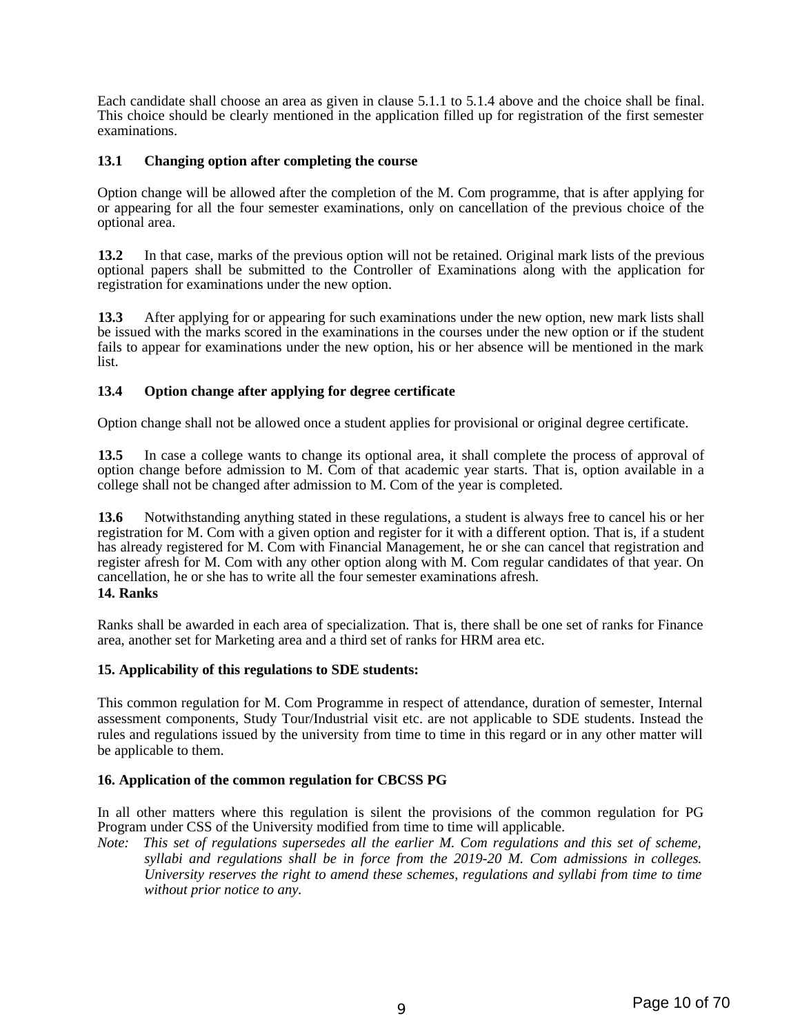Each candidate shall choose an area as given in clause 5.1.1 to 5.1.4 above and the choice shall be final. This choice should be clearly mentioned in the application filled up for registration of the first semester examinations.

#### **13.1 Changing option after completing the course**

Option change will be allowed after the completion of the M. Com programme, that is after applying for or appearing for all the four semester examinations, only on cancellation of the previous choice of the optional area.

**13.2** In that case, marks of the previous option will not be retained. Original mark lists of the previous optional papers shall be submitted to the Controller of Examinations along with the application for registration for examinations under the new option.

**13.3** After applying for or appearing for such examinations under the new option, new mark lists shall be issued with the marks scored in the examinations in the courses under the new option or if the student fails to appear for examinations under the new option, his or her absence will be mentioned in the mark list.

#### **13.4 Option change after applying for degree certificate**

Option change shall not be allowed once a student applies for provisional or original degree certificate.

**13.5** In case a college wants to change its optional area, it shall complete the process of approval of option change before admission to M. Com of that academic year starts. That is, option available in a college shall not be changed after admission to M. Com of the year is completed.

**13.6** Notwithstanding anything stated in these regulations, a student is always free to cancel his or her registration for M. Com with a given option and register for it with a different option. That is, if a student has already registered for M. Com with Financial Management, he or she can cancel that registration and register afresh for M. Com with any other option along with M. Com regular candidates of that year. On cancellation, he or she has to write all the four semester examinations afresh.

#### **14. Ranks**

Ranks shall be awarded in each area of specialization. That is, there shall be one set of ranks for Finance area, another set for Marketing area and a third set of ranks for HRM area etc.

#### **15. Applicability of this regulations to SDE students:**

This common regulation for M. Com Programme in respect of attendance, duration of semester, Internal assessment components, Study Tour/Industrial visit etc. are not applicable to SDE students. Instead the rules and regulations issued by the university from time to time in this regard or in any other matter will be applicable to them.

#### **16. Application of the common regulation for CBCSS PG**

In all other matters where this regulation is silent the provisions of the common regulation for PG Program under CSS of the University modified from time to time will applicable.

*Note: This set of regulations supersedes all the earlier M. Com regulations and this set of scheme, syllabi and regulations shall be in force from the 2019-20 M. Com admissions in colleges. University reserves the right to amend these schemes, regulations and syllabi from time to time without prior notice to any.*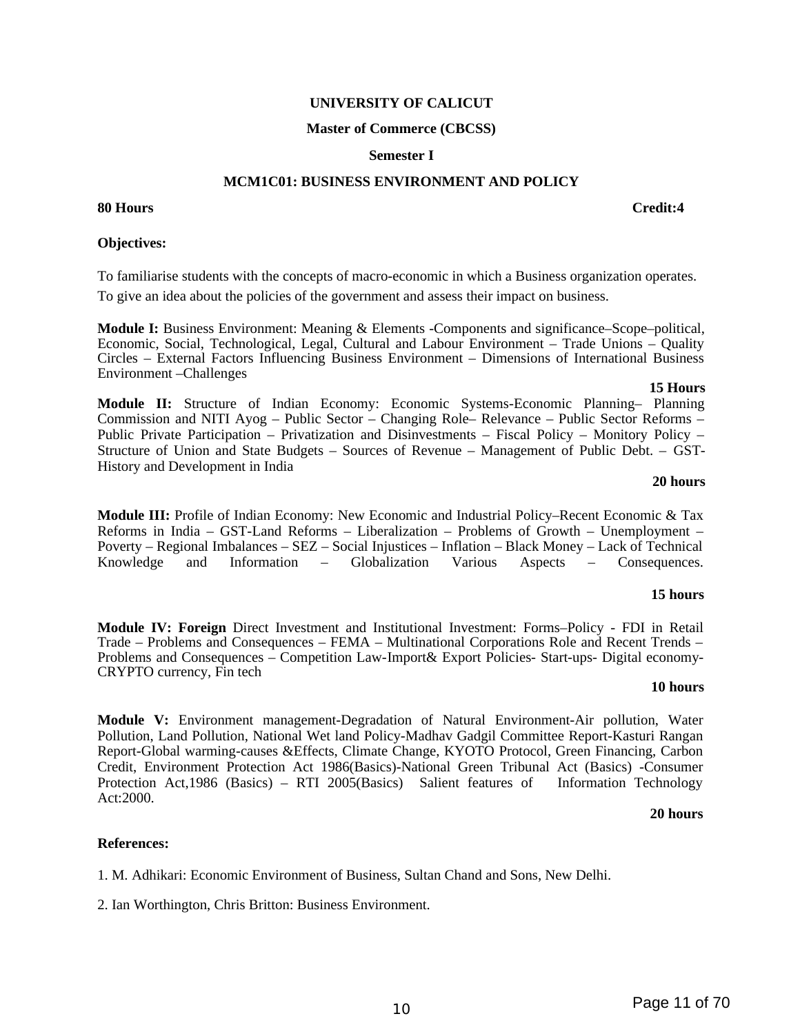#### **UNIVERSITY OF CALICUT**

#### **Master of Commerce (CBCSS)**

#### **Semester I**

#### **MCM1C01: BUSINESS ENVIRONMENT AND POLICY**

**80 Hours Credit:4**

#### **Objectives:**

To familiarise students with the concepts of macro-economic in which a Business organization operates. To give an idea about the policies of the government and assess their impact on business.

**Module I:** Business Environment: Meaning & Elements -Components and significance–Scope–political, Economic, Social, Technological, Legal, Cultural and Labour Environment – Trade Unions – Quality Circles – External Factors Influencing Business Environment – Dimensions of International Business Environment –Challenges

#### **15 Hours Module II:** Structure of Indian Economy: Economic Systems-Economic Planning– Planning Commission and NITI Ayog – Public Sector – Changing Role– Relevance – Public Sector Reforms – Public Private Participation – Privatization and Disinvestments – Fiscal Policy – Monitory Policy – Structure of Union and State Budgets – Sources of Revenue – Management of Public Debt. – GST-History and Development in India

#### **20 hours**

**Module III:** Profile of Indian Economy: New Economic and Industrial Policy–Recent Economic & Tax Reforms in India – GST-Land Reforms – Liberalization – Problems of Growth – Unemployment – Poverty – Regional Imbalances – SEZ – Social Injustices – Inflation – Black Money – Lack of Technical Knowledge and Information – Globalization Various Aspects – Consequences.

#### **15 hours**

**Module IV: Foreign** Direct Investment and Institutional Investment: Forms–Policy - FDI in Retail Trade – Problems and Consequences – FEMA – Multinational Corporations Role and Recent Trends – Problems and Consequences – Competition Law-Import& Export Policies- Start-ups- Digital economy-CRYPTO currency, Fin tech

#### **10 hours**

**Module V:** Environment management-Degradation of Natural Environment-Air pollution, Water Pollution, Land Pollution, National Wet land Policy-Madhav Gadgil Committee Report-Kasturi Rangan Report-Global warming-causes &Effects, Climate Change, KYOTO Protocol, Green Financing, Carbon Credit, Environment Protection Act 1986(Basics)-National Green Tribunal Act (Basics) -Consumer Protection Act,1986 (Basics) – RTI 2005(Basics) Salient features of Information Technology Act:2000.

#### **20 hours**

#### **References:**

1. M. Adhikari: Economic Environment of Business, Sultan Chand and Sons, New Delhi.

2. Ian Worthington, Chris Britton: Business Environment.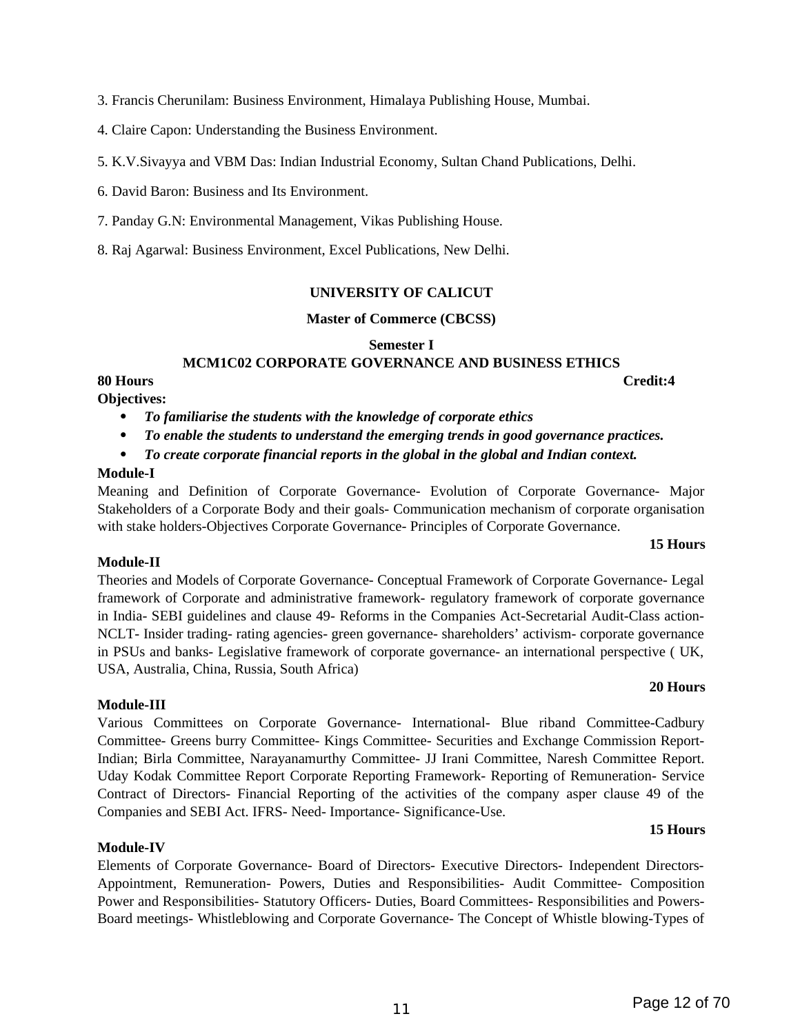3. Francis Cherunilam: Business Environment, Himalaya Publishing House, Mumbai.

4. Claire Capon: Understanding the Business Environment.

5. K.V.Sivayya and VBM Das: Indian Industrial Economy, Sultan Chand Publications, Delhi.

6. David Baron: Business and Its Environment.

7. Panday G.N: Environmental Management, Vikas Publishing House.

8. Raj Agarwal: Business Environment, Excel Publications, New Delhi.

#### **UNIVERSITY OF CALICUT**

#### **Master of Commerce (CBCSS)**

**Semester I**

#### **MCM1C02 CORPORATE GOVERNANCE AND BUSINESS ETHICS**

#### **80 Hours Credit:4**

**Objectives:**

- *To familiarise the students with the knowledge of corporate ethics*
- *To enable the students to understand the emerging trends in good governance practices.*
- *To create corporate financial reports in the global in the global and Indian context.*

#### **Module-I**

Meaning and Definition of Corporate Governance- Evolution of Corporate Governance- Major Stakeholders of a Corporate Body and their goals- Communication mechanism of corporate organisation with stake holders-Objectives Corporate Governance- Principles of Corporate Governance.

#### **15 Hours**

**20 Hours**

#### **Module-II**

Theories and Models of Corporate Governance- Conceptual Framework of Corporate Governance- Legal framework of Corporate and administrative framework- regulatory framework of corporate governance in India- SEBI guidelines and clause 49- Reforms in the Companies Act-Secretarial Audit-Class action-NCLT- Insider trading- rating agencies- green governance- shareholders' activism- corporate governance in PSUs and banks- Legislative framework of corporate governance- an international perspective ( UK, USA, Australia, China, Russia, South Africa)

#### **Module-III**

Various Committees on Corporate Governance- International- Blue riband Committee-Cadbury Committee- Greens burry Committee- Kings Committee- Securities and Exchange Commission Report-Indian; Birla Committee, Narayanamurthy Committee- JJ Irani Committee, Naresh Committee Report. Uday Kodak Committee Report Corporate Reporting Framework- Reporting of Remuneration- Service Contract of Directors- Financial Reporting of the activities of the company asper clause 49 of the Companies and SEBI Act. IFRS- Need- Importance- Significance-Use.

#### **15 Hours**

#### **Module-IV**

Elements of Corporate Governance- Board of Directors- Executive Directors- Independent Directors-Appointment, Remuneration- Powers, Duties and Responsibilities- Audit Committee- Composition Power and Responsibilities- Statutory Officers- Duties, Board Committees- Responsibilities and Powers-Board meetings- Whistleblowing and Corporate Governance- The Concept of Whistle blowing-Types of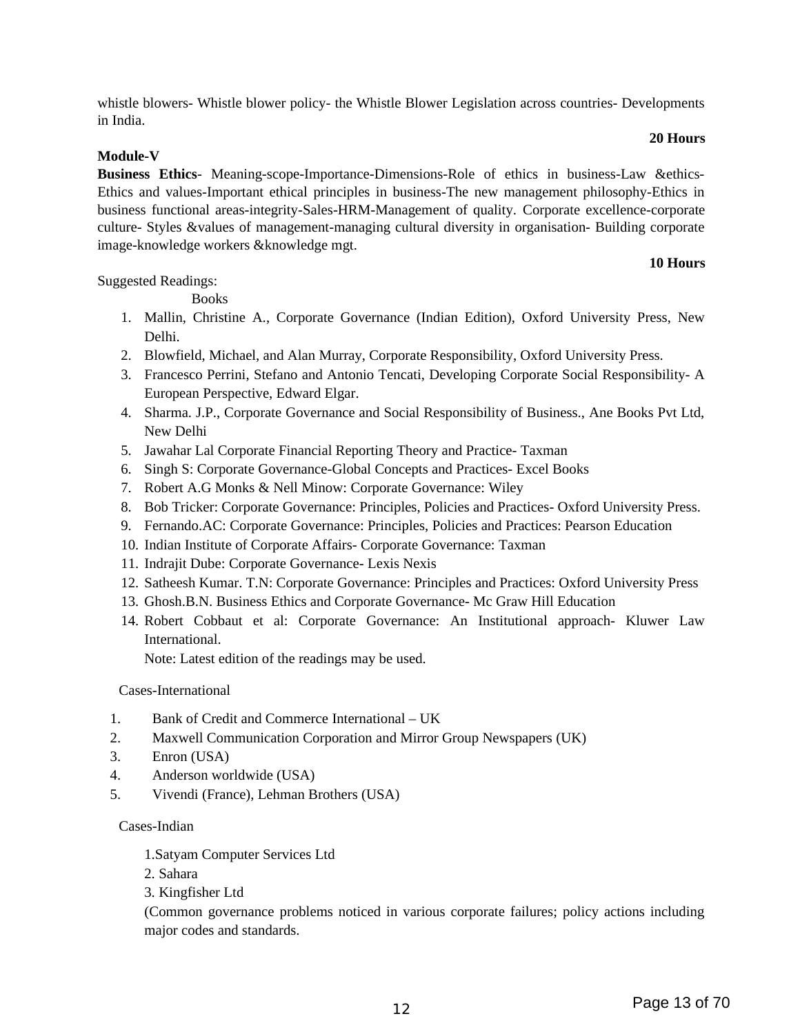<sup>12</sup> Page 13 of 70

whistle blowers- Whistle blower policy- the Whistle Blower Legislation across countries- Developments in India.

#### **Module-V**

**Business Ethics**- Meaning-scope-Importance-Dimensions-Role of ethics in business-Law & ethics-Ethics and values-Important ethical principles in business-The new management philosophy-Ethics in business functional areas-integrity-Sales-HRM-Management of quality. Corporate excellence-corporate culture- Styles &values of management-managing cultural diversity in organisation- Building corporate image-knowledge workers &knowledge mgt.

### **10 Hours**

**20 Hours**

Suggested Readings:

**Books** 

- 1. Mallin, Christine A., Corporate Governance (Indian Edition), Oxford University Press, New Delhi.
- 2. Blowfield, Michael, and Alan Murray, Corporate Responsibility, Oxford University Press.
- 3. Francesco Perrini, Stefano and Antonio Tencati, Developing Corporate Social Responsibility- A European Perspective, Edward Elgar.
- 4. Sharma. J.P., Corporate Governance and Social Responsibility of Business., Ane Books Pvt Ltd, New Delhi
- 5. Jawahar Lal Corporate Financial Reporting Theory and Practice- Taxman
- 6. Singh S: Corporate Governance-Global Concepts and Practices- Excel Books
- 7. Robert A.G Monks & Nell Minow: Corporate Governance: Wiley
- 8. Bob Tricker: Corporate Governance: Principles, Policies and Practices- Oxford University Press.
- 9. Fernando.AC: Corporate Governance: Principles, Policies and Practices: Pearson Education
- 10. Indian Institute of Corporate Affairs- Corporate Governance: Taxman
- 11. Indrajit Dube: Corporate Governance- Lexis Nexis
- 12. Satheesh Kumar. T.N: Corporate Governance: Principles and Practices: Oxford University Press
- 13. Ghosh.B.N. Business Ethics and Corporate Governance- Mc Graw Hill Education
- 14. Robert Cobbaut et al: Corporate Governance: An Institutional approach- Kluwer Law International.

Note: Latest edition of the readings may be used.

### Cases-International

- 1. Bank of Credit and Commerce International UK
- 2. Maxwell Communication Corporation and Mirror Group Newspapers (UK)
- 3. Enron (USA)
- 4. Anderson worldwide (USA)
- 5. Vivendi (France), Lehman Brothers (USA)

### Cases-Indian

- 1.Satyam Computer Services Ltd
- 2. Sahara
- 3. Kingfisher Ltd

(Common governance problems noticed in various corporate failures; policy actions including major codes and standards.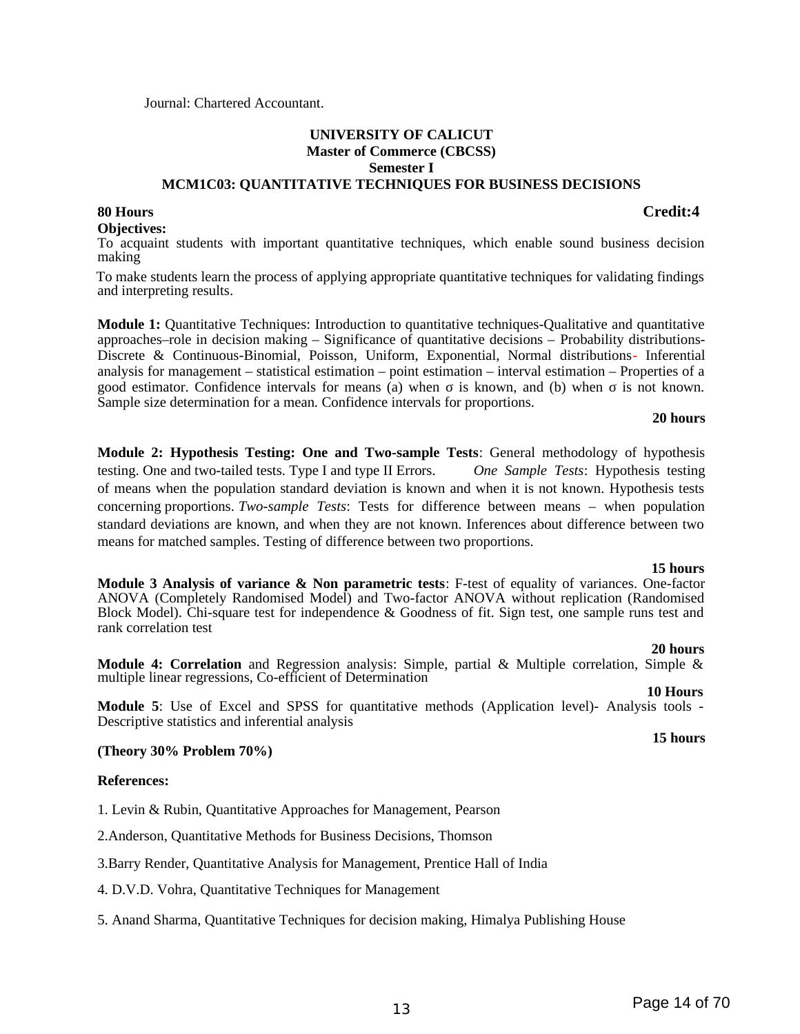#### Journal: Chartered Accountant.

## **UNIVERSITY OF CALICUT Master of Commerce (CBCSS) Semester I**

#### **MCM1C03: QUANTITATIVE TECHNIQUES FOR BUSINESS DECISIONS**

#### **80 Hours Credit:4**

**Objectives:**

To acquaint students with important quantitative techniques, which enable sound business decision making

 To make students learn the process of applying appropriate quantitative techniques for validating findings and interpreting results.

**Module 1:** Quantitative Techniques: Introduction to quantitative techniques-Qualitative and quantitative approaches–role in decision making – Significance of quantitative decisions – Probability distributions-Discrete & Continuous-Binomial, Poisson, Uniform, Exponential, Normal distributions- Inferential analysis for management – statistical estimation – point estimation – interval estimation – Properties of a good estimator. Confidence intervals for means (a) when σ is known, and (b) when σ is not known. Sample size determination for a mean. Confidence intervals for proportions.

#### **20 hours**

**Module 2: Hypothesis Testing: One and Two-sample Tests**: General methodology of hypothesis testing. One and two-tailed tests. Type I and type II Errors. *One Sample Tests*: Hypothesis testing of means when the population standard deviation is known and when it is not known. Hypothesis tests concerning proportions. *Two-sample Tests*: Tests for difference between means – when population standard deviations are known, and when they are not known. Inferences about difference between two means for matched samples. Testing of difference between two proportions.

 **15 hours Module 3 Analysis of variance & Non parametric tests**: F-test of equality of variances. One-factor ANOVA (Completely Randomised Model) and Two-factor ANOVA without replication (Randomised Block Model). Chi-square test for independence & Goodness of fit. Sign test, one sample runs test and rank correlation test

#### **20 hours**

**Module 4: Correlation** and Regression analysis: Simple, partial & Multiple correlation, Simple & multiple linear regressions, Co-efficient of Determination

 **10 Hours Module 5**: Use of Excel and SPSS for quantitative methods (Application level)- Analysis tools - Descriptive statistics and inferential analysis

#### **(Theory 30% Problem 70%)**

**References:**

1. Levin & Rubin, Quantitative Approaches for Management, Pearson

2.Anderson, Quantitative Methods for Business Decisions, Thomson

3.Barry Render, Quantitative Analysis for Management, Prentice Hall of India

4. D.V.D. Vohra, Quantitative Techniques for Management

5. Anand Sharma, Quantitative Techniques for decision making, Himalya Publishing House

**15 hours**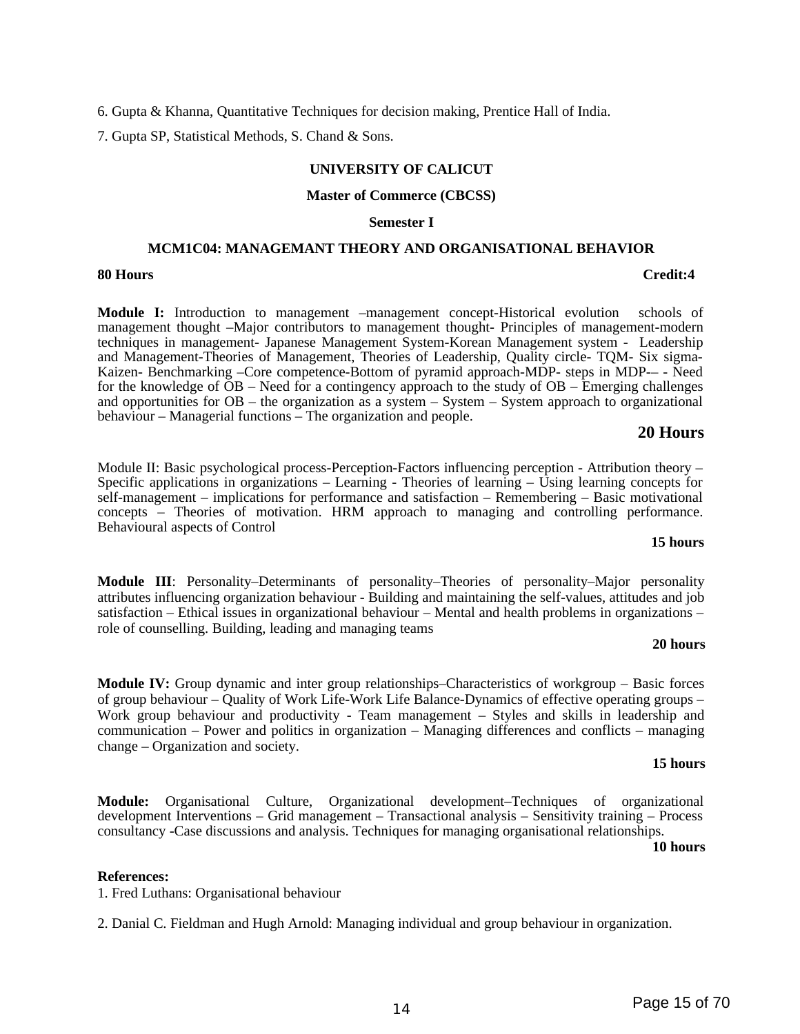6. Gupta & Khanna, Quantitative Techniques for decision making, Prentice Hall of India.

7. Gupta SP, Statistical Methods, S. Chand & Sons.

#### **UNIVERSITY OF CALICUT**

#### **Master of Commerce (CBCSS)**

#### **Semester I**

#### **MCM1C04: MANAGEMANT THEORY AND ORGANISATIONAL BEHAVIOR**

#### **80 Hours Credit:4**

**Module I:** Introduction to management –management concept-Historical evolution schools of management thought –Major contributors to management thought- Principles of management-modern techniques in management- Japanese Management System-Korean Management system - Leadership and Management-Theories of Management, Theories of Leadership, Quality circle- TQM- Six sigma-Kaizen- Benchmarking –Core competence-Bottom of pyramid approach-MDP- steps in MDP-– - Need for the knowledge of  $\overline{OB}$  – Need for a contingency approach to the study of  $OB$  – Emerging challenges and opportunities for OB – the organization as a system – System – System approach to organizational behaviour – Managerial functions – The organization and people.

#### **20 Hours**

Module II: Basic psychological process-Perception-Factors influencing perception - Attribution theory – Specific applications in organizations – Learning - Theories of learning – Using learning concepts for self-management – implications for performance and satisfaction – Remembering – Basic motivational concepts – Theories of motivation. HRM approach to managing and controlling performance. Behavioural aspects of Control

#### **15 hours**

**Module III**: Personality–Determinants of personality–Theories of personality–Major personality attributes influencing organization behaviour - Building and maintaining the self-values, attitudes and job satisfaction – Ethical issues in organizational behaviour – Mental and health problems in organizations – role of counselling. Building, leading and managing teams

#### **20 hours**

**Module IV:** Group dynamic and inter group relationships–Characteristics of workgroup – Basic forces of group behaviour – Quality of Work Life-Work Life Balance-Dynamics of effective operating groups – Work group behaviour and productivity - Team management – Styles and skills in leadership and communication – Power and politics in organization – Managing differences and conflicts – managing change – Organization and society.

#### **15 hours**

**Module:** Organisational Culture, Organizational development–Techniques of organizational development Interventions – Grid management – Transactional analysis – Sensitivity training – Process consultancy -Case discussions and analysis. Techniques for managing organisational relationships.

#### **10 hours**

#### **References:**

1. Fred Luthans: Organisational behaviour

2. Danial C. Fieldman and Hugh Arnold: Managing individual and group behaviour in organization.

## 14 **Page 15 of 70**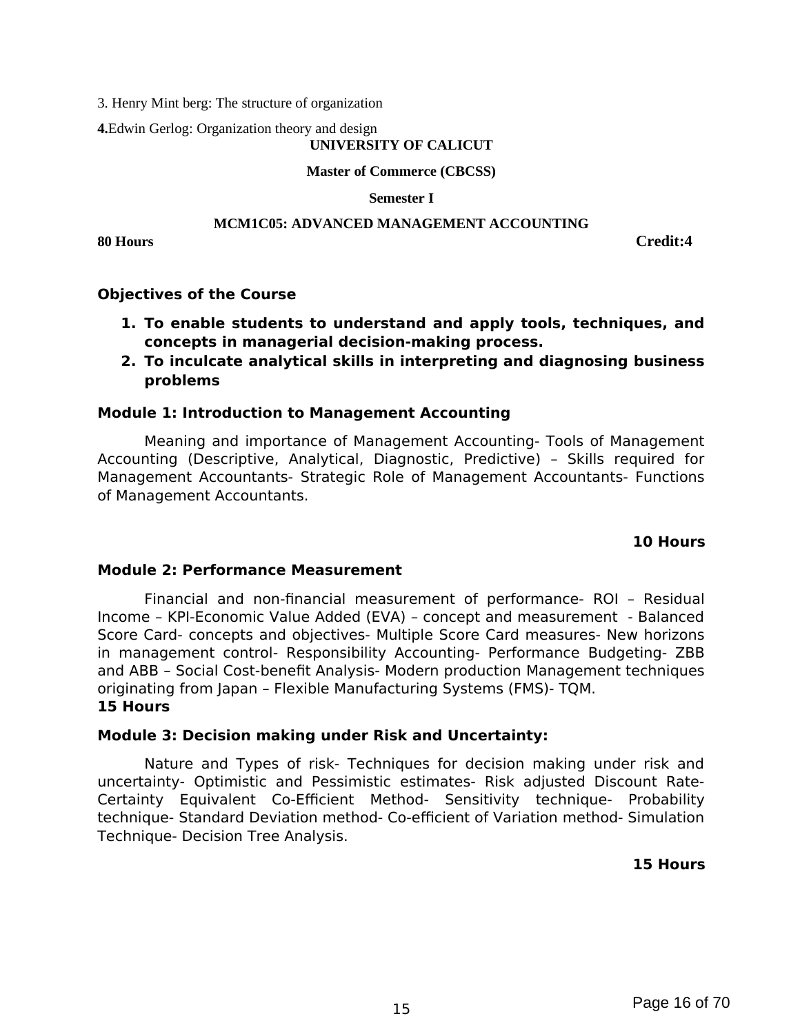3. Henry Mint berg: The structure of organization

**4.**Edwin Gerlog: Organization theory and design

#### **UNIVERSITY OF CALICUT**

**Master of Commerce (CBCSS)**

**Semester I**

### **MCM1C05: ADVANCED MANAGEMENT ACCOUNTING**

**80 Hours Credit:4**

### **Objectives of the Course**

- **1. To enable students to understand and apply tools, techniques, and concepts in managerial decision-making process.**
- **2. To inculcate analytical skills in interpreting and diagnosing business problems**

#### **Module 1: Introduction to Management Accounting**

Meaning and importance of Management Accounting- Tools of Management Accounting (Descriptive, Analytical, Diagnostic, Predictive) – Skills required for Management Accountants- Strategic Role of Management Accountants- Functions of Management Accountants.

#### **10 Hours**

#### **Module 2: Performance Measurement**

Financial and non-financial measurement of performance- ROI – Residual Income – KPI-Economic Value Added (EVA) – concept and measurement - Balanced Score Card- concepts and objectives- Multiple Score Card measures- New horizons in management control- Responsibility Accounting- Performance Budgeting- ZBB and ABB – Social Cost-benefit Analysis- Modern production Management techniques originating from Japan – Flexible Manufacturing Systems (FMS)- TQM. **15 Hours**

### **Module 3: Decision making under Risk and Uncertainty:**

Nature and Types of risk- Techniques for decision making under risk and uncertainty- Optimistic and Pessimistic estimates- Risk adjusted Discount Rate-Certainty Equivalent Co-Efficient Method- Sensitivity technique- Probability technique- Standard Deviation method- Co-efficient of Variation method- Simulation Technique- Decision Tree Analysis.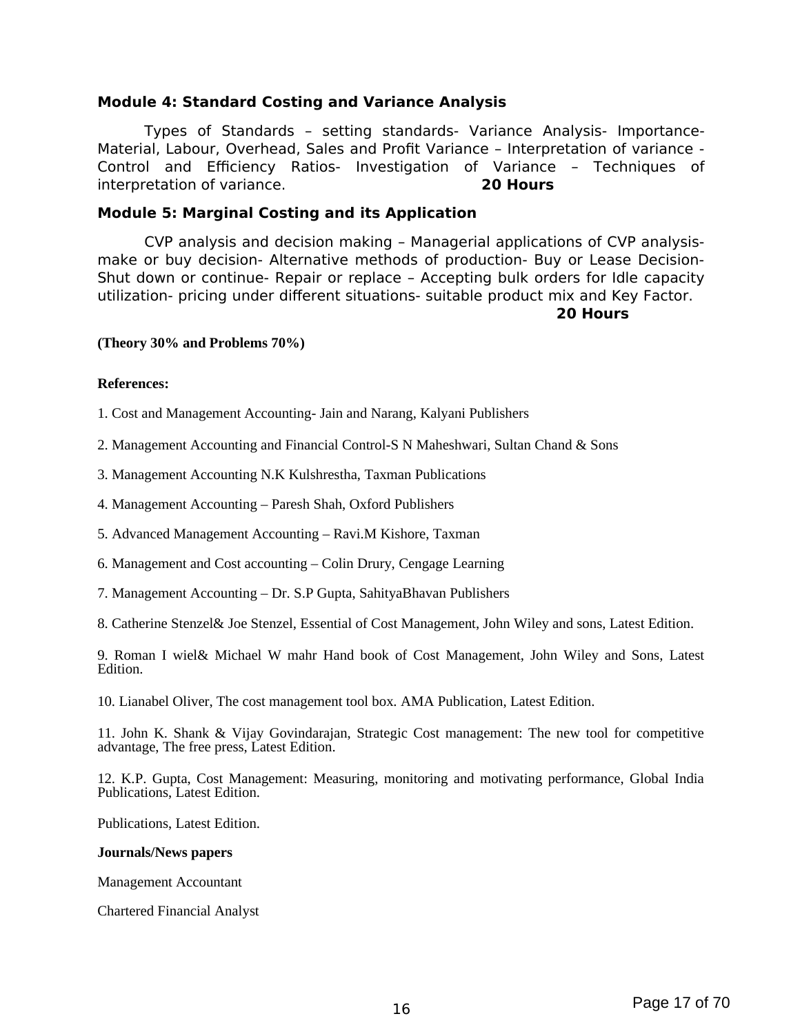### **Module 4: Standard Costing and Variance Analysis**

Types of Standards – setting standards- Variance Analysis- Importance-Material, Labour, Overhead, Sales and Profit Variance – Interpretation of variance - Control and Efficiency Ratios- Investigation of Variance – Techniques of interpretation of variance. **20 Hours**

#### **Module 5: Marginal Costing and its Application**

CVP analysis and decision making – Managerial applications of CVP analysismake or buy decision- Alternative methods of production- Buy or Lease Decision-Shut down or continue- Repair or replace – Accepting bulk orders for Idle capacity utilization- pricing under different situations- suitable product mix and Key Factor.

#### **20 Hours**

#### **(Theory 30% and Problems 70%)**

#### **References:**

1. Cost and Management Accounting- Jain and Narang, Kalyani Publishers

- 2. Management Accounting and Financial Control-S N Maheshwari, Sultan Chand & Sons
- 3. Management Accounting N.K Kulshrestha, Taxman Publications
- 4. Management Accounting Paresh Shah, Oxford Publishers
- 5. Advanced Management Accounting Ravi.M Kishore, Taxman
- 6. Management and Cost accounting Colin Drury, Cengage Learning
- 7. Management Accounting Dr. S.P Gupta, SahityaBhavan Publishers
- 8. Catherine Stenzel& Joe Stenzel, Essential of Cost Management, John Wiley and sons, Latest Edition.

9. Roman I wiel& Michael W mahr Hand book of Cost Management, John Wiley and Sons, Latest Edition.

10. Lianabel Oliver, The cost management tool box. AMA Publication, Latest Edition.

11. John K. Shank & Vijay Govindarajan, Strategic Cost management: The new tool for competitive advantage, The free press, Latest Edition.

12. K.P. Gupta, Cost Management: Measuring, monitoring and motivating performance, Global India Publications, Latest Edition.

Publications, Latest Edition.

#### **Journals/News papers**

Management Accountant

Chartered Financial Analyst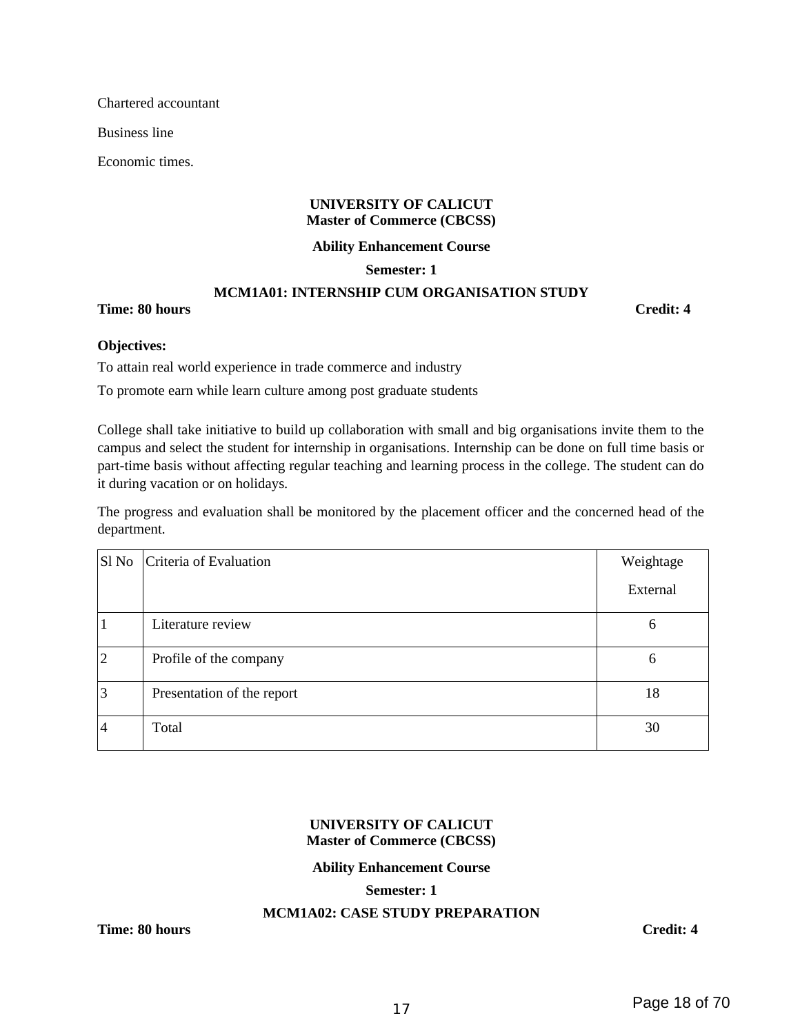Chartered accountant

Business line

Economic times.

#### **UNIVERSITY OF CALICUT Master of Commerce (CBCSS)**

**Ability Enhancement Course**

#### **Semester: 1**

#### **MCM1A01: INTERNSHIP CUM ORGANISATION STUDY**

**Time: 80 hours Credit: 4** 

#### **Objectives:**

To attain real world experience in trade commerce and industry

To promote earn while learn culture among post graduate students

College shall take initiative to build up collaboration with small and big organisations invite them to the campus and select the student for internship in organisations. Internship can be done on full time basis or part-time basis without affecting regular teaching and learning process in the college. The student can do it during vacation or on holidays.

The progress and evaluation shall be monitored by the placement officer and the concerned head of the department.

| Sl No | Criteria of Evaluation     | Weightage |
|-------|----------------------------|-----------|
|       |                            | External  |
|       | Literature review          | 6         |
| 2     | Profile of the company     | 6         |
| З     | Presentation of the report | 18        |
| 4     | Total                      | 30        |

#### **UNIVERSITY OF CALICUT Master of Commerce (CBCSS)**

#### **Ability Enhancement Course**

#### **Semester: 1**

#### **MCM1A02: CASE STUDY PREPARATION**

**Time: 80 hours Credit: 4**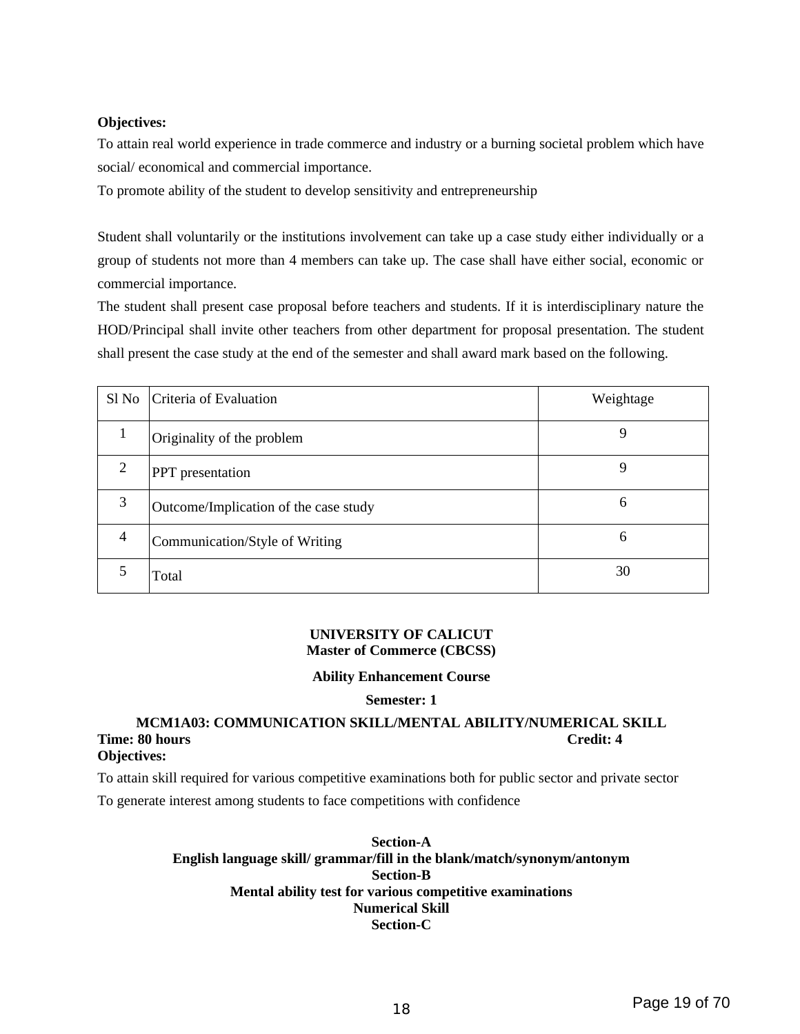#### **Objectives:**

To attain real world experience in trade commerce and industry or a burning societal problem which have social/ economical and commercial importance.

To promote ability of the student to develop sensitivity and entrepreneurship

Student shall voluntarily or the institutions involvement can take up a case study either individually or a group of students not more than 4 members can take up. The case shall have either social, economic or commercial importance.

The student shall present case proposal before teachers and students. If it is interdisciplinary nature the HOD/Principal shall invite other teachers from other department for proposal presentation. The student shall present the case study at the end of the semester and shall award mark based on the following.

| $S1$ No        | Criteria of Evaluation                | Weightage |
|----------------|---------------------------------------|-----------|
| $\mathbf{1}$   | Originality of the problem            | 9         |
| $\overline{2}$ | PPT presentation                      | 9         |
| 3              | Outcome/Implication of the case study | 6         |
| 4              | Communication/Style of Writing        | 6         |
| 5              | Total                                 | 30        |

#### **UNIVERSITY OF CALICUT Master of Commerce (CBCSS)**

#### **Ability Enhancement Course**

#### **Semester: 1**

## **MCM1A03: COMMUNICATION SKILL/MENTAL ABILITY/NUMERICAL SKILL Time: 80 hours Credit: 4**

#### **Objectives:**

To attain skill required for various competitive examinations both for public sector and private sector

To generate interest among students to face competitions with confidence

#### **Section-A English language skill/ grammar/fill in the blank/match/synonym/antonym Section-B Mental ability test for various competitive examinations Numerical Skill Section-C**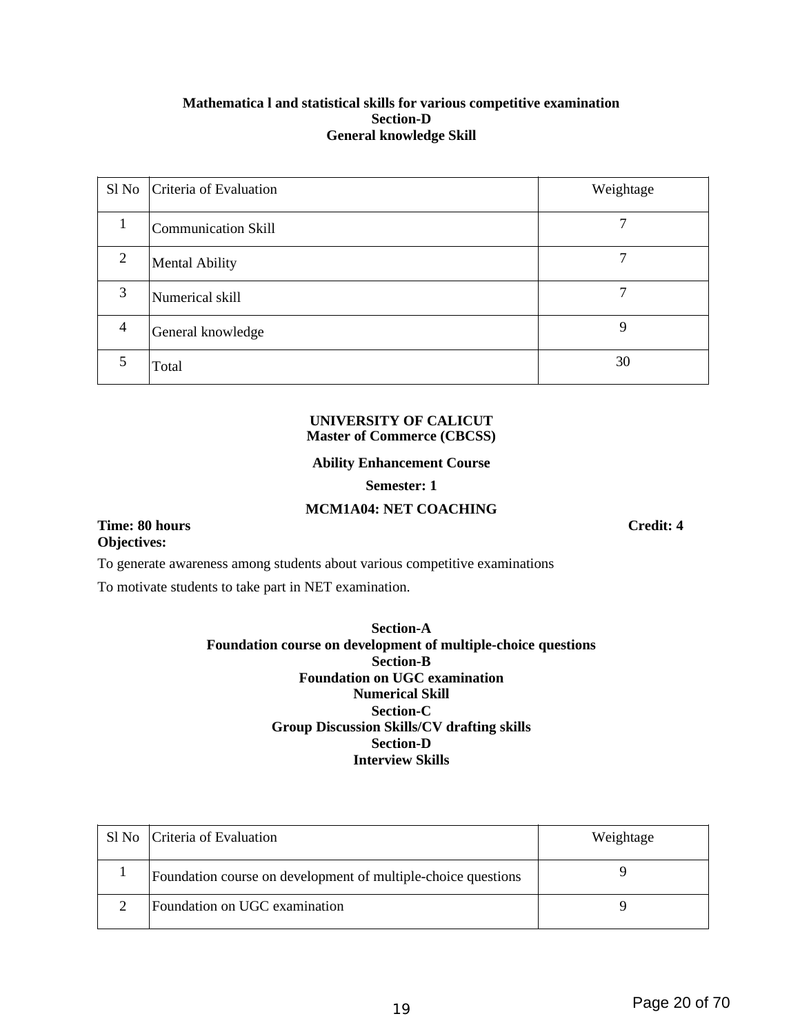#### **Mathematica l and statistical skills for various competitive examination Section-D General knowledge Skill**

|                | Sl No Criteria of Evaluation | Weightage |
|----------------|------------------------------|-----------|
| 1              | <b>Communication Skill</b>   |           |
| $\overline{2}$ | <b>Mental Ability</b>        |           |
| 3              | Numerical skill              | 7         |
| $\overline{4}$ | General knowledge            | 9         |
| 5              | Total                        | 30        |

#### **UNIVERSITY OF CALICUT Master of Commerce (CBCSS)**

#### **Ability Enhancement Course**

#### **Semester: 1**

#### **MCM1A04: NET COACHING**

#### **Time: 80 hours Credit: 4 Objectives:**

To generate awareness among students about various competitive examinations

To motivate students to take part in NET examination.

#### **Section-A Foundation course on development of multiple-choice questions Section-B Foundation on UGC examination Numerical Skill Section-C Group Discussion Skills/CV drafting skills Section-D Interview Skills**

| Sl No   Criteria of Evaluation                                | Weightage |
|---------------------------------------------------------------|-----------|
| Foundation course on development of multiple-choice questions |           |
| Foundation on UGC examination                                 | q         |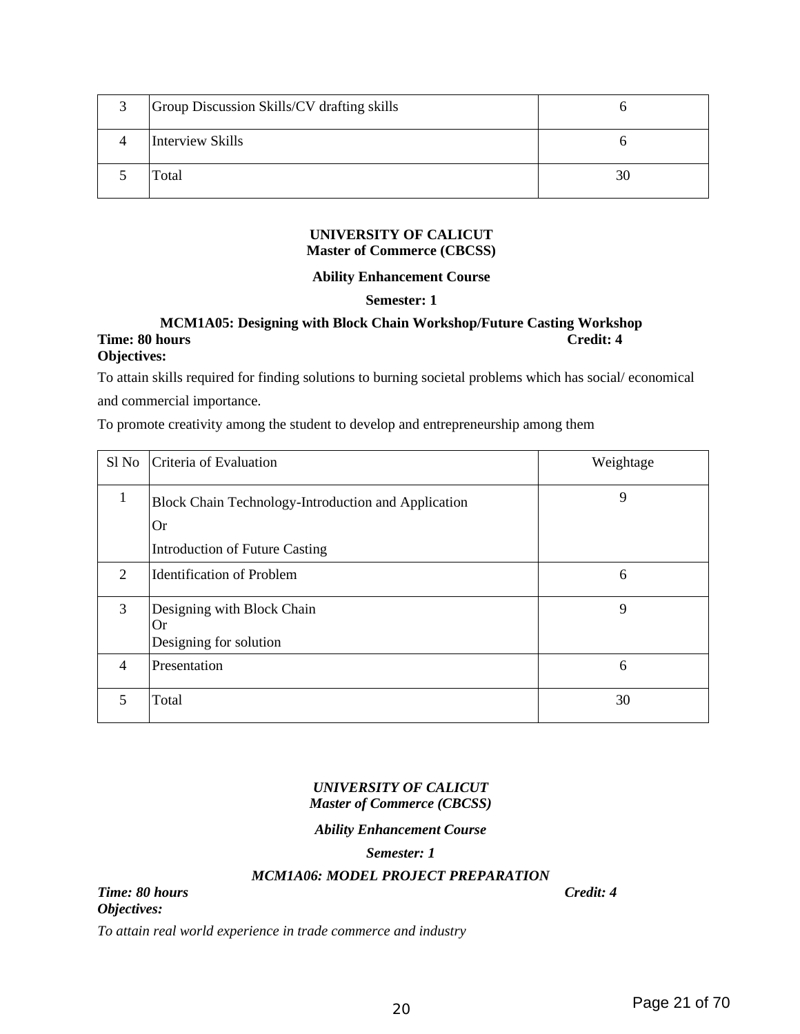| 3 | Group Discussion Skills/CV drafting skills |    |
|---|--------------------------------------------|----|
|   | Interview Skills                           |    |
|   | Total                                      | 30 |

#### **UNIVERSITY OF CALICUT Master of Commerce (CBCSS)**

#### **Ability Enhancement Course**

#### **Semester: 1**

#### **MCM1A05: Designing with Block Chain Workshop/Future Casting Workshop Time: 80 hours Credit: 4 Objectives:**

To attain skills required for finding solutions to burning societal problems which has social/ economical and commercial importance.

To promote creativity among the student to develop and entrepreneurship among them

| Sl No          | Criteria of Evaluation                                     | Weightage |
|----------------|------------------------------------------------------------|-----------|
| $\mathbf{1}$   | Block Chain Technology-Introduction and Application        | 9         |
|                | Or                                                         |           |
|                | <b>Introduction of Future Casting</b>                      |           |
| $\overline{2}$ | <b>Identification of Problem</b>                           | 6         |
| 3              | Designing with Block Chain<br>Or<br>Designing for solution | 9         |
| 4              | Presentation                                               | 6         |
| 5              | Total                                                      | 30        |

#### *UNIVERSITY OF CALICUT Master of Commerce (CBCSS)*

#### *Ability Enhancement Course*

#### *Semester: 1*

#### *MCM1A06: MODEL PROJECT PREPARATION*

*Time: 80 hours Credit: 4 Objectives:*

*To attain real world experience in trade commerce and industry*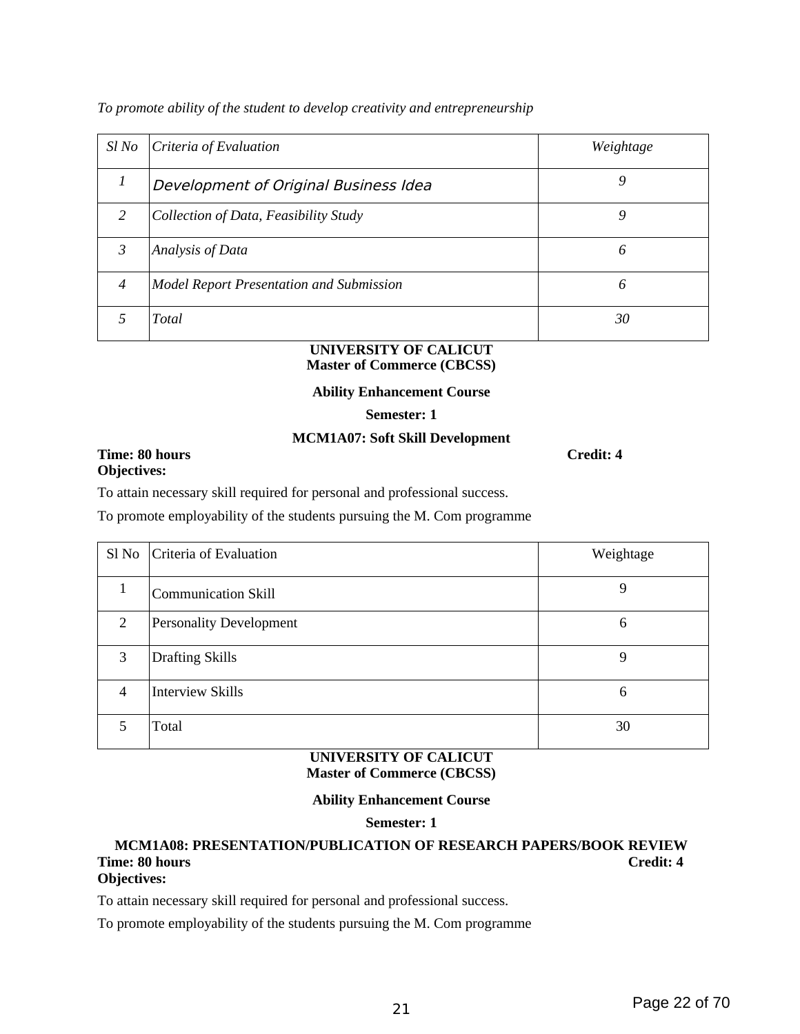*To promote ability of the student to develop creativity and entrepreneurship*

| Sl No         | Criteria of Evaluation                          | Weightage |
|---------------|-------------------------------------------------|-----------|
|               | Development of Original Business Idea           | 9         |
| $\mathcal{P}$ | Collection of Data, Feasibility Study           | 9         |
| 3             | <b>Analysis of Data</b>                         | 6         |
| 4             | <b>Model Report Presentation and Submission</b> | 6         |
|               | Total                                           | 30        |

#### **UNIVERSITY OF CALICUT Master of Commerce (CBCSS)**

#### **Ability Enhancement Course**

#### **Semester: 1**

#### **MCM1A07: Soft Skill Development**

#### **Time: 80 hours** Credit: 4 **Objectives:**

To attain necessary skill required for personal and professional success.

To promote employability of the students pursuing the M. Com programme

| $S1$ No $\overline{\phantom{a}}$ | Criteria of Evaluation         | Weightage |
|----------------------------------|--------------------------------|-----------|
|                                  | <b>Communication Skill</b>     | 9         |
| $\overline{2}$                   | <b>Personality Development</b> | 6         |
| 3                                | <b>Drafting Skills</b>         | 9         |
| $\overline{4}$                   | <b>Interview Skills</b>        | 6         |
| 5                                | Total                          | 30        |

#### **UNIVERSITY OF CALICUT Master of Commerce (CBCSS)**

#### **Ability Enhancement Course**

#### **Semester: 1**

#### **MCM1A08: PRESENTATION/PUBLICATION OF RESEARCH PAPERS/BOOK REVIEW Time: 80 hours Credit: 4 Objectives:**

To attain necessary skill required for personal and professional success.

To promote employability of the students pursuing the M. Com programme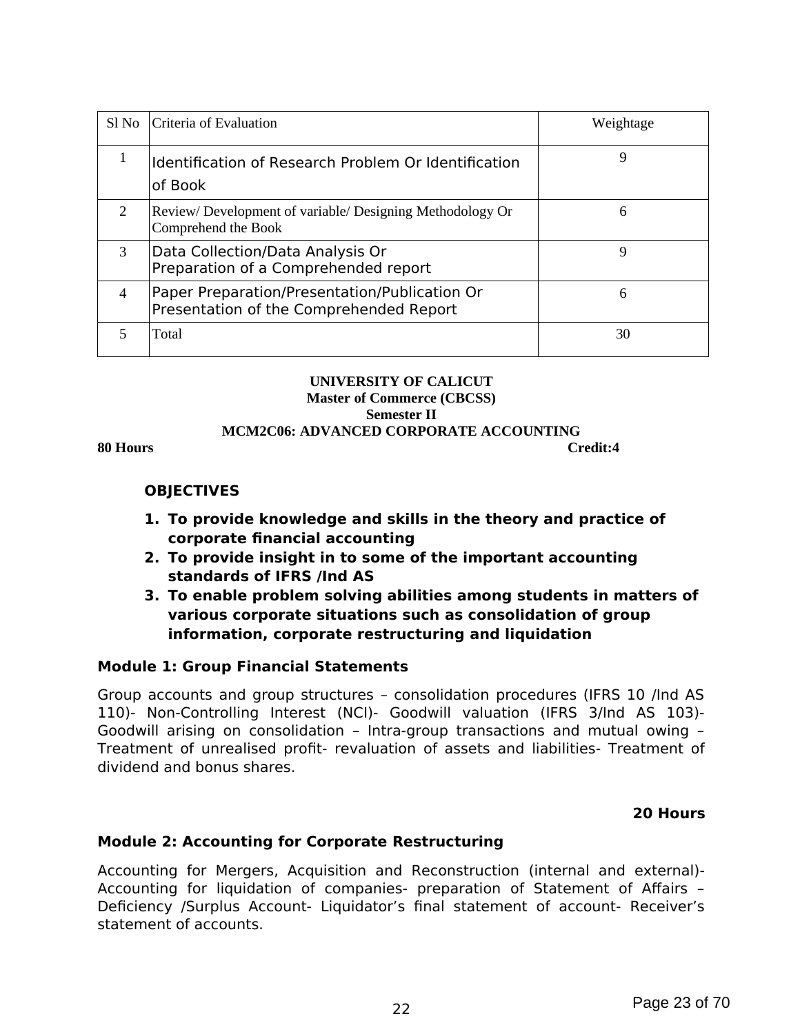| Sl No          | Criteria of Evaluation                                                                   | Weightage |
|----------------|------------------------------------------------------------------------------------------|-----------|
| 1              | Identification of Research Problem Or Identification<br>of Book                          | 9         |
| $\overline{2}$ | Review/Development of variable/Designing Methodology Or<br>Comprehend the Book           | 6         |
| 3              | Data Collection/Data Analysis Or<br>Preparation of a Comprehended report                 | 9         |
| 4              | Paper Preparation/Presentation/Publication Or<br>Presentation of the Comprehended Report | 6         |
| 5              | Total                                                                                    | 30        |

#### **UNIVERSITY OF CALICUT Master of Commerce (CBCSS) Semester II MCM2C06: ADVANCED CORPORATE ACCOUNTING 80 Hours Credit:4**

### **OBJECTIVES**

- **1. To provide knowledge and skills in the theory and practice of corporate financial accounting**
- **2. To provide insight in to some of the important accounting standards of IFRS /Ind AS**
- **3. To enable problem solving abilities among students in matters of various corporate situations such as consolidation of group information, corporate restructuring and liquidation**

## **Module 1: Group Financial Statements**

Group accounts and group structures – consolidation procedures (IFRS 10 /Ind AS 110)- Non-Controlling Interest (NCI)- Goodwill valuation (IFRS 3/Ind AS 103)- Goodwill arising on consolidation – Intra-group transactions and mutual owing – Treatment of unrealised profit- revaluation of assets and liabilities- Treatment of dividend and bonus shares.

### **20 Hours**

## **Module 2: Accounting for Corporate Restructuring**

Accounting for Mergers, Acquisition and Reconstruction (internal and external)- Accounting for liquidation of companies- preparation of Statement of Affairs – Deficiency /Surplus Account- Liquidator's final statement of account- Receiver's statement of accounts.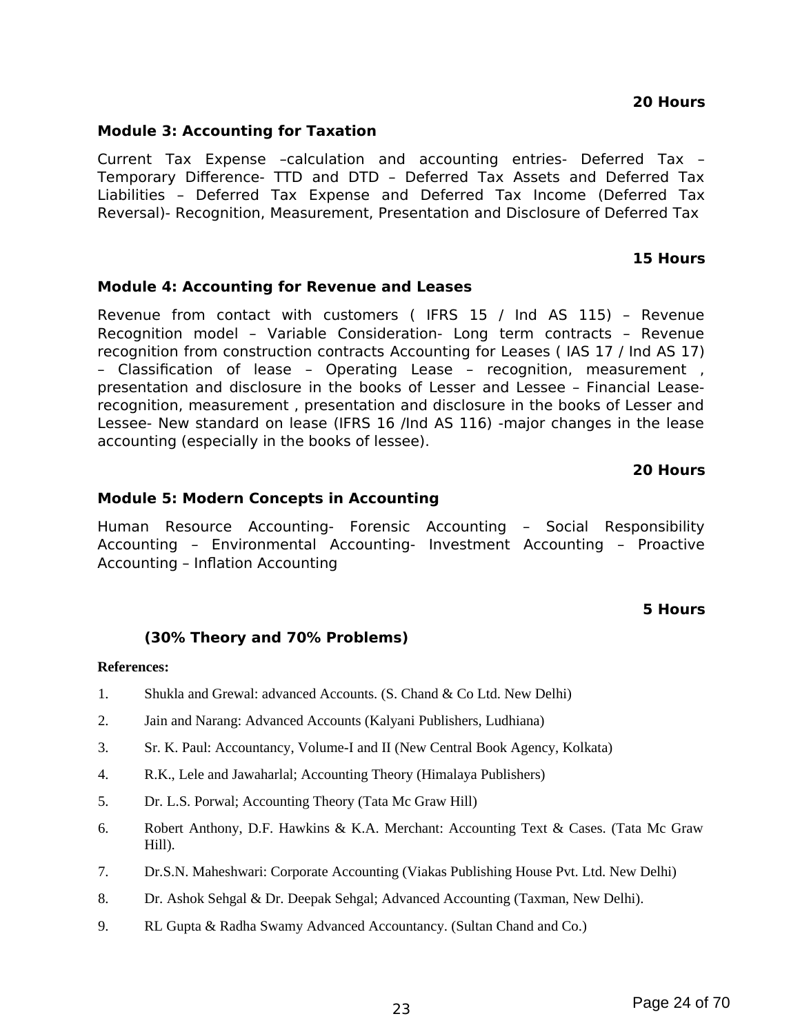#### **20 Hours**

## **Module 3: Accounting for Taxation**

Current Tax Expense –calculation and accounting entries- Deferred Tax – Temporary Difference- TTD and DTD – Deferred Tax Assets and Deferred Tax Liabilities – Deferred Tax Expense and Deferred Tax Income (Deferred Tax Reversal)- Recognition, Measurement, Presentation and Disclosure of Deferred Tax

### **15 Hours**

### **Module 4: Accounting for Revenue and Leases**

Revenue from contact with customers ( IFRS 15 / Ind AS 115) – Revenue Recognition model – Variable Consideration- Long term contracts – Revenue recognition from construction contracts Accounting for Leases ( IAS 17 / Ind AS 17) – Classification of lease – Operating Lease – recognition, measurement , presentation and disclosure in the books of Lesser and Lessee – Financial Leaserecognition, measurement , presentation and disclosure in the books of Lesser and Lessee- New standard on lease (IFRS 16 /Ind AS 116) -major changes in the lease accounting (especially in the books of lessee).

#### **20 Hours**

#### **Module 5: Modern Concepts in Accounting**

Human Resource Accounting- Forensic Accounting – Social Responsibility Accounting – Environmental Accounting- Investment Accounting – Proactive Accounting – Inflation Accounting

#### **5 Hours**

### **(30% Theory and 70% Problems)**

#### **References:**

- 1. Shukla and Grewal: advanced Accounts. (S. Chand & Co Ltd. New Delhi)
- 2. Jain and Narang: Advanced Accounts (Kalyani Publishers, Ludhiana)
- 3. Sr. K. Paul: Accountancy, Volume-I and II (New Central Book Agency, Kolkata)
- 4. R.K., Lele and Jawaharlal; Accounting Theory (Himalaya Publishers)
- 5. Dr. L.S. Porwal; Accounting Theory (Tata Mc Graw Hill)
- 6. Robert Anthony, D.F. Hawkins & K.A. Merchant: Accounting Text & Cases. (Tata Mc Graw Hill).
- 7. Dr.S.N. Maheshwari: Corporate Accounting (Viakas Publishing House Pvt. Ltd. New Delhi)
- 8. Dr. Ashok Sehgal & Dr. Deepak Sehgal; Advanced Accounting (Taxman, New Delhi).
- 9. RL Gupta & Radha Swamy Advanced Accountancy. (Sultan Chand and Co.)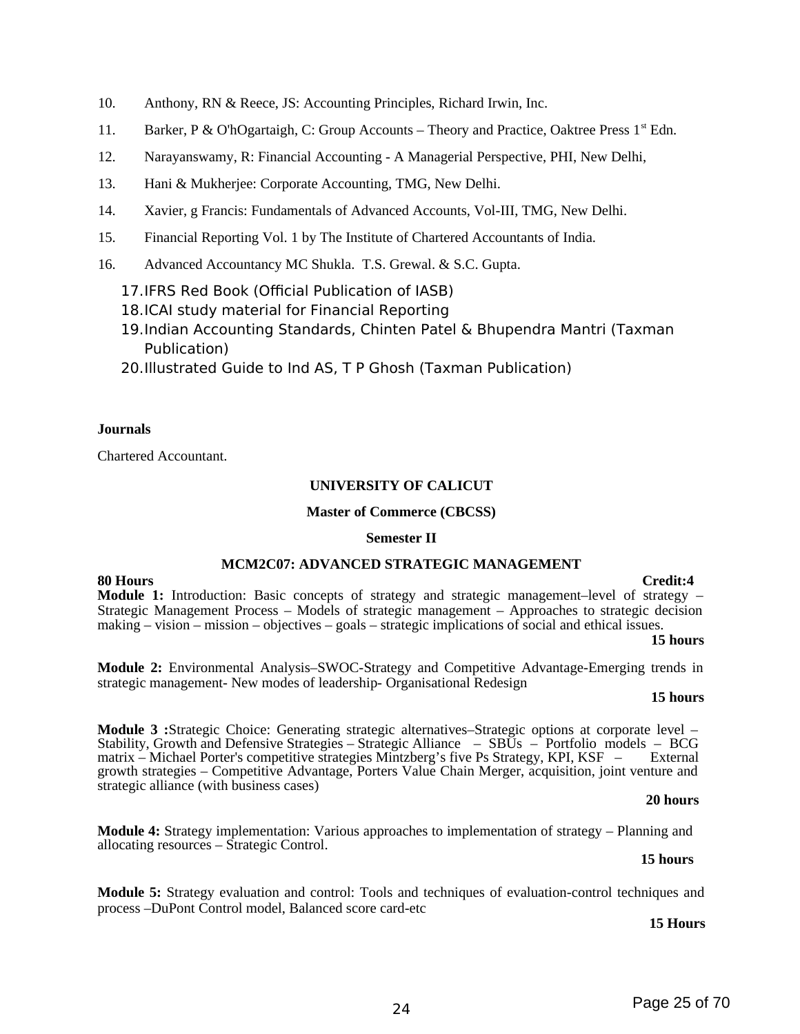- 10. Anthony, RN & Reece, JS: Accounting Principles, Richard Irwin, Inc.
- 11. Barker, P & O'hOgartaigh, C: Group Accounts Theory and Practice, Oaktree Press 1<sup>st</sup> Edn.
- 12. Narayanswamy, R: Financial Accounting A Managerial Perspective, PHI, New Delhi,
- 13. Hani & Mukherjee: Corporate Accounting, TMG, New Delhi.
- 14. Xavier, g Francis: Fundamentals of Advanced Accounts, Vol-III, TMG, New Delhi.
- 15. Financial Reporting Vol. 1 by The Institute of Chartered Accountants of India.
- 16. Advanced Accountancy MC Shukla. T.S. Grewal. & S.C. Gupta.
	- 17.IFRS Red Book (Official Publication of IASB)
	- 18.ICAI study material for Financial Reporting
	- 19.Indian Accounting Standards, Chinten Patel & Bhupendra Mantri (Taxman Publication)
	- 20.Illustrated Guide to Ind AS, T P Ghosh (Taxman Publication)

#### **Journals**

Chartered Accountant.

#### **UNIVERSITY OF CALICUT**

#### **Master of Commerce (CBCSS)**

#### **Semester II**

#### **MCM2C07: ADVANCED STRATEGIC MANAGEMENT**

**80 Hours Credit:4 Module 1:** Introduction: Basic concepts of strategy and strategic management–level of strategy – Strategic Management Process – Models of strategic management – Approaches to strategic decision making – vision – mission – objectives – goals – strategic implications of social and ethical issues.

#### **15 hours**

**Module 2:** Environmental Analysis–SWOC-Strategy and Competitive Advantage-Emerging trends in strategic management- New modes of leadership- Organisational Redesign

#### **15 hours**

**Module 3 :**Strategic Choice: Generating strategic alternatives–Strategic options at corporate level – Stability, Growth and Defensive Strategies – Strategic Alliance – SBUs – Portfolio models – BCG matrix – Michael Porter's competitive strategies Mintzberg's five Ps Strategy, KPI, KSF – External growth strategies – Competitive Advantage, Porters Value Chain Merger, acquisition, joint venture and strategic alliance (with business cases)

#### **20 hours**

**Module 4:** Strategy implementation: Various approaches to implementation of strategy – Planning and allocating resources – Strategic Control.

#### **15 hours**

**Module 5:** Strategy evaluation and control: Tools and techniques of evaluation-control techniques and process –DuPont Control model, Balanced score card-etc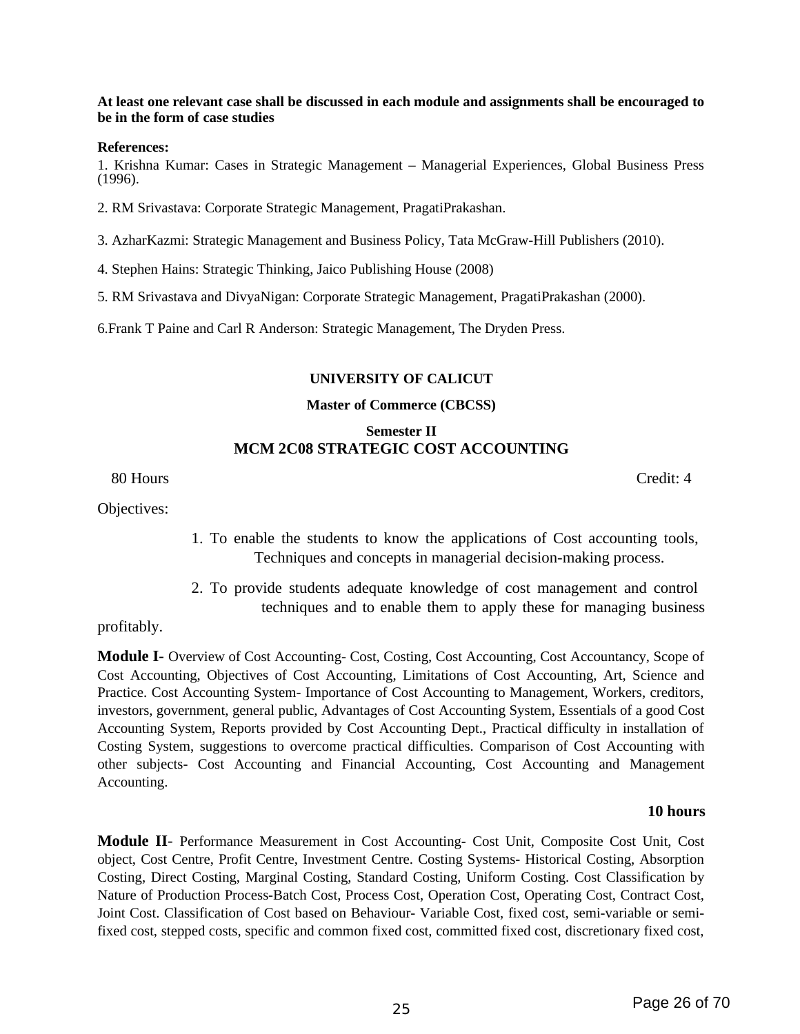#### **At least one relevant case shall be discussed in each module and assignments shall be encouraged to be in the form of case studies**

#### **References:**

1. Krishna Kumar: Cases in Strategic Management – Managerial Experiences, Global Business Press (1996).

2. RM Srivastava: Corporate Strategic Management, PragatiPrakashan.

3. AzharKazmi: Strategic Management and Business Policy, Tata McGraw-Hill Publishers (2010).

4. Stephen Hains: Strategic Thinking, Jaico Publishing House (2008)

5. RM Srivastava and DivyaNigan: Corporate Strategic Management, PragatiPrakashan (2000).

6.Frank T Paine and Carl R Anderson: Strategic Management, The Dryden Press.

#### **UNIVERSITY OF CALICUT**

#### **Master of Commerce (CBCSS)**

## **Semester II MCM 2C08 STRATEGIC COST ACCOUNTING**

80 Hours Credit: 4

Objectives:

- 1. To enable the students to know the applications of Cost accounting tools, Techniques and concepts in managerial decision-making process.
- 2. To provide students adequate knowledge of cost management and control techniques and to enable them to apply these for managing business

profitably.

**Module I-** Overview of Cost Accounting- Cost, Costing, Cost Accounting, Cost Accountancy, Scope of Cost Accounting, Objectives of Cost Accounting, Limitations of Cost Accounting, Art, Science and Practice. Cost Accounting System- Importance of Cost Accounting to Management, Workers, creditors, investors, government, general public, Advantages of Cost Accounting System, Essentials of a good Cost Accounting System, Reports provided by Cost Accounting Dept., Practical difficulty in installation of Costing System, suggestions to overcome practical difficulties. Comparison of Cost Accounting with other subjects- Cost Accounting and Financial Accounting, Cost Accounting and Management Accounting.

#### **10 hours**

**Module II**- Performance Measurement in Cost Accounting- Cost Unit, Composite Cost Unit, Cost object, Cost Centre, Profit Centre, Investment Centre. Costing Systems- Historical Costing, Absorption Costing, Direct Costing, Marginal Costing, Standard Costing, Uniform Costing. Cost Classification by Nature of Production Process-Batch Cost, Process Cost, Operation Cost, Operating Cost, Contract Cost, Joint Cost. Classification of Cost based on Behaviour- Variable Cost, fixed cost, semi-variable or semifixed cost, stepped costs, specific and common fixed cost, committed fixed cost, discretionary fixed cost,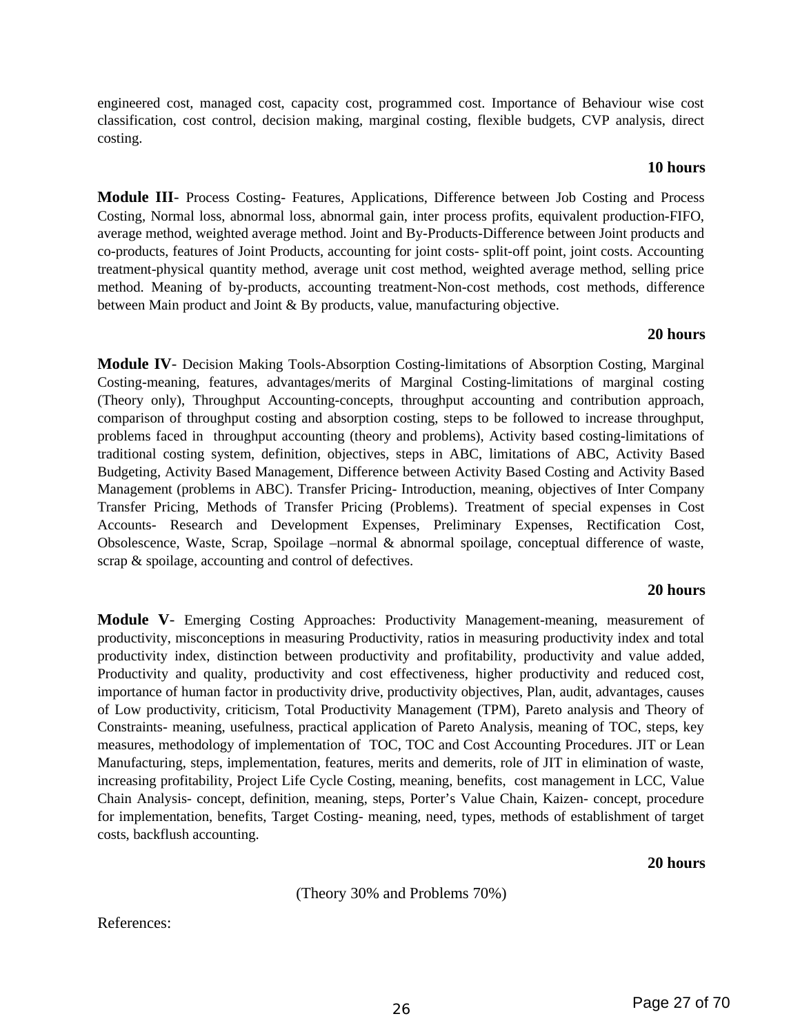engineered cost, managed cost, capacity cost, programmed cost. Importance of Behaviour wise cost classification, cost control, decision making, marginal costing, flexible budgets, CVP analysis, direct costing.

#### **10 hours**

**Module III**- Process Costing- Features, Applications, Difference between Job Costing and Process Costing, Normal loss, abnormal loss, abnormal gain, inter process profits, equivalent production-FIFO, average method, weighted average method. Joint and By-Products-Difference between Joint products and co-products, features of Joint Products, accounting for joint costs- split-off point, joint costs. Accounting treatment-physical quantity method, average unit cost method, weighted average method, selling price method. Meaning of by-products, accounting treatment-Non-cost methods, cost methods, difference between Main product and Joint & By products, value, manufacturing objective.

#### **20 hours**

**Module IV**- Decision Making Tools-Absorption Costing-limitations of Absorption Costing, Marginal Costing-meaning, features, advantages/merits of Marginal Costing-limitations of marginal costing (Theory only), Throughput Accounting-concepts, throughput accounting and contribution approach, comparison of throughput costing and absorption costing, steps to be followed to increase throughput, problems faced in throughput accounting (theory and problems), Activity based costing-limitations of traditional costing system, definition, objectives, steps in ABC, limitations of ABC, Activity Based Budgeting, Activity Based Management, Difference between Activity Based Costing and Activity Based Management (problems in ABC). Transfer Pricing- Introduction, meaning, objectives of Inter Company Transfer Pricing, Methods of Transfer Pricing (Problems). Treatment of special expenses in Cost Accounts- Research and Development Expenses, Preliminary Expenses, Rectification Cost, Obsolescence, Waste, Scrap, Spoilage –normal & abnormal spoilage, conceptual difference of waste, scrap & spoilage, accounting and control of defectives.

### **20 hours**

**Module V**- Emerging Costing Approaches: Productivity Management-meaning, measurement of productivity, misconceptions in measuring Productivity, ratios in measuring productivity index and total productivity index, distinction between productivity and profitability, productivity and value added, Productivity and quality, productivity and cost effectiveness, higher productivity and reduced cost, importance of human factor in productivity drive, productivity objectives, Plan, audit, advantages, causes of Low productivity, criticism, Total Productivity Management (TPM), Pareto analysis and Theory of Constraints- meaning, usefulness, practical application of Pareto Analysis, meaning of TOC, steps, key measures, methodology of implementation of TOC, TOC and Cost Accounting Procedures. JIT or Lean Manufacturing, steps, implementation, features, merits and demerits, role of JIT in elimination of waste, increasing profitability, Project Life Cycle Costing, meaning, benefits, cost management in LCC, Value Chain Analysis- concept, definition, meaning, steps, Porter's Value Chain, Kaizen- concept, procedure for implementation, benefits, Target Costing- meaning, need, types, methods of establishment of target costs, backflush accounting.

**20 hours**

(Theory 30% and Problems 70%)

References: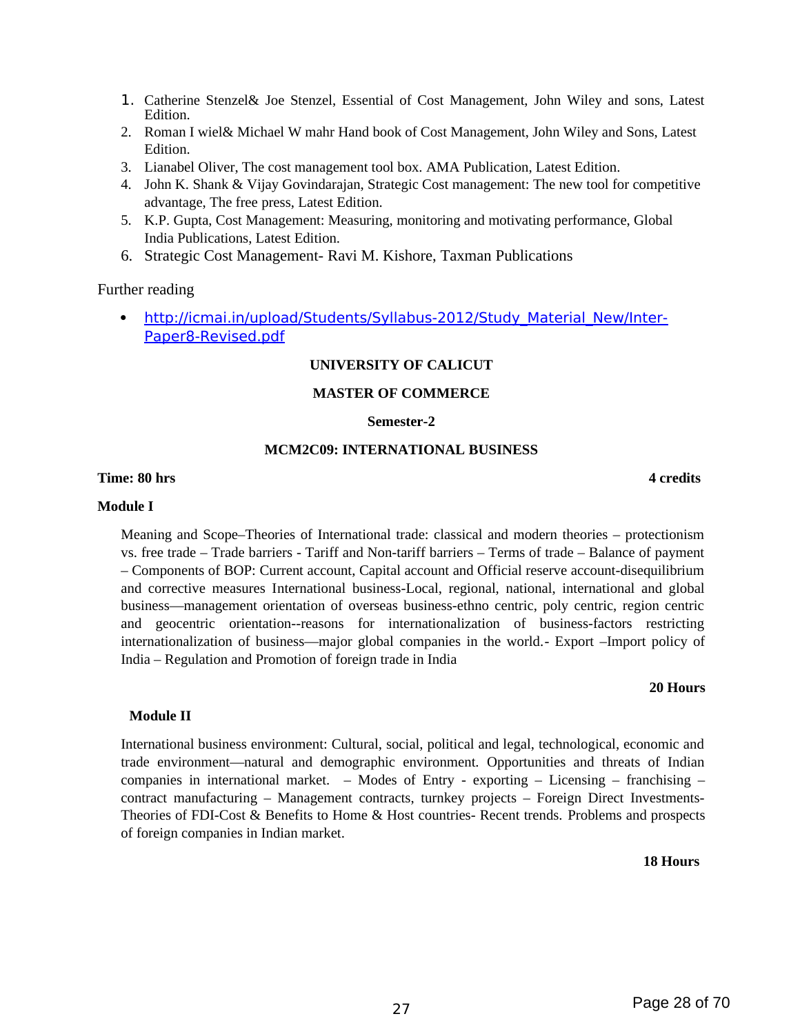- 1. Catherine Stenzel& Joe Stenzel, Essential of Cost Management, John Wiley and sons, Latest Edition.
- 2. Roman I wiel& Michael W mahr Hand book of Cost Management, John Wiley and Sons, Latest Edition.
- 3. Lianabel Oliver, The cost management tool box. AMA Publication, Latest Edition.
- 4. John K. Shank & Vijay Govindarajan, Strategic Cost management: The new tool for competitive advantage, The free press, Latest Edition.
- 5. K.P. Gupta, Cost Management: Measuring, monitoring and motivating performance, Global India Publications, Latest Edition.
- 6. Strategic Cost Management- Ravi M. Kishore, Taxman Publications

#### Further reading

• http://icmai.in/upload/Students/Syllabus-2012/Study Material New/Inter-Paper8-Revised.pdf

#### **UNIVERSITY OF CALICUT**

#### **MASTER OF COMMERCE**

#### **Semester-2**

#### **MCM2C09: INTERNATIONAL BUSINESS**

#### **Time: 80 hrs** 4 credits

#### **Module I**

Meaning and Scope–Theories of International trade: classical and modern theories – protectionism vs. free trade – Trade barriers - Tariff and Non-tariff barriers – Terms of trade – Balance of payment – Components of BOP: Current account, Capital account and Official reserve account-disequilibrium and corrective measures International business-Local, regional, national, international and global business—management orientation of overseas business-ethno centric, poly centric, region centric and geocentric orientation--reasons for internationalization of business-factors restricting internationalization of business—major global companies in the world.- Export –Import policy of India – Regulation and Promotion of foreign trade in India

#### **20 Hours**

#### **Module II**

International business environment: Cultural, social, political and legal, technological, economic and trade environment—natural and demographic environment. Opportunities and threats of Indian companies in international market. – Modes of Entry - exporting – Licensing – franchising – contract manufacturing – Management contracts, turnkey projects – Foreign Direct Investments-Theories of FDI-Cost & Benefits to Home & Host countries- Recent trends. Problems and prospects of foreign companies in Indian market.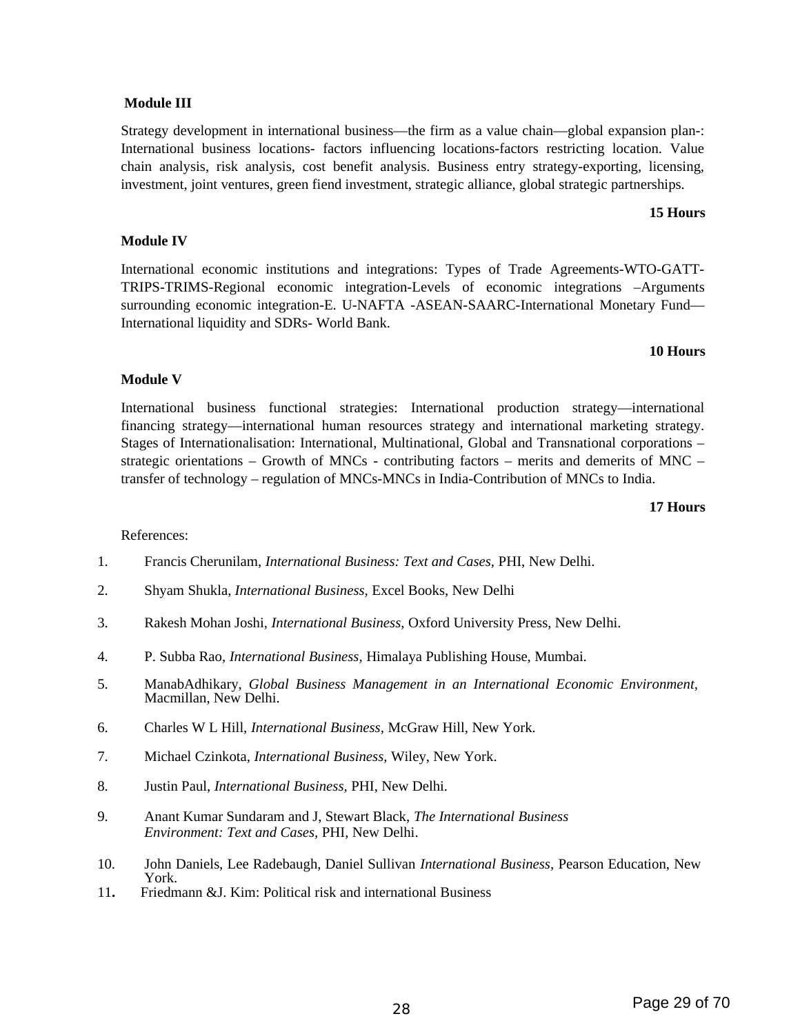#### **Module III**

Strategy development in international business—the firm as a value chain—global expansion plan-: International business locations- factors influencing locations-factors restricting location. Value chain analysis, risk analysis, cost benefit analysis. Business entry strategy-exporting, licensing, investment, joint ventures, green fiend investment, strategic alliance, global strategic partnerships.

#### **15 Hours**

#### **Module IV**

International economic institutions and integrations: Types of Trade Agreements-WTO-GATT-TRIPS-TRIMS-Regional economic integration-Levels of economic integrations –Arguments surrounding economic integration-E. U-NAFTA -ASEAN-SAARC-International Monetary Fund— International liquidity and SDRs- World Bank.

#### **10 Hours**

#### **Module V**

International business functional strategies: International production strategy—international financing strategy—international human resources strategy and international marketing strategy. Stages of Internationalisation: International, Multinational, Global and Transnational corporations – strategic orientations – Growth of MNCs - contributing factors – merits and demerits of MNC – transfer of technology – regulation of MNCs-MNCs in India-Contribution of MNCs to India.

#### **17 Hours**

#### References:

- 1. Francis Cherunilam, *International Business: Text and Cases,* PHI, New Delhi.
- 2. Shyam Shukla, *International Business,* Excel Books, New Delhi
- 3. Rakesh Mohan Joshi, *International Business,* Oxford University Press, New Delhi.
- 4. P. Subba Rao, *International Business,* Himalaya Publishing House, Mumbai.
- 5. ManabAdhikary, *Global Business Management in an International Economic Environment,*  Macmillan, New Delhi.
- 6. Charles W L Hill, *International Business,* McGraw Hill, New York.
- 7. Michael Czinkota, *International Business,* Wiley, New York.
- 8. Justin Paul, *International Business,* PHI, New Delhi.
- 9. Anant Kumar Sundaram and J, Stewart Black, *The International Business Environment: Text and Cases,* PHI, New Delhi.
- 10. John Daniels, Lee Radebaugh, Daniel Sullivan *International Business,* Pearson Education, New York.
- 11**.** Friedmann &J. Kim: Political risk and international Business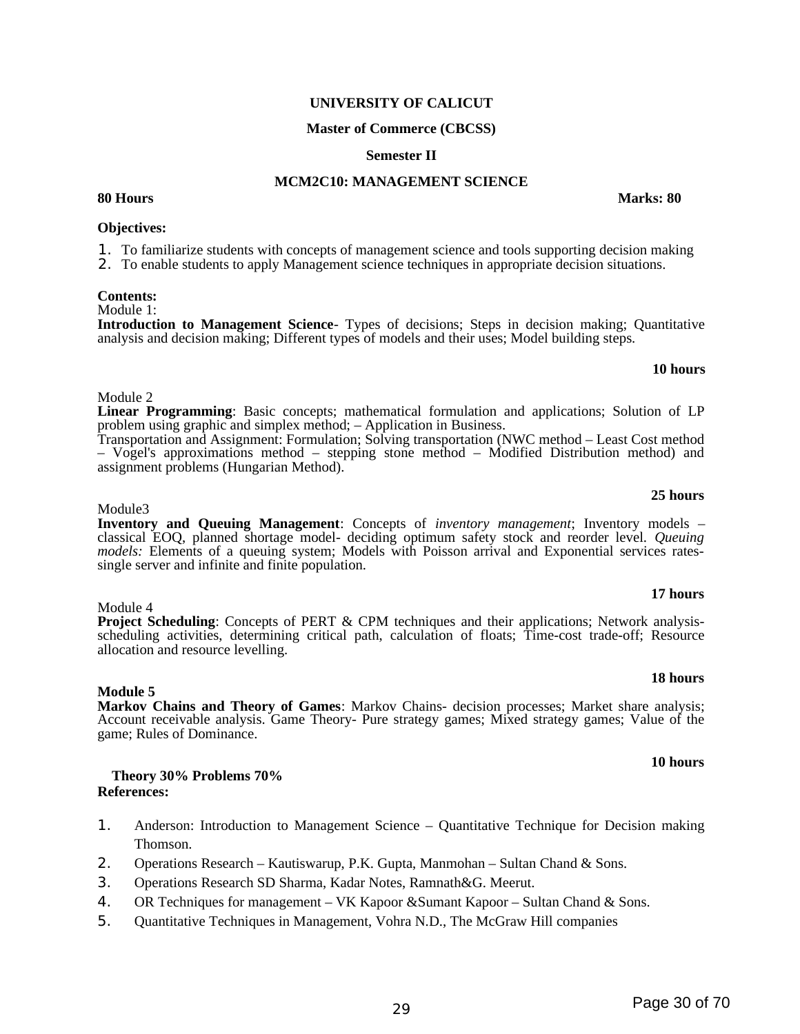## **UNIVERSITY OF CALICUT**

### **Master of Commerce (CBCSS)**

### **Semester II**

### **MCM2C10: MANAGEMENT SCIENCE**

### **Objectives:**

1. To familiarize students with concepts of management science and tools supporting decision making

2. To enable students to apply Management science techniques in appropriate decision situations.

#### **Contents:**

Module 1:

Module 2

Module3

**Introduction to Management Science**- Types of decisions; Steps in decision making; Quantitative analysis and decision making; Different types of models and their uses; Model building steps.

**Linear Programming**: Basic concepts; mathematical formulation and applications; Solution of LP

Transportation and Assignment: Formulation; Solving transportation (NWC method – Least Cost method – Vogel's approximations method – stepping stone method – Modified Distribution method) and

problem using graphic and simplex method; – Application in Business.

assignment problems (Hungarian Method).

#### **10 hours**

**25 hours**

### **17 hours**

### **18 hours**

**10 hours** 

**Inventory and Queuing Management**: Concepts of *inventory management*; Inventory models – classical EOQ, planned shortage model- deciding optimum safety stock and reorder level. *Queuing models:* Elements of a queuing system; Models with Poisson arrival and Exponential services ratessingle server and infinite and finite population.

Module 4 **Project Scheduling**: Concepts of PERT & CPM techniques and their applications; Network analysisscheduling activities, determining critical path, calculation of floats; Time-cost trade-off; Resource allocation and resource levelling.

**Module 5 Markov Chains and Theory of Games**: Markov Chains- decision processes; Market share analysis; Account receivable analysis. Game Theory- Pure strategy games; Mixed strategy games; Value of the game; Rules of Dominance.

 **Theory 30% Problems 70% References:**

- 1. Anderson: Introduction to Management Science Quantitative Technique for Decision making Thomson.
- 2. Operations Research Kautiswarup, P.K. Gupta, Manmohan Sultan Chand & Sons.
- 3. Operations Research SD Sharma, Kadar Notes, Ramnath&G. Meerut.
- 4. OR Techniques for management VK Kapoor &Sumant Kapoor Sultan Chand & Sons.
- 5. Quantitative Techniques in Management, Vohra N.D., The McGraw Hill companies

#### **80 Hours Marks: 80**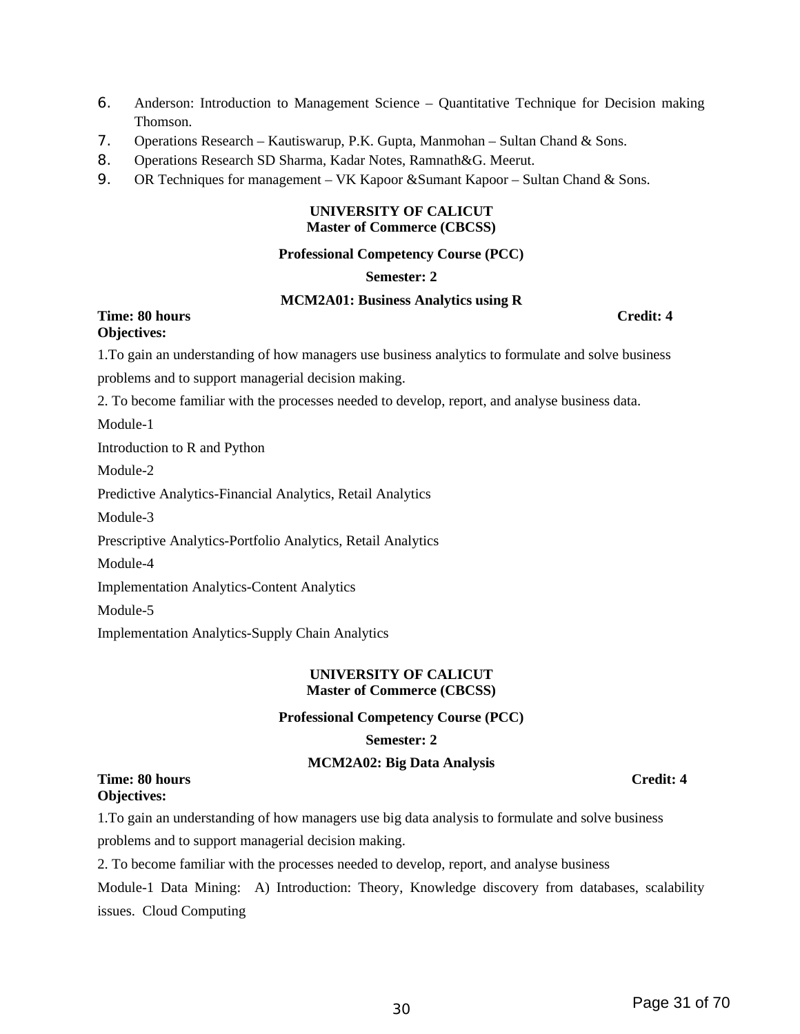- 6. Anderson: Introduction to Management Science Quantitative Technique for Decision making Thomson.
- 7. Operations Research Kautiswarup, P.K. Gupta, Manmohan Sultan Chand & Sons.
- 8. Operations Research SD Sharma, Kadar Notes, Ramnath&G. Meerut.
- 9. OR Techniques for management VK Kapoor & Sumant Kapoor Sultan Chand & Sons.

#### **UNIVERSITY OF CALICUT Master of Commerce (CBCSS)**

#### **Professional Competency Course (PCC)**

#### **Semester: 2**

#### **MCM2A01: Business Analytics using R**

#### **Time: 80 hours Credit: 4 Objectives:**

1.To gain an understanding of how managers use business analytics to formulate and solve business

problems and to support managerial decision making.

2. To become familiar with the processes needed to develop, report, and analyse business data.

Module-1

Introduction to R and Python

Module-2

Predictive Analytics-Financial Analytics, Retail Analytics

Module-3

Prescriptive Analytics-Portfolio Analytics, Retail Analytics

Module-4

Implementation Analytics-Content Analytics

Module-5

Implementation Analytics-Supply Chain Analytics

#### **UNIVERSITY OF CALICUT Master of Commerce (CBCSS)**

#### **Professional Competency Course (PCC)**

#### **Semester: 2**

#### **MCM2A02: Big Data Analysis**

**Time: 80 hours Credit: 4 Objectives:**

1.To gain an understanding of how managers use big data analysis to formulate and solve business problems and to support managerial decision making.

2. To become familiar with the processes needed to develop, report, and analyse business

Module-1 Data Mining: A) Introduction: Theory, Knowledge discovery from databases, scalability issues. Cloud Computing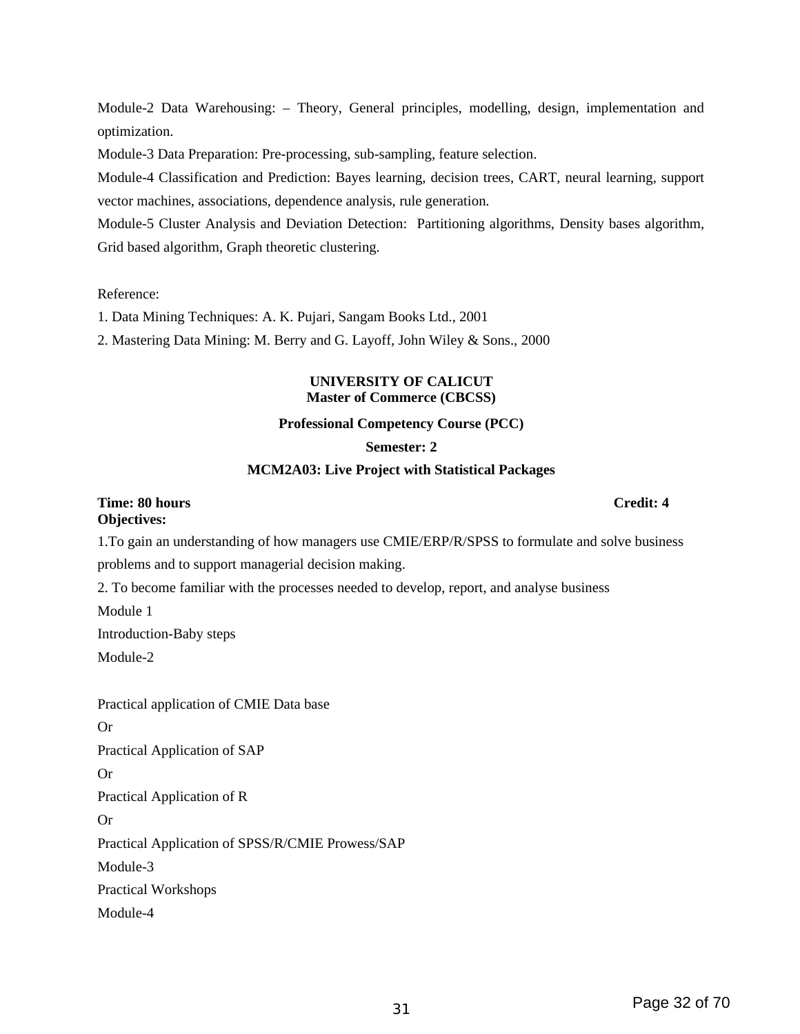Grid based algorithm, Graph theoretic clustering.

Reference:

optimization.

1. Data Mining Techniques: A. K. Pujari, Sangam Books Ltd., 2001

vector machines, associations, dependence analysis, rule generation.

2. Mastering Data Mining: M. Berry and G. Layoff, John Wiley & Sons., 2000

Module-3 Data Preparation: Pre-processing, sub-sampling, feature selection.

#### **UNIVERSITY OF CALICUT Master of Commerce (CBCSS)**

Module-2 Data Warehousing: – Theory, General principles, modelling, design, implementation and

Module-4 Classification and Prediction: Bayes learning, decision trees, CART, neural learning, support

Module-5 Cluster Analysis and Deviation Detection: Partitioning algorithms, Density bases algorithm,

#### **Professional Competency Course (PCC)**

#### **Semester: 2**

#### **MCM2A03: Live Project with Statistical Packages**

#### **Time: 80 hours Credit: 4 Objectives:**

1.To gain an understanding of how managers use CMIE/ERP/R/SPSS to formulate and solve business problems and to support managerial decision making.

2. To become familiar with the processes needed to develop, report, and analyse business

Module 1

Introduction-Baby steps

Module-2

Practical application of CMIE Data base

Or

Practical Application of SAP

Or

Practical Application of R

Or

Practical Application of SPSS/R/CMIE Prowess/SAP

Module-3

Practical Workshops

Module-4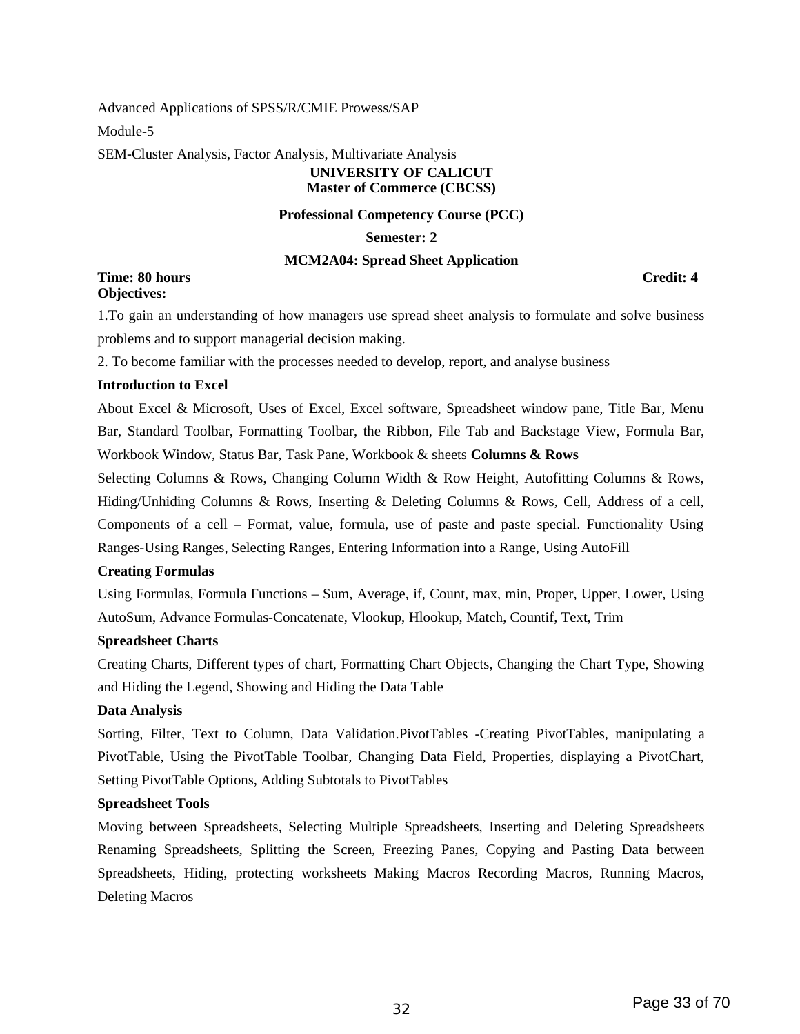Advanced Applications of SPSS/R/CMIE Prowess/SAP Module-5

SEM-Cluster Analysis, Factor Analysis, Multivariate Analysis

### **UNIVERSITY OF CALICUT Master of Commerce (CBCSS)**

#### **Professional Competency Course (PCC)**

**Semester: 2**

#### **MCM2A04: Spread Sheet Application**

**Time: 80 hours Credit: 4 Objectives:**

1.To gain an understanding of how managers use spread sheet analysis to formulate and solve business problems and to support managerial decision making.

2. To become familiar with the processes needed to develop, report, and analyse business

#### **Introduction to Excel**

About Excel & Microsoft, Uses of Excel, Excel software, Spreadsheet window pane, Title Bar, Menu Bar, Standard Toolbar, Formatting Toolbar, the Ribbon, File Tab and Backstage View, Formula Bar, Workbook Window, Status Bar, Task Pane, Workbook & sheets **Columns & Rows** 

Selecting Columns & Rows, Changing Column Width & Row Height, Autofitting Columns & Rows, Hiding/Unhiding Columns & Rows, Inserting & Deleting Columns & Rows, Cell, Address of a cell, Components of a cell – Format, value, formula, use of paste and paste special. Functionality Using Ranges-Using Ranges, Selecting Ranges, Entering Information into a Range, Using AutoFill

#### **Creating Formulas**

Using Formulas, Formula Functions – Sum, Average, if, Count, max, min, Proper, Upper, Lower, Using AutoSum, Advance Formulas-Concatenate, Vlookup, Hlookup, Match, Countif, Text, Trim

#### **Spreadsheet Charts**

Creating Charts, Different types of chart, Formatting Chart Objects, Changing the Chart Type, Showing and Hiding the Legend, Showing and Hiding the Data Table

#### **Data Analysis**

Sorting, Filter, Text to Column, Data Validation.PivotTables -Creating PivotTables, manipulating a PivotTable, Using the PivotTable Toolbar, Changing Data Field, Properties, displaying a PivotChart, Setting PivotTable Options, Adding Subtotals to PivotTables

#### **Spreadsheet Tools**

Moving between Spreadsheets, Selecting Multiple Spreadsheets, Inserting and Deleting Spreadsheets Renaming Spreadsheets, Splitting the Screen, Freezing Panes, Copying and Pasting Data between Spreadsheets, Hiding, protecting worksheets Making Macros Recording Macros, Running Macros, Deleting Macros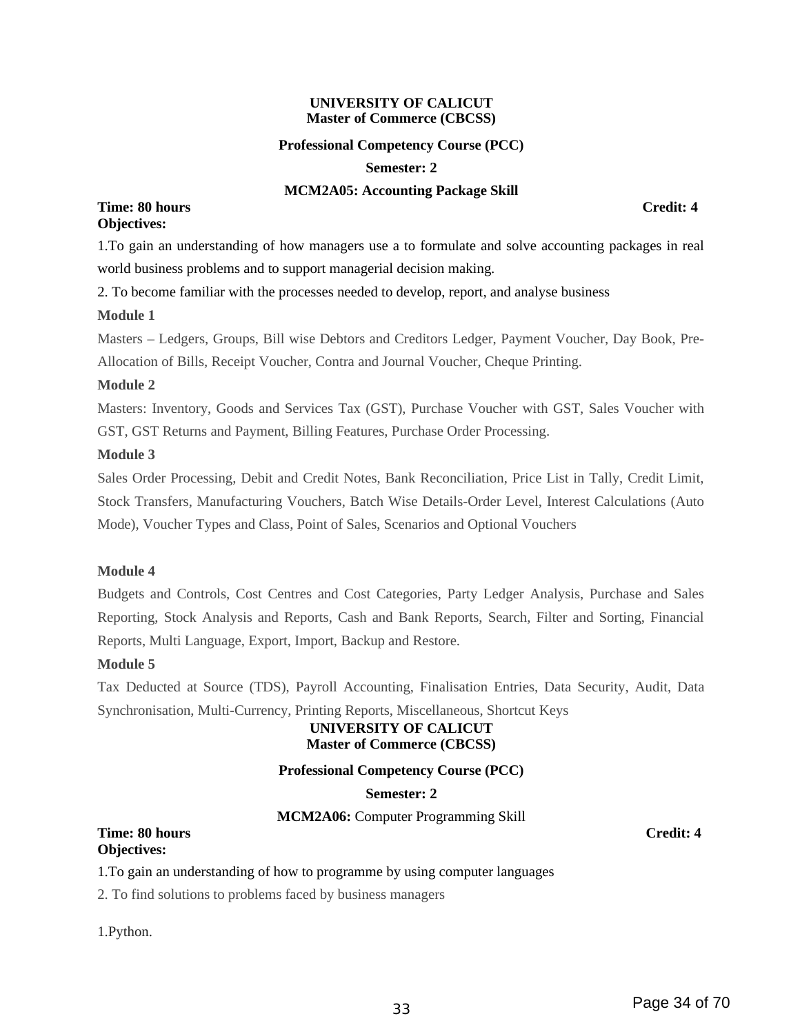#### **UNIVERSITY OF CALICUT Master of Commerce (CBCSS)**

#### **Professional Competency Course (PCC)**

#### **Semester: 2**

#### **MCM2A05: Accounting Package Skill**

#### **Time: 80 hours Credit: 4 Objectives:**

1.To gain an understanding of how managers use a to formulate and solve accounting packages in real world business problems and to support managerial decision making.

2. To become familiar with the processes needed to develop, report, and analyse business

#### **Module 1**

Masters – Ledgers, Groups, Bill wise Debtors and Creditors Ledger, Payment Voucher, Day Book, Pre-Allocation of Bills, Receipt Voucher, Contra and Journal Voucher, Cheque Printing.

#### **Module 2**

Masters: Inventory, Goods and Services Tax (GST), Purchase Voucher with GST, Sales Voucher with GST, GST Returns and Payment, Billing Features, Purchase Order Processing.

#### **Module 3**

Sales Order Processing, Debit and Credit Notes, Bank Reconciliation, Price List in Tally, Credit Limit, Stock Transfers, Manufacturing Vouchers, Batch Wise Details-Order Level, Interest Calculations (Auto Mode), Voucher Types and Class, Point of Sales, Scenarios and Optional Vouchers

#### **Module 4**

Budgets and Controls, Cost Centres and Cost Categories, Party Ledger Analysis, Purchase and Sales Reporting, Stock Analysis and Reports, Cash and Bank Reports, Search, Filter and Sorting, Financial Reports, Multi Language, Export, Import, Backup and Restore.

#### **Module 5**

Tax Deducted at Source (TDS), Payroll Accounting, Finalisation Entries, Data Security, Audit, Data Synchronisation, Multi-Currency, Printing Reports, Miscellaneous, Shortcut Keys

#### **UNIVERSITY OF CALICUT Master of Commerce (CBCSS)**

#### **Professional Competency Course (PCC)**

#### **Semester: 2**

**MCM2A06:** Computer Programming Skill

#### **Time: 80 hours Credit: 4 Objectives:**

#### 1.To gain an understanding of how to programme by using computer languages

2. To find solutions to problems faced by business managers

1.Python.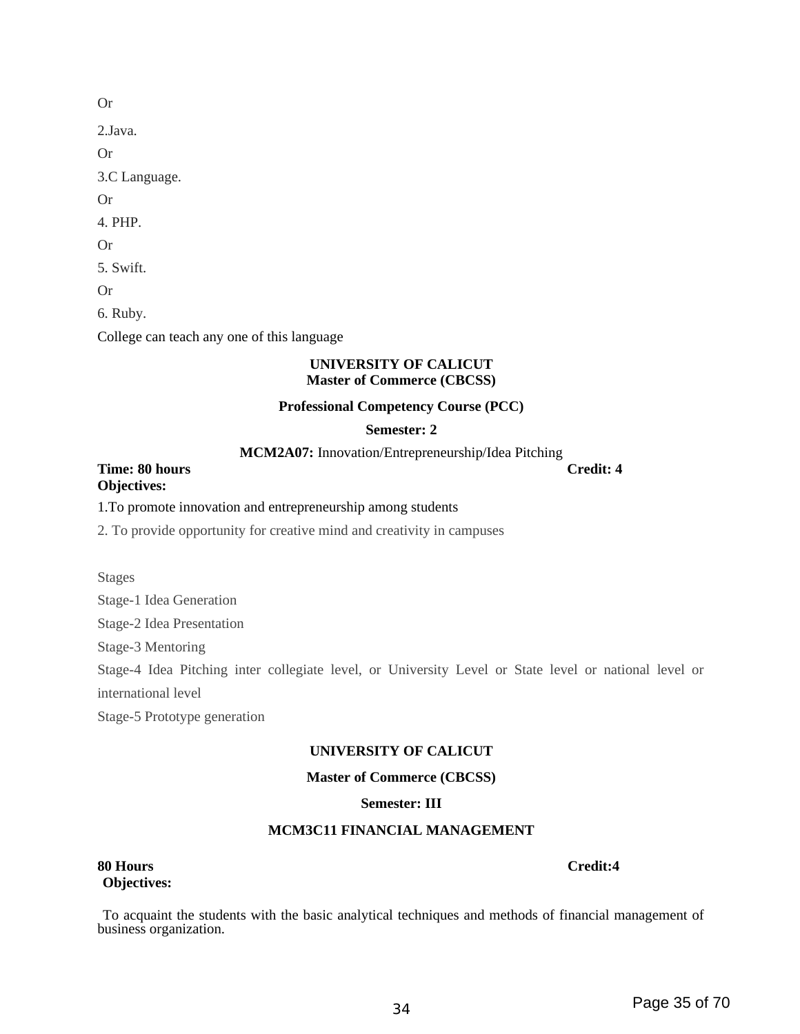2.Java. Or 3.C Language. Or 4. PHP. 5. Swift. 6. Ruby. College can teach any one of this language

#### **UNIVERSITY OF CALICUT Master of Commerce (CBCSS)**

#### **Professional Competency Course (PCC)**

#### **Semester: 2**

**MCM2A07:** Innovation/Entrepreneurship/Idea Pitching

**Time: 80 hours Credit: 4 Objectives:**

#### 1.To promote innovation and entrepreneurship among students

2. To provide opportunity for creative mind and creativity in campuses

Stages

Stage-1 Idea Generation

Stage-2 Idea Presentation

Stage-3 Mentoring

Stage-4 Idea Pitching inter collegiate level, or University Level or State level or national level or international level

Stage-5 Prototype generation

### **UNIVERSITY OF CALICUT**

#### **Master of Commerce (CBCSS)**

#### **Semester: III**

#### **MCM3C11 FINANCIAL MANAGEMENT**

#### **80 Hours Credit:4 Objectives:**

 To acquaint the students with the basic analytical techniques and methods of financial management of business organization.

<sup>34</sup> Page 35 of 70

Or

Or

Or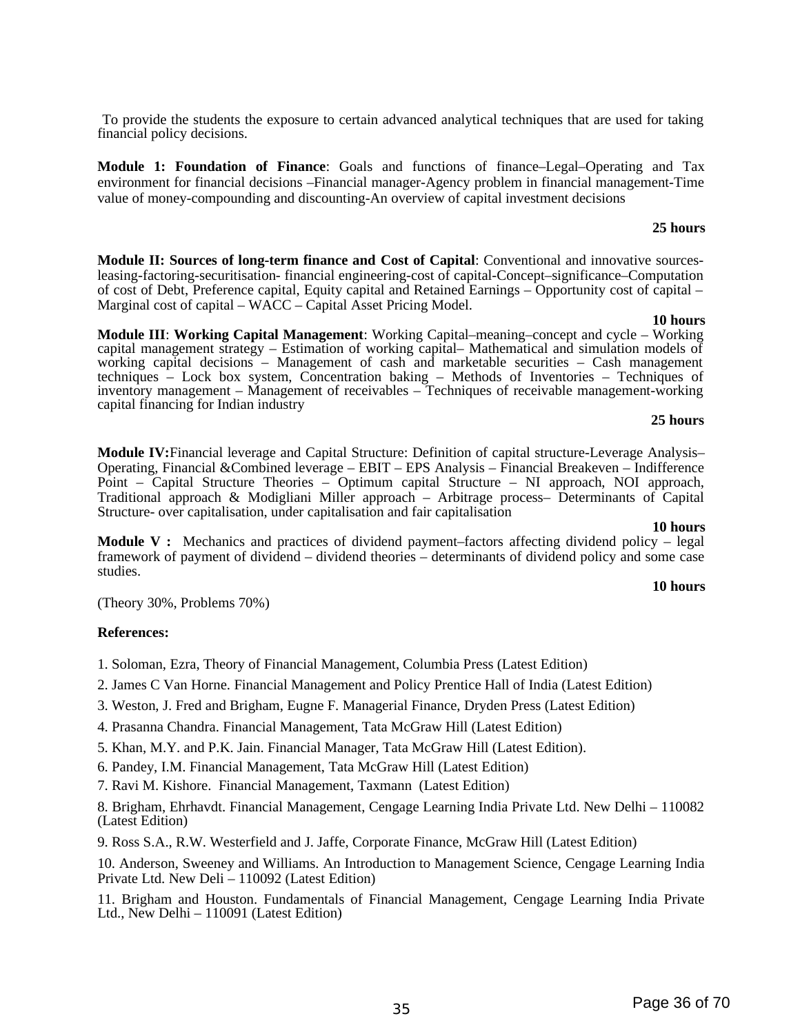<sup>35</sup> Page 36 of 70

 To provide the students the exposure to certain advanced analytical techniques that are used for taking financial policy decisions.

**Module 1: Foundation of Finance**: Goals and functions of finance–Legal–Operating and Tax environment for financial decisions –Financial manager-Agency problem in financial management-Time value of money-compounding and discounting-An overview of capital investment decisions

#### **25 hours**

**Module II: Sources of long-term finance and Cost of Capital**: Conventional and innovative sourcesleasing-factoring-securitisation- financial engineering-cost of capital-Concept–significance–Computation of cost of Debt, Preference capital, Equity capital and Retained Earnings – Opportunity cost of capital – Marginal cost of capital – WACC – Capital Asset Pricing Model.

**10 hours Module III**: **Working Capital Management**: Working Capital–meaning–concept and cycle – Working capital management strategy – Estimation of working capital– Mathematical and simulation models of working capital decisions – Management of cash and marketable securities – Cash management techniques – Lock box system, Concentration baking – Methods of Inventories – Techniques of inventory management – Management of receivables – Techniques of receivable management-working capital financing for Indian industry

#### **25 hours**

**Module IV:**Financial leverage and Capital Structure: Definition of capital structure-Leverage Analysis– Operating, Financial &Combined leverage – EBIT – EPS Analysis – Financial Breakeven – Indifference Point – Capital Structure Theories – Optimum capital Structure – NI approach, NOI approach, Traditional approach & Modigliani Miller approach – Arbitrage process– Determinants of Capital Structure- over capitalisation, under capitalisation and fair capitalisation

#### **10 hours**

**10 hours**

**Module V :** Mechanics and practices of dividend payment–factors affecting dividend policy – legal framework of payment of dividend – dividend theories – determinants of dividend policy and some case studies.

(Theory 30%, Problems 70%)

#### **References:**

- 1. Soloman, Ezra, Theory of Financial Management, Columbia Press (Latest Edition)
- 2. James C Van Horne. Financial Management and Policy Prentice Hall of India (Latest Edition)
- 3. Weston, J. Fred and Brigham, Eugne F. Managerial Finance, Dryden Press (Latest Edition)
- 4. Prasanna Chandra. Financial Management, Tata McGraw Hill (Latest Edition)
- 5. Khan, M.Y. and P.K. Jain. Financial Manager, Tata McGraw Hill (Latest Edition).
- 6. Pandey, I.M. Financial Management, Tata McGraw Hill (Latest Edition)
- 7. Ravi M. Kishore. Financial Management, Taxmann (Latest Edition)

8. Brigham, Ehrhavdt. Financial Management, Cengage Learning India Private Ltd. New Delhi – 110082 (Latest Edition)

9. Ross S.A., R.W. Westerfield and J. Jaffe, Corporate Finance, McGraw Hill (Latest Edition)

10. Anderson, Sweeney and Williams. An Introduction to Management Science, Cengage Learning India Private Ltd. New Deli – 110092 (Latest Edition)

11. Brigham and Houston. Fundamentals of Financial Management, Cengage Learning India Private Ltd., New Delhi – 110091 (Latest Edition)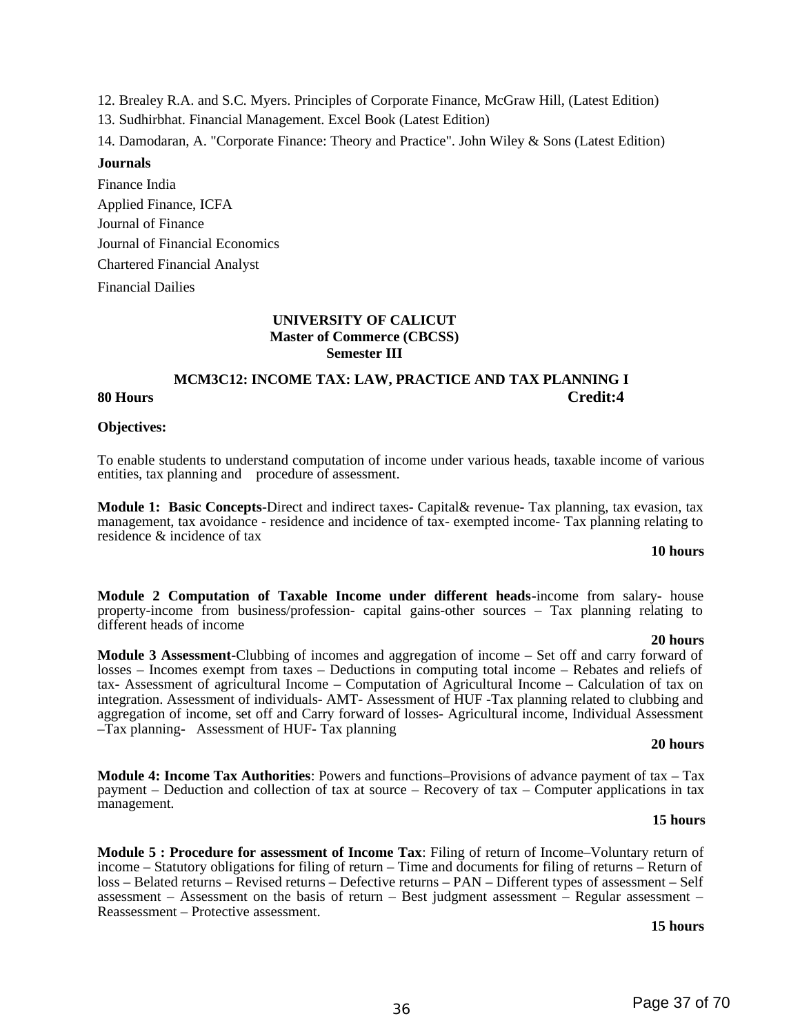12. Brealey R.A. and S.C. Myers. Principles of Corporate Finance, McGraw Hill, (Latest Edition)

13. Sudhirbhat. Financial Management. Excel Book (Latest Edition)

14. Damodaran, A. "Corporate Finance: Theory and Practice". John Wiley & Sons (Latest Edition)

#### **Journals**

Finance India Applied Finance, ICFA Journal of Finance Journal of Financial Economics Chartered Financial Analyst Financial Dailies

#### **UNIVERSITY OF CALICUT Master of Commerce (CBCSS) Semester III**

### **MCM3C12: INCOME TAX: LAW, PRACTICE AND TAX PLANNING I 80 Hours Credit:4**

#### **Objectives:**

To enable students to understand computation of income under various heads, taxable income of various entities, tax planning and procedure of assessment.

**Module 1: Basic Concepts**-Direct and indirect taxes- Capital& revenue- Tax planning, tax evasion, tax management, tax avoidance - residence and incidence of tax- exempted income- Tax planning relating to residence & incidence of tax

#### **10 hours**

**Module 2 Computation of Taxable Income under different heads**-income from salary- house property-income from business/profession- capital gains-other sources – Tax planning relating to different heads of income

#### **20 hours**

**Module 3 Assessment**-Clubbing of incomes and aggregation of income – Set off and carry forward of losses – Incomes exempt from taxes – Deductions in computing total income – Rebates and reliefs of tax- Assessment of agricultural Income – Computation of Agricultural Income – Calculation of tax on integration. Assessment of individuals- AMT- Assessment of HUF -Tax planning related to clubbing and aggregation of income, set off and Carry forward of losses- Agricultural income, Individual Assessment –Tax planning- Assessment of HUF- Tax planning

#### **20 hours**

**Module 4: Income Tax Authorities**: Powers and functions–Provisions of advance payment of tax – Tax payment – Deduction and collection of tax at source – Recovery of tax – Computer applications in tax management.

#### **15 hours**

**Module 5 : Procedure for assessment of Income Tax**: Filing of return of Income–Voluntary return of income – Statutory obligations for filing of return – Time and documents for filing of returns – Return of loss – Belated returns – Revised returns – Defective returns – PAN – Different types of assessment – Self assessment – Assessment on the basis of return – Best judgment assessment – Regular assessment – Reassessment – Protective assessment.

#### **15 hours**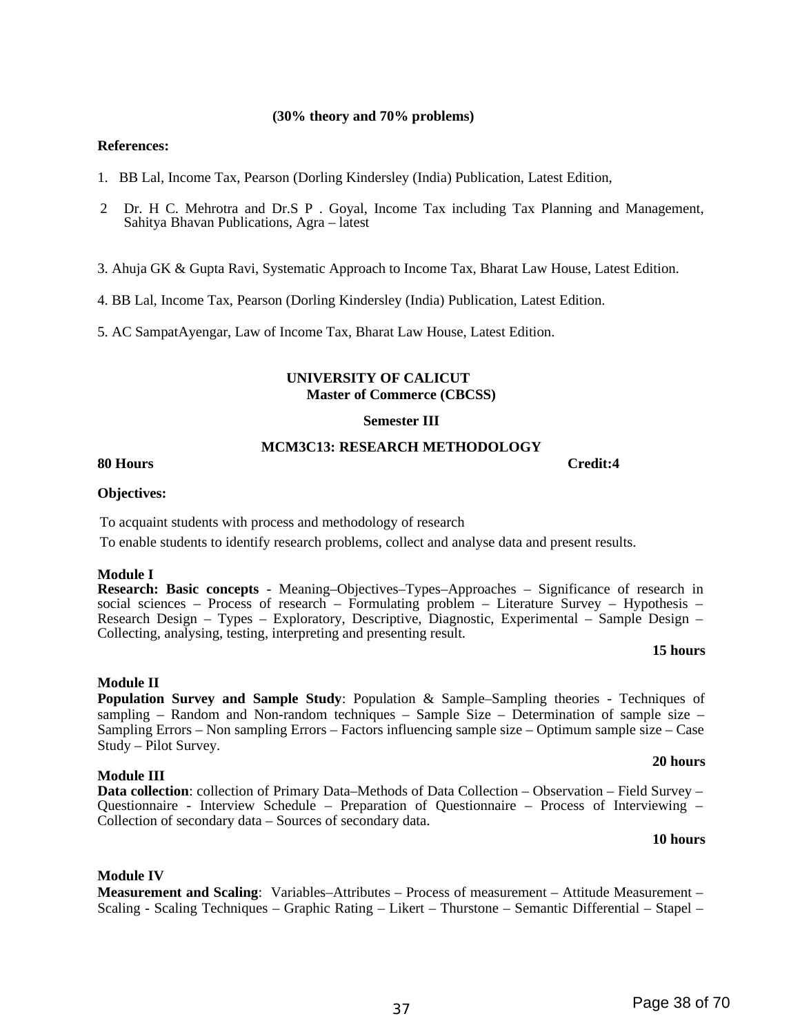#### **(30% theory and 70% problems)**

#### **References:**

- 1. BB Lal, Income Tax, Pearson (Dorling Kindersley (India) Publication, Latest Edition,
- 2 Dr. H C. Mehrotra and Dr.S P . Goyal, Income Tax including Tax Planning and Management, Sahitya Bhavan Publications, Agra – latest

3. Ahuja GK & Gupta Ravi, Systematic Approach to Income Tax, Bharat Law House, Latest Edition.

4. BB Lal, Income Tax, Pearson (Dorling Kindersley (India) Publication, Latest Edition.

5. AC SampatAyengar, Law of Income Tax, Bharat Law House, Latest Edition.

#### **UNIVERSITY OF CALICUT Master of Commerce (CBCSS)**

#### **Semester III**

#### **MCM3C13: RESEARCH METHODOLOGY**

#### **80 Hours Credit:4**

#### **Objectives:**

To acquaint students with process and methodology of research

To enable students to identify research problems, collect and analyse data and present results.

#### **Module I**

**Research: Basic concepts** - Meaning–Objectives–Types–Approaches – Significance of research in social sciences – Process of research – Formulating problem – Literature Survey – Hypothesis – Research Design – Types – Exploratory, Descriptive, Diagnostic, Experimental – Sample Design – Collecting, analysing, testing, interpreting and presenting result.

#### **15 hours**

### **Module II**

**Population Survey and Sample Study**: Population & Sample–Sampling theories - Techniques of sampling – Random and Non-random techniques – Sample Size – Determination of sample size – Sampling Errors – Non sampling Errors – Factors influencing sample size – Optimum sample size – Case Study – Pilot Survey.

#### **Module III**

**Data collection**: collection of Primary Data–Methods of Data Collection – Observation – Field Survey – Questionnaire - Interview Schedule – Preparation of Questionnaire – Process of Interviewing – Collection of secondary data – Sources of secondary data.

#### **10 hours**

**20 hours**

#### **Module IV**

**Measurement and Scaling**: Variables–Attributes – Process of measurement – Attitude Measurement – Scaling - Scaling Techniques – Graphic Rating – Likert – Thurstone – Semantic Differential – Stapel –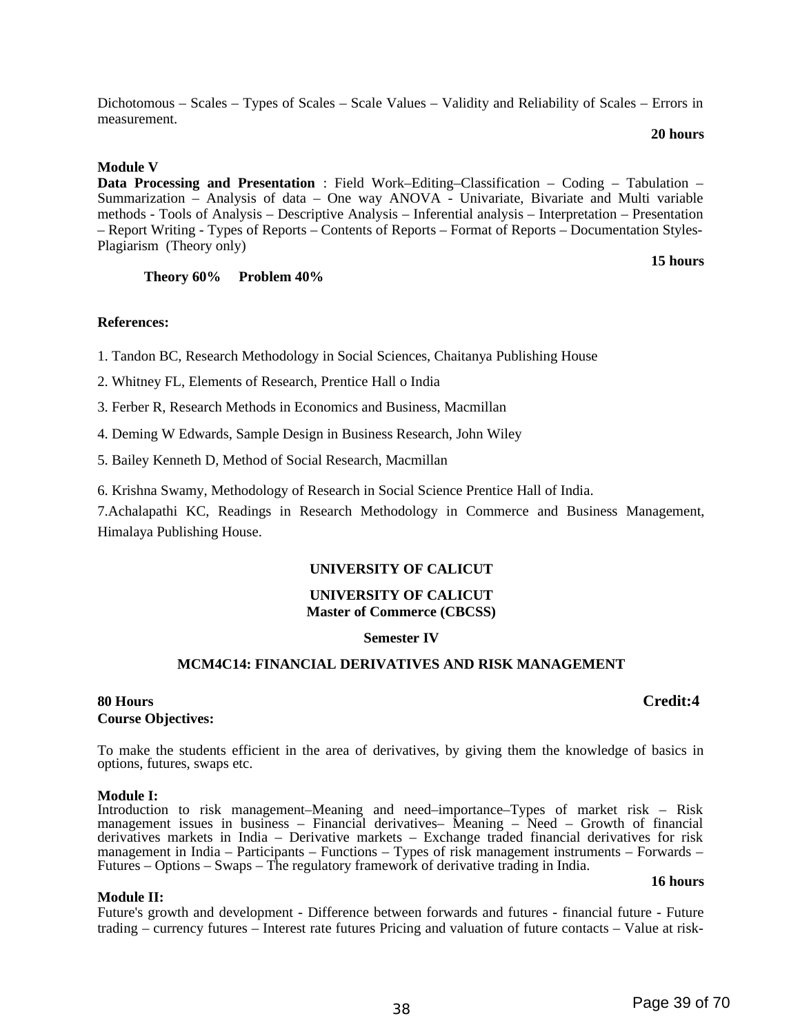Dichotomous – Scales – Types of Scales – Scale Values – Validity and Reliability of Scales – Errors in measurement.

#### **20 hours**

#### **Module V**

**Data Processing and Presentation** : Field Work–Editing–Classification – Coding – Tabulation – Summarization – Analysis of data – One way ANOVA - Univariate, Bivariate and Multi variable methods - Tools of Analysis – Descriptive Analysis – Inferential analysis – Interpretation – Presentation – Report Writing - Types of Reports – Contents of Reports – Format of Reports – Documentation Styles-Plagiarism (Theory only)

 **Theory 60% Problem 40%** 

#### **References:**

1. Tandon BC, Research Methodology in Social Sciences, Chaitanya Publishing House

2. Whitney FL, Elements of Research, Prentice Hall o India

3. Ferber R, Research Methods in Economics and Business, Macmillan

4. Deming W Edwards, Sample Design in Business Research, John Wiley

5. Bailey Kenneth D, Method of Social Research, Macmillan

6. Krishna Swamy, Methodology of Research in Social Science Prentice Hall of India.

7.Achalapathi KC, Readings in Research Methodology in Commerce and Business Management, Himalaya Publishing House.

## **UNIVERSITY OF CALICUT**

#### **UNIVERSITY OF CALICUT Master of Commerce (CBCSS)**

#### **Semester IV**

### **MCM4C14: FINANCIAL DERIVATIVES AND RISK MANAGEMENT**

#### **80 Hours Credit:4 Course Objectives:**

To make the students efficient in the area of derivatives, by giving them the knowledge of basics in options, futures, swaps etc.

#### **Module I:**

Introduction to risk management–Meaning and need–importance–Types of market risk – Risk management issues in business – Financial derivatives– Meaning – Need – Growth of financial derivatives markets in India – Derivative markets – Exchange traded financial derivatives for risk management in India – Participants – Functions – Types of risk management instruments – Forwards – Futures – Options – Swaps – The regulatory framework of derivative trading in India.

#### **Module II:**

Future's growth and development - Difference between forwards and futures - financial future - Future trading – currency futures – Interest rate futures Pricing and valuation of future contacts – Value at risk-

**16 hours**

**15 hours**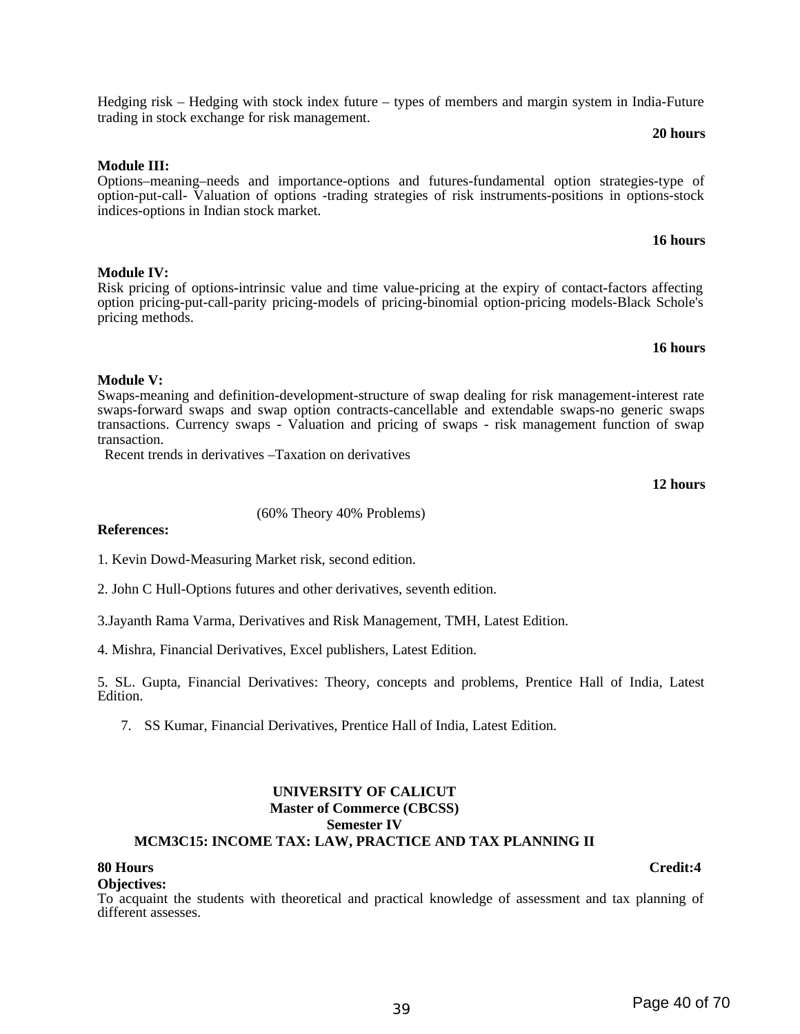#### Hedging risk – Hedging with stock index future – types of members and margin system in India-Future trading in stock exchange for risk management.

#### **Module III:**

**Module IV:** 

**Module V:** 

transaction.

Options–meaning–needs and importance-options and futures-fundamental option strategies-type of option-put-call- Valuation of options -trading strategies of risk instruments-positions in options-stock indices-options in Indian stock market.

## **16 hours**

Risk pricing of options-intrinsic value and time value-pricing at the expiry of contact-factors affecting option pricing-put-call-parity pricing-models of pricing-binomial option-pricing models-Black Schole's pricing methods.

Swaps-meaning and definition-development-structure of swap dealing for risk management-interest rate swaps-forward swaps and swap option contracts-cancellable and extendable swaps-no generic swaps transactions. Currency swaps - Valuation and pricing of swaps - risk management function of swap

## **16 hours**

**12 hours**

#### **References:**

1. Kevin Dowd-Measuring Market risk, second edition.

2. John C Hull-Options futures and other derivatives, seventh edition.

3.Jayanth Rama Varma, Derivatives and Risk Management, TMH, Latest Edition.

4. Mishra, Financial Derivatives, Excel publishers, Latest Edition.

5. SL. Gupta, Financial Derivatives: Theory, concepts and problems, Prentice Hall of India, Latest Edition.

7. SS Kumar, Financial Derivatives, Prentice Hall of India, Latest Edition.

#### **UNIVERSITY OF CALICUT Master of Commerce (CBCSS) Semester IV MCM3C15: INCOME TAX: LAW, PRACTICE AND TAX PLANNING II**

#### **Objectives:**

To acquaint the students with theoretical and practical knowledge of assessment and tax planning of different assesses.

#### (60% Theory 40% Problems)

Recent trends in derivatives –Taxation on derivatives

**80 Hours Credit:4**

**20 hours**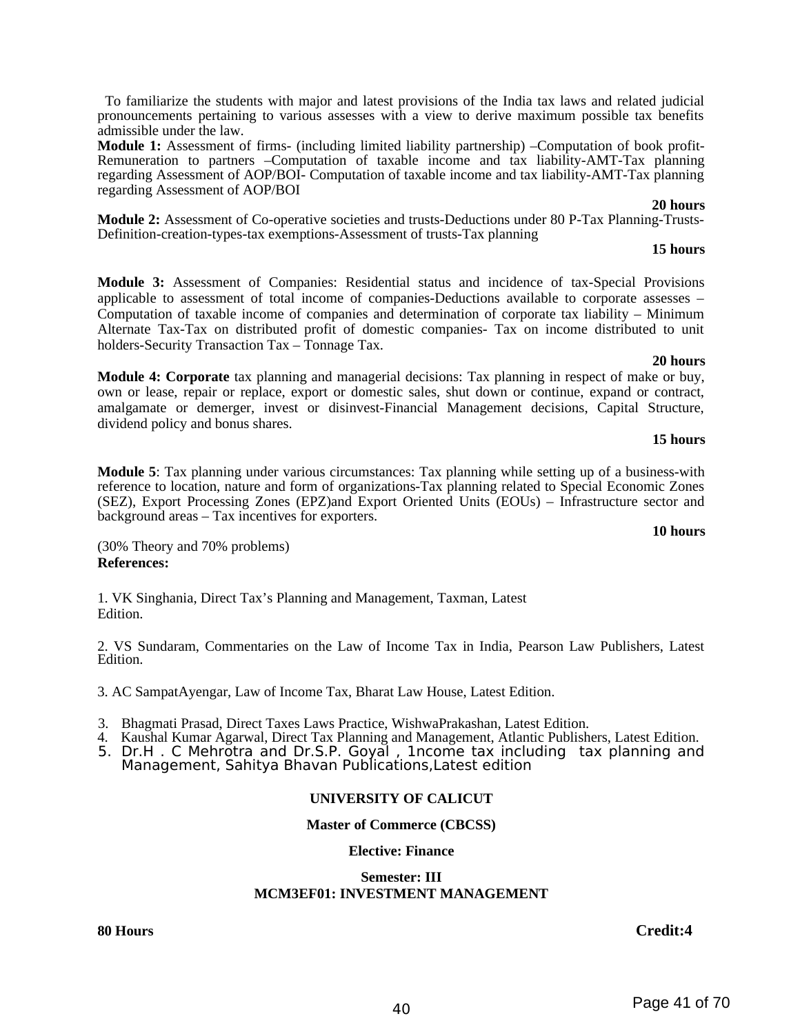To familiarize the students with major and latest provisions of the India tax laws and related judicial pronouncements pertaining to various assesses with a view to derive maximum possible tax benefits admissible under the law.

**Module 1:** Assessment of firms- (including limited liability partnership) –Computation of book profit-Remuneration to partners –Computation of taxable income and tax liability-AMT-Tax planning regarding Assessment of AOP/BOI- Computation of taxable income and tax liability-AMT-Tax planning regarding Assessment of AOP/BOI

**Module 2:** Assessment of Co-operative societies and trusts-Deductions under 80 P-Tax Planning-Trusts-Definition-creation-types-tax exemptions-Assessment of trusts-Tax planning

#### **15 hours**

 **20 hours**

**Module 3:** Assessment of Companies: Residential status and incidence of tax-Special Provisions applicable to assessment of total income of companies-Deductions available to corporate assesses – Computation of taxable income of companies and determination of corporate tax liability – Minimum Alternate Tax-Tax on distributed profit of domestic companies- Tax on income distributed to unit holders-Security Transaction Tax – Tonnage Tax.

#### **20 hours**

**Module 4: Corporate** tax planning and managerial decisions: Tax planning in respect of make or buy, own or lease, repair or replace, export or domestic sales, shut down or continue, expand or contract, amalgamate or demerger, invest or disinvest-Financial Management decisions, Capital Structure, dividend policy and bonus shares.

#### **15 hours**

**Module 5**: Tax planning under various circumstances: Tax planning while setting up of a business-with reference to location, nature and form of organizations-Tax planning related to Special Economic Zones (SEZ), Export Processing Zones (EPZ)and Export Oriented Units (EOUs) – Infrastructure sector and background areas – Tax incentives for exporters.

**10 hours**

(30% Theory and 70% problems) **References:**

1. VK Singhania, Direct Tax's Planning and Management, Taxman, Latest Edition.

2. VS Sundaram, Commentaries on the Law of Income Tax in India, Pearson Law Publishers, Latest Edition.

3. AC SampatAyengar, Law of Income Tax, Bharat Law House, Latest Edition.

- 3. Bhagmati Prasad, Direct Taxes Laws Practice, WishwaPrakashan, Latest Edition.
- 4. Kaushal Kumar Agarwal, Direct Tax Planning and Management, Atlantic Publishers, Latest Edition.
- 5. Dr.H . C Mehrotra and Dr.S.P. Goyal , 1ncome tax including tax planning and Management, Sahitya Bhavan Publications,Latest edition

### **UNIVERSITY OF CALICUT**

#### **Master of Commerce (CBCSS)**

#### **Elective: Finance**

#### **Semester: III MCM3EF01: INVESTMENT MANAGEMENT**

#### **80 Hours Credit:4**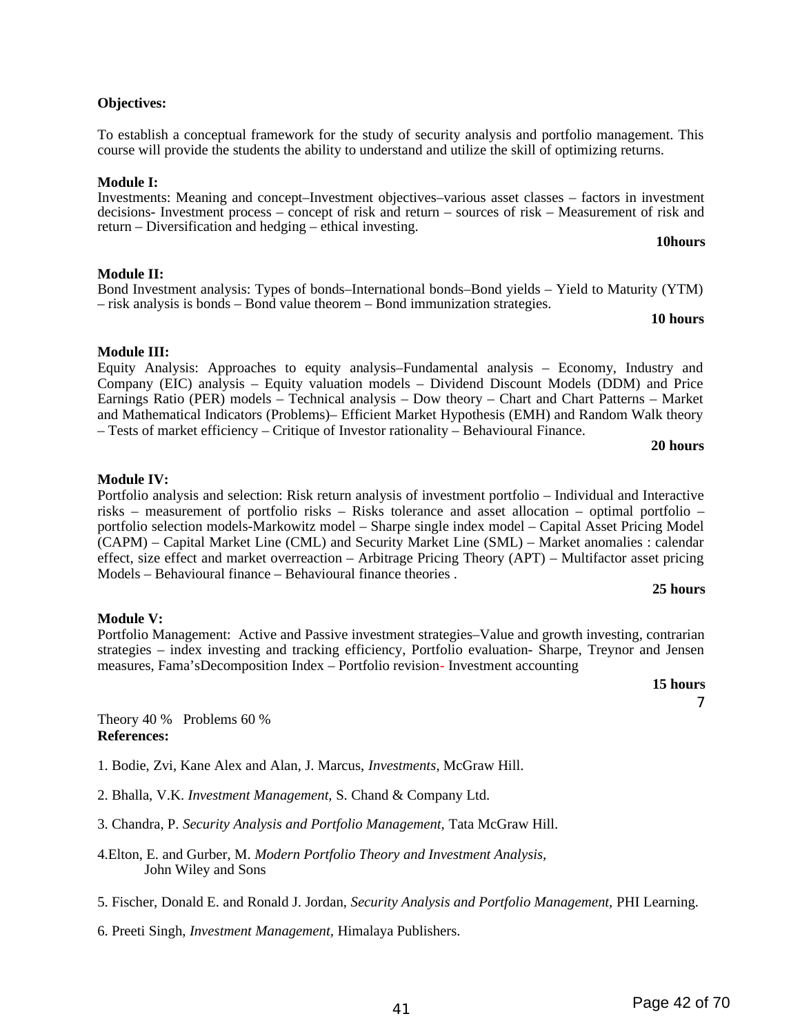#### **Objectives:**

To establish a conceptual framework for the study of security analysis and portfolio management. This course will provide the students the ability to understand and utilize the skill of optimizing returns.

#### **Module I:**

Investments: Meaning and concept–Investment objectives–various asset classes – factors in investment decisions- Investment process – concept of risk and return – sources of risk – Measurement of risk and return – Diversification and hedging – ethical investing. **10hours**

## **Module II:**

#### Bond Investment analysis: Types of bonds–International bonds–Bond yields – Yield to Maturity (YTM) – risk analysis is bonds – Bond value theorem – Bond immunization strategies. **10 hours**

## **Module III:**

Equity Analysis: Approaches to equity analysis–Fundamental analysis – Economy, Industry and Company (EIC) analysis – Equity valuation models – Dividend Discount Models (DDM) and Price Earnings Ratio (PER) models – Technical analysis – Dow theory – Chart and Chart Patterns – Market and Mathematical Indicators (Problems)– Efficient Market Hypothesis (EMH) and Random Walk theory – Tests of market efficiency – Critique of Investor rationality – Behavioural Finance.

### **20 hours**

## **Module IV:**

Portfolio analysis and selection: Risk return analysis of investment portfolio – Individual and Interactive risks – measurement of portfolio risks – Risks tolerance and asset allocation – optimal portfolio – portfolio selection models-Markowitz model – Sharpe single index model – Capital Asset Pricing Model (CAPM) – Capital Market Line (CML) and Security Market Line (SML) – Market anomalies : calendar effect, size effect and market overreaction – Arbitrage Pricing Theory (APT) – Multifactor asset pricing Models – Behavioural finance – Behavioural finance theories .

### **25 hours**

## **Module V:**

Portfolio Management: Active and Passive investment strategies–Value and growth investing, contrarian strategies – index investing and tracking efficiency, Portfolio evaluation- Sharpe, Treynor and Jensen measures, Fama'sDecomposition Index – Portfolio revision- Investment accounting

### **15 hours**

7

Theory 40 % Problems 60 % **References:**

1. Bodie, Zvi, Kane Alex and Alan, J. Marcus, *Investments*, McGraw Hill.

- 2. Bhalla, V.K. *Investment Management,* S. Chand & Company Ltd.
- 3. Chandra, P. *Security Analysis and Portfolio Management,* Tata McGraw Hill.
- 4.Elton, E. and Gurber, M. *Modern Portfolio Theory and Investment Analysis,* John Wiley and Sons
- 5. Fischer, Donald E. and Ronald J. Jordan, *Security Analysis and Portfolio Management,* PHI Learning.
- 6. Preeti Singh, *Investment Management,* Himalaya Publishers.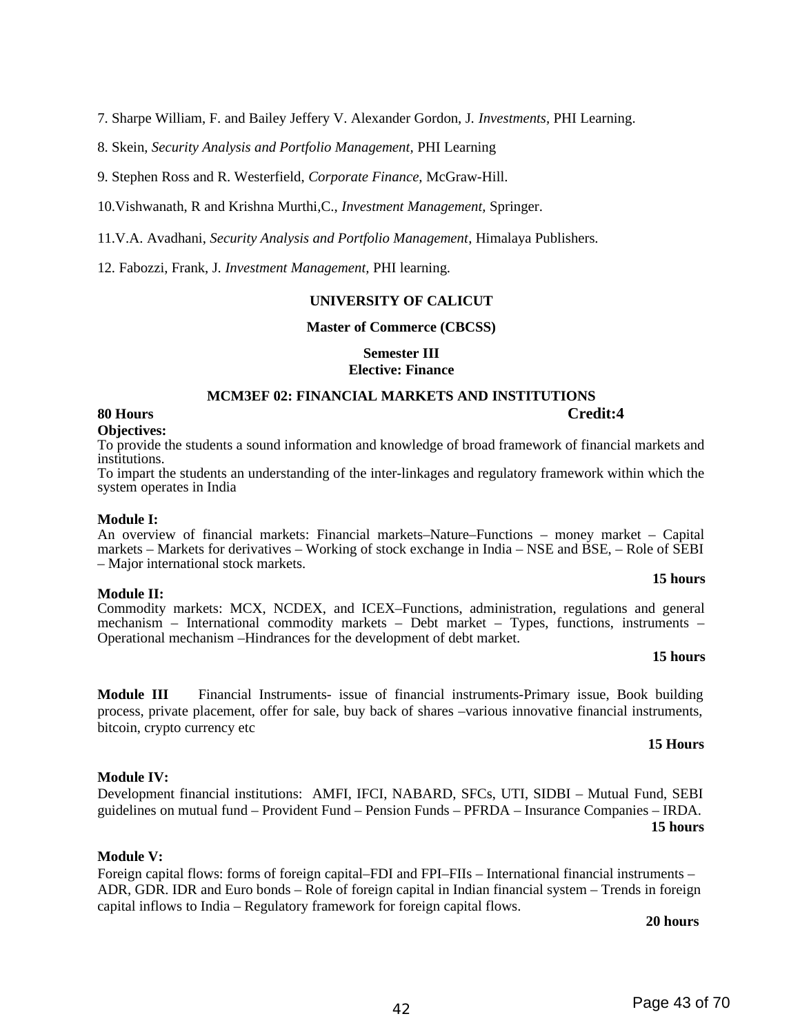7. Sharpe William, F. and Bailey Jeffery V. Alexander Gordon, J. *Investments,* PHI Learning.

8. Skein, *Security Analysis and Portfolio Management,* PHI Learning

9. Stephen Ross and R. Westerfield, *Corporate Finance,* McGraw-Hill.

10.Vishwanath, R and Krishna Murthi,C., *Investment Management,* Springer.

11.V.A. Avadhani, *Security Analysis and Portfolio Management*, Himalaya Publishers.

12. Fabozzi, Frank, J. *Investment Management,* PHI learning.

#### **UNIVERSITY OF CALICUT**

#### **Master of Commerce (CBCSS)**

#### **Semester III**

**Elective: Finance** 

### **MCM3EF 02: FINANCIAL MARKETS AND INSTITUTIONS**

#### **80 Hours Credit:4**

#### **Objectives:**

To provide the students a sound information and knowledge of broad framework of financial markets and institutions.

To impart the students an understanding of the inter-linkages and regulatory framework within which the system operates in India

#### **Module I:**

An overview of financial markets: Financial markets–Nature–Functions – money market – Capital markets – Markets for derivatives – Working of stock exchange in India – NSE and BSE, – Role of SEBI – Major international stock markets.

#### **Module II:**

Commodity markets: MCX, NCDEX, and ICEX–Functions, administration, regulations and general mechanism – International commodity markets – Debt market – Types, functions, instruments – Operational mechanism –Hindrances for the development of debt market.

#### **15 hours**

**15 hours**

**Module III** Financial Instruments- issue of financial instruments-Primary issue, Book building process, private placement, offer for sale, buy back of shares –various innovative financial instruments, bitcoin, crypto currency etc

#### **15 Hours**

Development financial institutions: AMFI, IFCI, NABARD, SFCs, UTI, SIDBI – Mutual Fund, SEBI guidelines on mutual fund – Provident Fund – Pension Funds – PFRDA – Insurance Companies – IRDA. **15 hours**

#### **Module V:**

**Module IV:** 

Foreign capital flows: forms of foreign capital–FDI and FPI–FIIs – International financial instruments – ADR, GDR. IDR and Euro bonds – Role of foreign capital in Indian financial system – Trends in foreign capital inflows to India – Regulatory framework for foreign capital flows.

#### **20 hours**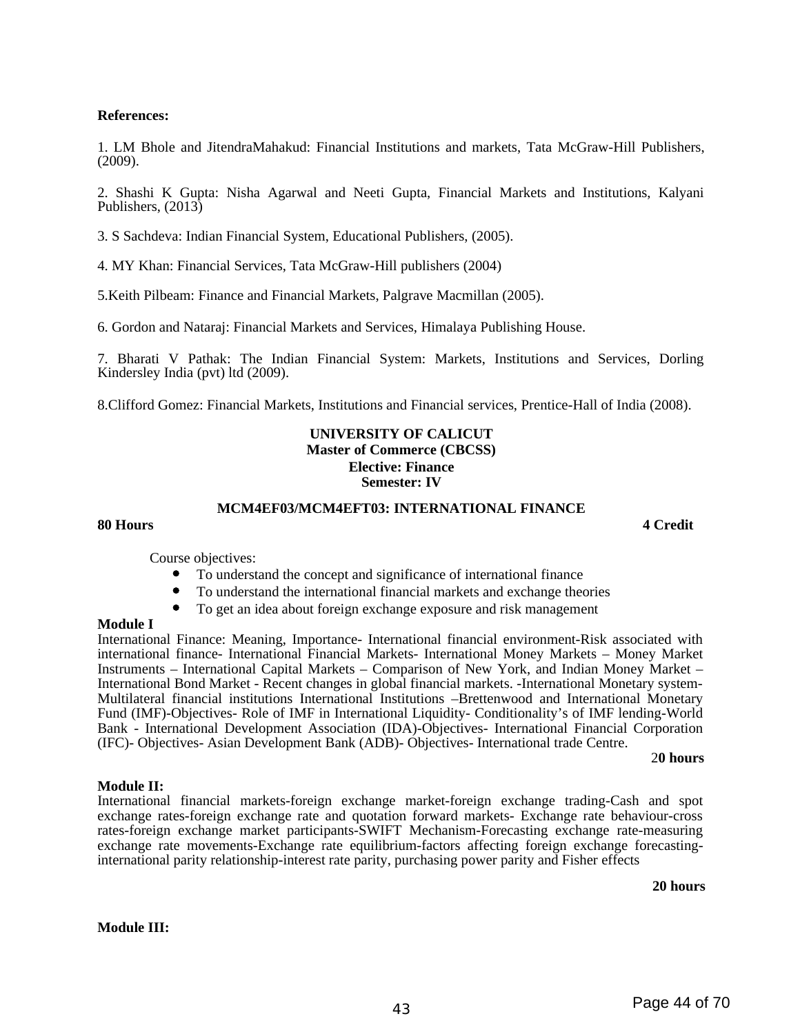#### **References:**

1. LM Bhole and JitendraMahakud: Financial Institutions and markets, Tata McGraw-Hill Publishers, (2009).

2. Shashi K Gupta: Nisha Agarwal and Neeti Gupta, Financial Markets and Institutions, Kalyani Publishers, (2013)

3. S Sachdeva: Indian Financial System, Educational Publishers, (2005).

4. MY Khan: Financial Services, Tata McGraw-Hill publishers (2004)

5.Keith Pilbeam: Finance and Financial Markets, Palgrave Macmillan (2005).

6. Gordon and Nataraj: Financial Markets and Services, Himalaya Publishing House.

7. Bharati V Pathak: The Indian Financial System: Markets, Institutions and Services, Dorling Kindersley India (pvt) ltd (2009).

8.Clifford Gomez: Financial Markets, Institutions and Financial services, Prentice-Hall of India (2008).

#### **UNIVERSITY OF CALICUT Master of Commerce (CBCSS) Elective: Finance Semester: IV**

#### **MCM4EF03/MCM4EFT03: INTERNATIONAL FINANCE**

#### **80 Hours 4 Credit**

Course objectives:

- To understand the concept and significance of international finance
- To understand the international financial markets and exchange theories
- To get an idea about foreign exchange exposure and risk management

#### **Module I**

International Finance: Meaning, Importance- International financial environment-Risk associated with international finance- International Financial Markets- International Money Markets – Money Market Instruments – International Capital Markets – Comparison of New York, and Indian Money Market – International Bond Market - Recent changes in global financial markets. -International Monetary system-Multilateral financial institutions International Institutions –Brettenwood and International Monetary Fund (IMF)-Objectives- Role of IMF in International Liquidity- Conditionality's of IMF lending-World Bank - International Development Association (IDA)-Objectives- International Financial Corporation (IFC)- Objectives- Asian Development Bank (ADB)- Objectives- International trade Centre.

#### 2**0 hours**

#### **Module II:**

International financial markets-foreign exchange market-foreign exchange trading-Cash and spot exchange rates-foreign exchange rate and quotation forward markets- Exchange rate behaviour-cross rates-foreign exchange market participants-SWIFT Mechanism-Forecasting exchange rate-measuring exchange rate movements-Exchange rate equilibrium-factors affecting foreign exchange forecastinginternational parity relationship-interest rate parity, purchasing power parity and Fisher effects

**20 hours**

#### **Module III:**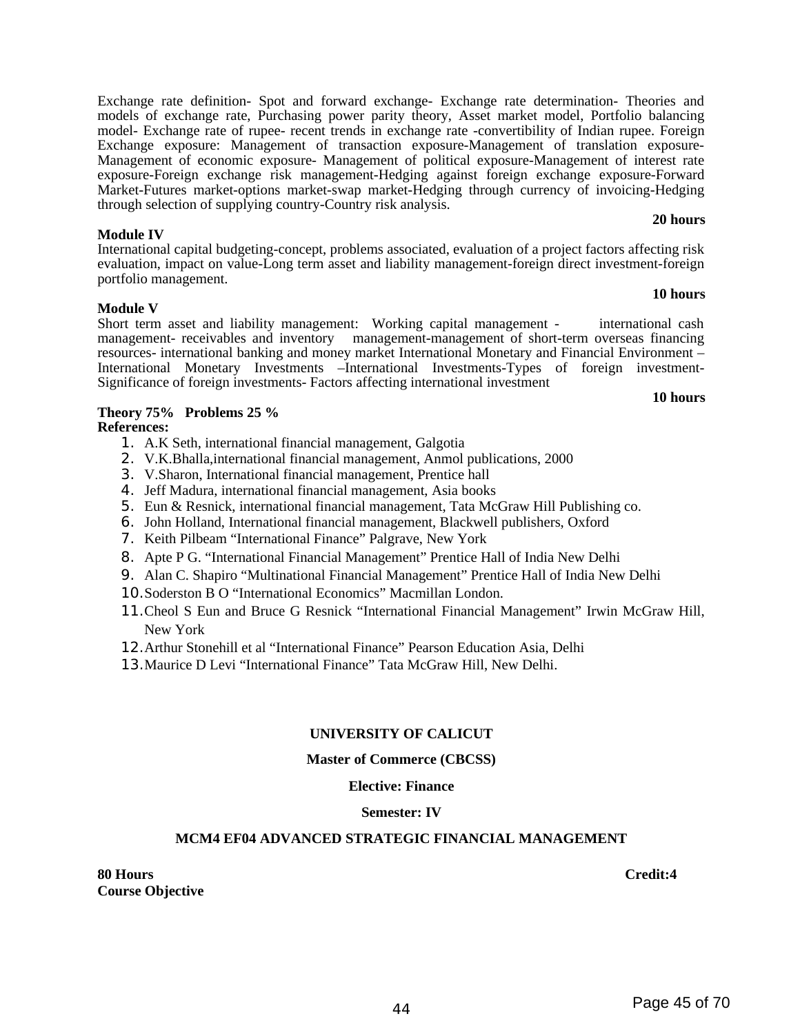<sup>44</sup> Page 45 of 70

Exchange rate definition- Spot and forward exchange- Exchange rate determination- Theories and models of exchange rate, Purchasing power parity theory, Asset market model, Portfolio balancing model- Exchange rate of rupee- recent trends in exchange rate -convertibility of Indian rupee. Foreign Exchange exposure: Management of transaction exposure-Management of translation exposure-Management of economic exposure- Management of political exposure-Management of interest rate exposure-Foreign exchange risk management-Hedging against foreign exchange exposure-Forward Market-Futures market-options market-swap market-Hedging through currency of invoicing-Hedging through selection of supplying country-Country risk analysis.

#### **Module IV**

International capital budgeting-concept, problems associated, evaluation of a project factors affecting risk evaluation, impact on value-Long term asset and liability management-foreign direct investment-foreign portfolio management. **10 hours**

#### **Module V**

Short term asset and liability management: Working capital management - international cash management- receivables and inventory management-management of short-term overseas financing resources- international banking and money market International Monetary and Financial Environment – International Monetary Investments –International Investments-Types of foreign investment-Significance of foreign investments- Factors affecting international investment

#### **10 hours**

**20 hours**

#### **Theory 75% Problems 25 % References:**

- 1. A.K Seth, international financial management, Galgotia
- 2. V.K.Bhalla,international financial management, Anmol publications, 2000
- 3. V.Sharon, International financial management, Prentice hall
- 4. Jeff Madura, international financial management, Asia books
- 5. Eun & Resnick, international financial management, Tata McGraw Hill Publishing co.
- 6. John Holland, International financial management, Blackwell publishers, Oxford
- 7. Keith Pilbeam "International Finance" Palgrave, New York
- 8. Apte P G. "International Financial Management" Prentice Hall of India New Delhi
- 9. Alan C. Shapiro "Multinational Financial Management" Prentice Hall of India New Delhi
- 10.Soderston B O "International Economics" Macmillan London.
- 11.Cheol S Eun and Bruce G Resnick "International Financial Management" Irwin McGraw Hill, New York
- 12.Arthur Stonehill et al "International Finance" Pearson Education Asia, Delhi
- 13.Maurice D Levi "International Finance" Tata McGraw Hill, New Delhi.

#### **UNIVERSITY OF CALICUT**

#### **Master of Commerce (CBCSS)**

#### **Elective: Finance**

#### **Semester: IV**

#### **MCM4 EF04 ADVANCED STRATEGIC FINANCIAL MANAGEMENT**

**80 Hours Credit:4 Course Objective**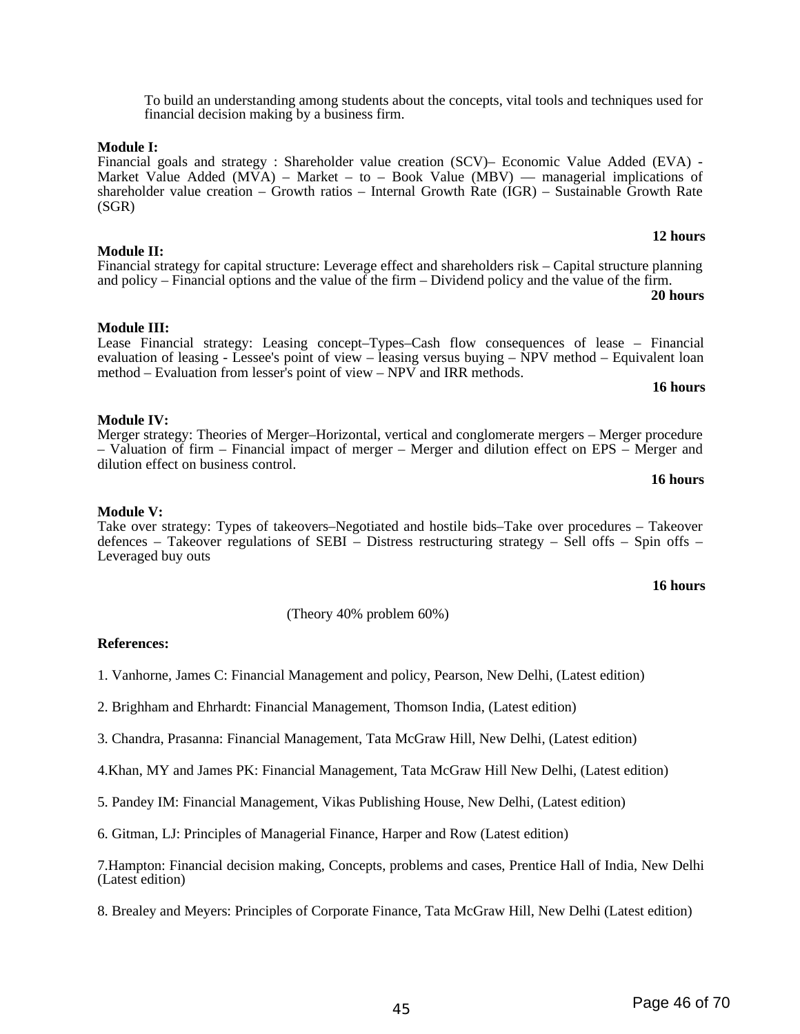To build an understanding among students about the concepts, vital tools and techniques used for financial decision making by a business firm.

#### **Module I:**

Financial goals and strategy : Shareholder value creation (SCV)– Economic Value Added (EVA) - Market Value Added (MVA) – Market – to – Book Value (MBV) — managerial implications of shareholder value creation – Growth ratios – Internal Growth Rate (IGR) – Sustainable Growth Rate (SGR)

## **12 hours**

Financial strategy for capital structure: Leverage effect and shareholders risk – Capital structure planning and policy – Financial options and the value of the firm – Dividend policy and the value of the firm. **20 hours**

#### **Module III:**

**Module II:** 

Lease Financial strategy: Leasing concept–Types–Cash flow consequences of lease – Financial evaluation of leasing - Lessee's point of view – leasing versus buying –  $\overline{NPV}$  method – Equivalent loan method – Evaluation from lesser's point of view – NPV and IRR methods.

#### **16 hours**

#### **Module IV:**

Merger strategy: Theories of Merger–Horizontal, vertical and conglomerate mergers – Merger procedure – Valuation of firm – Financial impact of merger – Merger and dilution effect on EPS – Merger and dilution effect on business control.

#### **16 hours**

#### **Module V:**

Take over strategy: Types of takeovers–Negotiated and hostile bids–Take over procedures – Takeover defences – Takeover regulations of SEBI – Distress restructuring strategy – Sell offs – Spin offs – Leveraged buy outs

#### **16 hours**

(Theory 40% problem 60%)

#### **References:**

1. Vanhorne, James C: Financial Management and policy, Pearson, New Delhi, (Latest edition)

2. Brighham and Ehrhardt: Financial Management, Thomson India, (Latest edition)

3. Chandra, Prasanna: Financial Management, Tata McGraw Hill, New Delhi, (Latest edition)

4.Khan, MY and James PK: Financial Management, Tata McGraw Hill New Delhi, (Latest edition)

5. Pandey IM: Financial Management, Vikas Publishing House, New Delhi, (Latest edition)

6. Gitman, LJ: Principles of Managerial Finance, Harper and Row (Latest edition)

7.Hampton: Financial decision making, Concepts, problems and cases, Prentice Hall of India, New Delhi (Latest edition)

8. Brealey and Meyers: Principles of Corporate Finance, Tata McGraw Hill, New Delhi (Latest edition)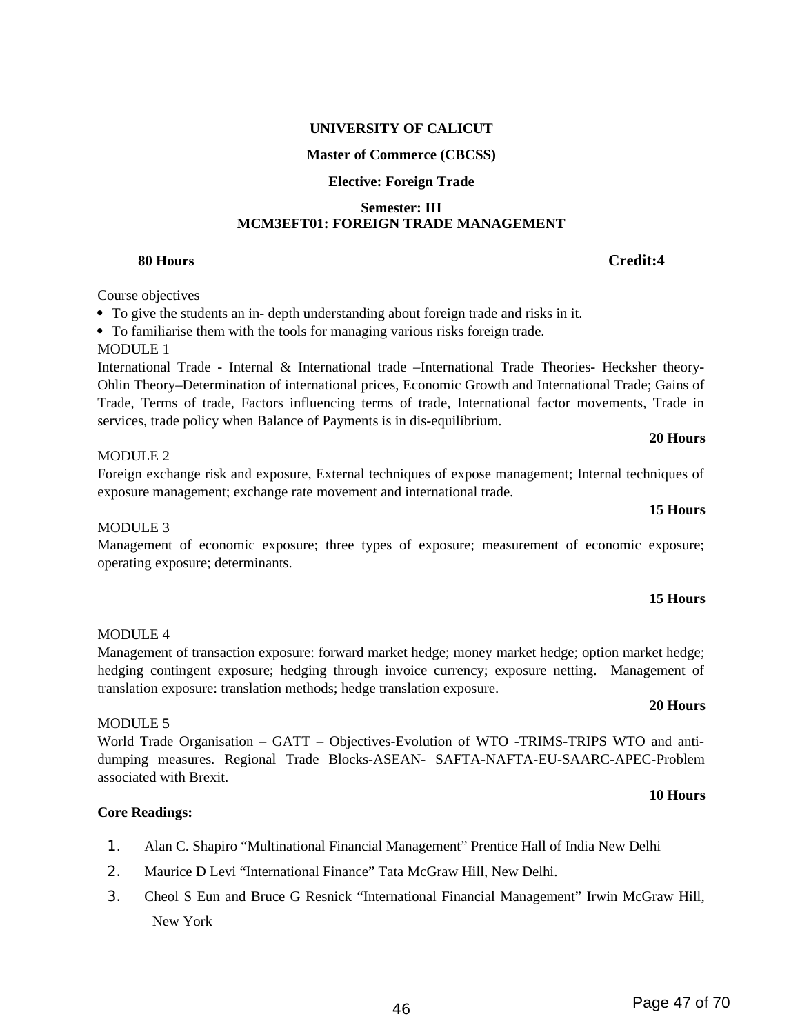## **UNIVERSITY OF CALICUT**

## **Master of Commerce (CBCSS)**

## **Elective: Foreign Trade**

#### **Semester: III MCM3EFT01: FOREIGN TRADE MANAGEMENT**

## **80 Hours Credit:4**

## Course objectives

- To give the students an in- depth understanding about foreign trade and risks in it.
- To familiarise them with the tools for managing various risks foreign trade.

## MODULE 1

International Trade - Internal & International trade –International Trade Theories- Hecksher theory-Ohlin Theory–Determination of international prices, Economic Growth and International Trade; Gains of Trade, Terms of trade, Factors influencing terms of trade, International factor movements, Trade in services, trade policy when Balance of Payments is in dis-equilibrium.

### MODULE 2

Foreign exchange risk and exposure, External techniques of expose management; Internal techniques of exposure management; exchange rate movement and international trade.

### MODULE 3

Management of economic exposure; three types of exposure; measurement of economic exposure; operating exposure; determinants.

#### **15 Hours**

## dumping measures. Regional Trade Blocks-ASEAN- SAFTA-NAFTA-EU-SAARC-APEC-Problem **10 Hours**

## **Core Readings:**

associated with Brexit.

- 1. Alan C. Shapiro "Multinational Financial Management" Prentice Hall of India New Delhi
- 2. Maurice D Levi "International Finance" Tata McGraw Hill, New Delhi.

translation exposure: translation methods; hedge translation exposure.

3. Cheol S Eun and Bruce G Resnick "International Financial Management" Irwin McGraw Hill, New York

#### **15 Hours**

**20 Hours** 

## **20 Hours**  World Trade Organisation – GATT – Objectives-Evolution of WTO -TRIMS-TRIPS WTO and anti-

# MODULE 4

## Management of transaction exposure: forward market hedge; money market hedge; option market hedge;

## hedging contingent exposure; hedging through invoice currency; exposure netting. Management of

### MODULE 5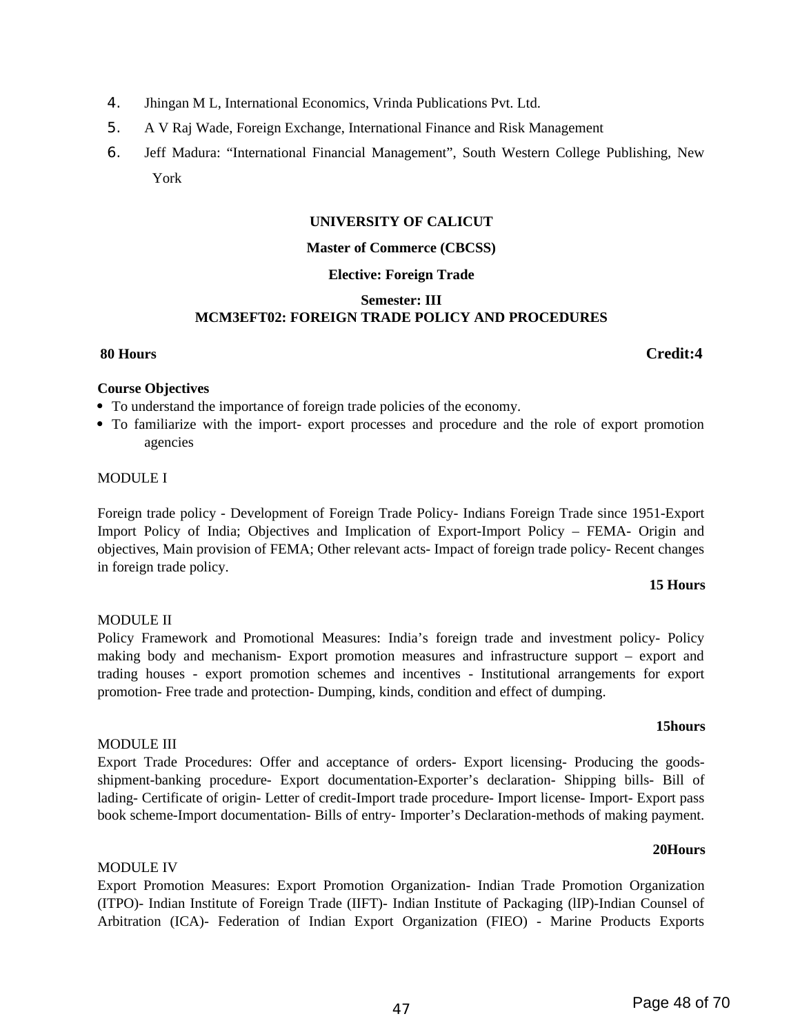- 4. Jhingan M L, International Economics, Vrinda Publications Pvt. Ltd.
- 5. A V Raj Wade, Foreign Exchange, International Finance and Risk Management
- 6. Jeff Madura: "International Financial Management", South Western College Publishing, New York

#### **UNIVERSITY OF CALICUT**

#### **Master of Commerce (CBCSS)**

#### **Elective: Foreign Trade**

#### **Semester: III MCM3EFT02: FOREIGN TRADE POLICY AND PROCEDURES**

#### **80 Hours Credit:4**

#### **Course Objectives**

- To understand the importance of foreign trade policies of the economy.
- To familiarize with the import- export processes and procedure and the role of export promotion agencies

#### MODULE I

Foreign trade policy - Development of Foreign Trade Policy- Indians Foreign Trade since 1951-Export Import Policy of India; Objectives and Implication of Export-Import Policy – FEMA- Origin and objectives, Main provision of FEMA; Other relevant acts- Impact of foreign trade policy- Recent changes in foreign trade policy.

#### **15 Hours**

### MODULE II

Policy Framework and Promotional Measures: India's foreign trade and investment policy- Policy making body and mechanism- Export promotion measures and infrastructure support – export and trading houses - export promotion schemes and incentives - Institutional arrangements for export promotion- Free trade and protection- Dumping, kinds, condition and effect of dumping.

shipment-banking procedure- Export documentation-Exporter's declaration- Shipping bills- Bill of lading- Certificate of origin- Letter of credit-Import trade procedure- Import license- Import- Export pass book scheme-Import documentation- Bills of entry- Importer's Declaration-methods of making payment.

#### **15hours**

**20Hours**

#### MODULE III Export Trade Procedures: Offer and acceptance of orders- Export licensing- Producing the goods-

# MODULE IV

Export Promotion Measures: Export Promotion Organization- Indian Trade Promotion Organization (ITPO)- Indian Institute of Foreign Trade (IIFT)- Indian Institute of Packaging (lIP)-Indian Counsel of Arbitration (ICA)- Federation of Indian Export Organization (FIEO) - Marine Products Exports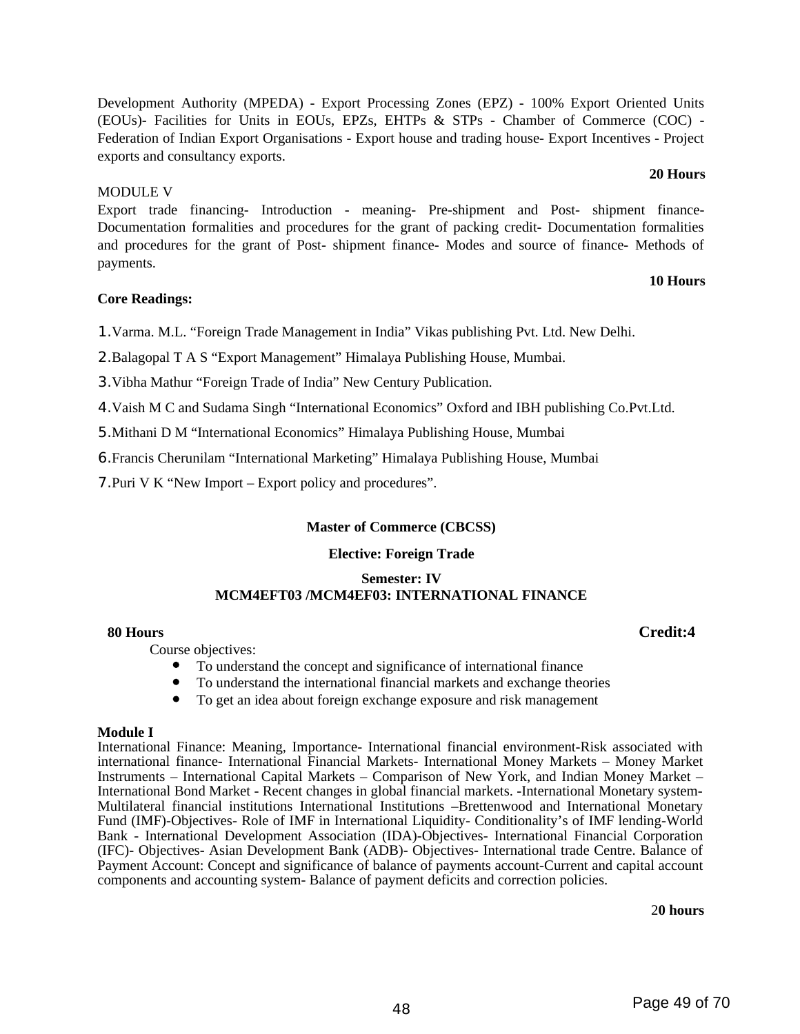Development Authority (MPEDA) - Export Processing Zones (EPZ) - 100% Export Oriented Units (EOUs)- Facilities for Units in EOUs, EPZs, EHTPs & STPs - Chamber of Commerce (COC) - Federation of Indian Export Organisations - Export house and trading house- Export Incentives - Project exports and consultancy exports.

#### MODULE V

Export trade financing- Introduction - meaning- Pre-shipment and Post- shipment finance-Documentation formalities and procedures for the grant of packing credit- Documentation formalities and procedures for the grant of Post- shipment finance- Modes and source of finance- Methods of payments.

### **Core Readings:**

1.Varma. M.L. "Foreign Trade Management in India" Vikas publishing Pvt. Ltd. New Delhi.

2.Balagopal T A S "Export Management" Himalaya Publishing House, Mumbai.

3.Vibha Mathur "Foreign Trade of India" New Century Publication.

4.Vaish M C and Sudama Singh "International Economics" Oxford and IBH publishing Co.Pvt.Ltd.

5.Mithani D M "International Economics" Himalaya Publishing House, Mumbai

6.Francis Cherunilam "International Marketing" Himalaya Publishing House, Mumbai

7.Puri V K "New Import – Export policy and procedures".

### **Master of Commerce (CBCSS)**

### **Elective: Foreign Trade**

#### **Semester: IV MCM4EFT03 /MCM4EF03: INTERNATIONAL FINANCE**

#### **80 Hours Credit:4**

Course objectives:

- To understand the concept and significance of international finance
- To understand the international financial markets and exchange theories
- To get an idea about foreign exchange exposure and risk management

#### **Module I**

International Finance: Meaning, Importance- International financial environment-Risk associated with international finance- International Financial Markets- International Money Markets – Money Market Instruments – International Capital Markets – Comparison of New York, and Indian Money Market – International Bond Market - Recent changes in global financial markets. -International Monetary system-Multilateral financial institutions International Institutions –Brettenwood and International Monetary Fund (IMF)-Objectives- Role of IMF in International Liquidity- Conditionality's of IMF lending-World Bank - International Development Association (IDA)-Objectives- International Financial Corporation (IFC)- Objectives- Asian Development Bank (ADB)- Objectives- International trade Centre. Balance of Payment Account: Concept and significance of balance of payments account-Current and capital account components and accounting system- Balance of payment deficits and correction policies.

2**0 hours**

## **20 Hours**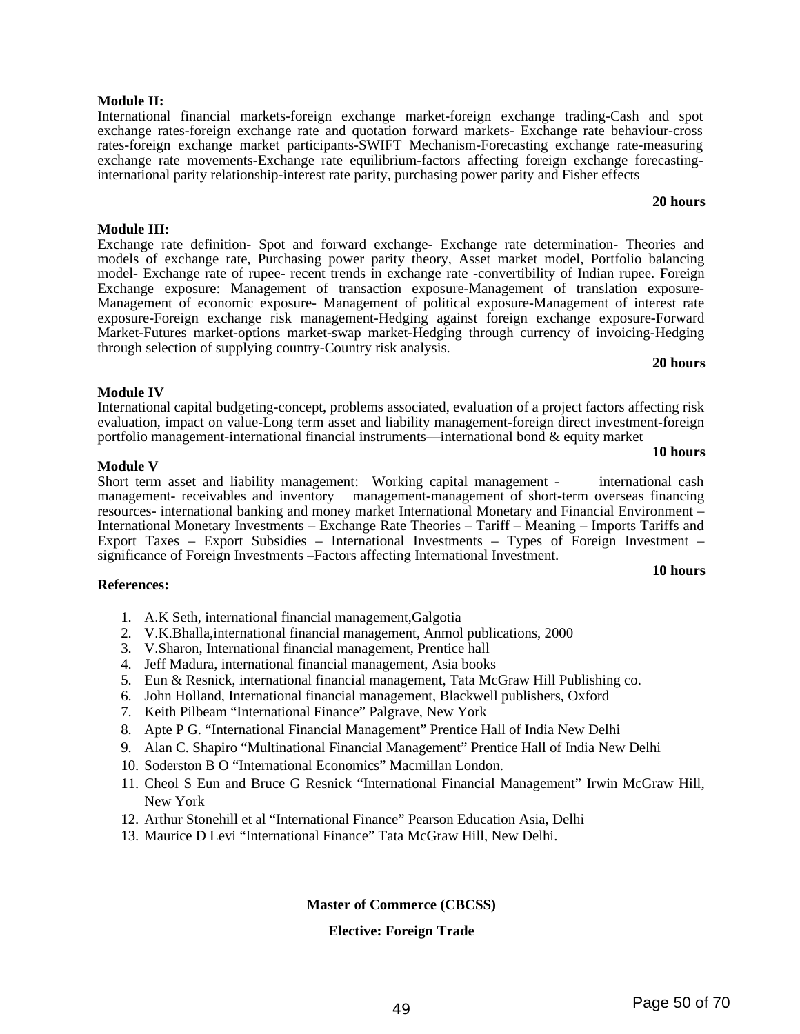#### **Module II:**

**Module III:** 

International financial markets-foreign exchange market-foreign exchange trading-Cash and spot exchange rates-foreign exchange rate and quotation forward markets- Exchange rate behaviour-cross rates-foreign exchange market participants-SWIFT Mechanism-Forecasting exchange rate-measuring exchange rate movements-Exchange rate equilibrium-factors affecting foreign exchange forecastinginternational parity relationship-interest rate parity, purchasing power parity and Fisher effects

Exchange rate definition- Spot and forward exchange- Exchange rate determination- Theories and models of exchange rate, Purchasing power parity theory, Asset market model, Portfolio balancing model- Exchange rate of rupee- recent trends in exchange rate -convertibility of Indian rupee. Foreign Exchange exposure: Management of transaction exposure-Management of translation exposure-

#### Management of economic exposure- Management of political exposure-Management of interest rate exposure-Foreign exchange risk management-Hedging against foreign exchange exposure-Forward

**20 hours**

**20 hours**

#### **Module IV**

International capital budgeting-concept, problems associated, evaluation of a project factors affecting risk evaluation, impact on value-Long term asset and liability management-foreign direct investment-foreign portfolio management-international financial instruments—international bond & equity market **10 hours** 

#### **Module V**

**References:** 

Short term asset and liability management: Working capital management - international cash management- receivables and inventory management-management of short-term overseas financing resources- international banking and money market International Monetary and Financial Environment – International Monetary Investments – Exchange Rate Theories – Tariff – Meaning – Imports Tariffs and Export Taxes – Export Subsidies – International Investments – Types of Foreign Investment – significance of Foreign Investments –Factors affecting International Investment.

### **10 hours**

1. A.K Seth, international financial management,Galgotia

through selection of supplying country-Country risk analysis.

- 2. V.K.Bhalla,international financial management, Anmol publications, 2000
- 3. V.Sharon, International financial management, Prentice hall
- 4. Jeff Madura, international financial management, Asia books
- 5. Eun & Resnick, international financial management, Tata McGraw Hill Publishing co.
- 6. John Holland, International financial management, Blackwell publishers, Oxford
- 7. Keith Pilbeam "International Finance" Palgrave, New York
- 8. Apte P G. "International Financial Management" Prentice Hall of India New Delhi
- 9. Alan C. Shapiro "Multinational Financial Management" Prentice Hall of India New Delhi
- 10. Soderston B O "International Economics" Macmillan London.
- 11. Cheol S Eun and Bruce G Resnick "International Financial Management" Irwin McGraw Hill, New York
- 12. Arthur Stonehill et al "International Finance" Pearson Education Asia, Delhi
- 13. Maurice D Levi "International Finance" Tata McGraw Hill, New Delhi.

#### **Master of Commerce (CBCSS)**

#### **Elective: Foreign Trade**

## Market-Futures market-options market-swap market-Hedging through currency of invoicing-Hedging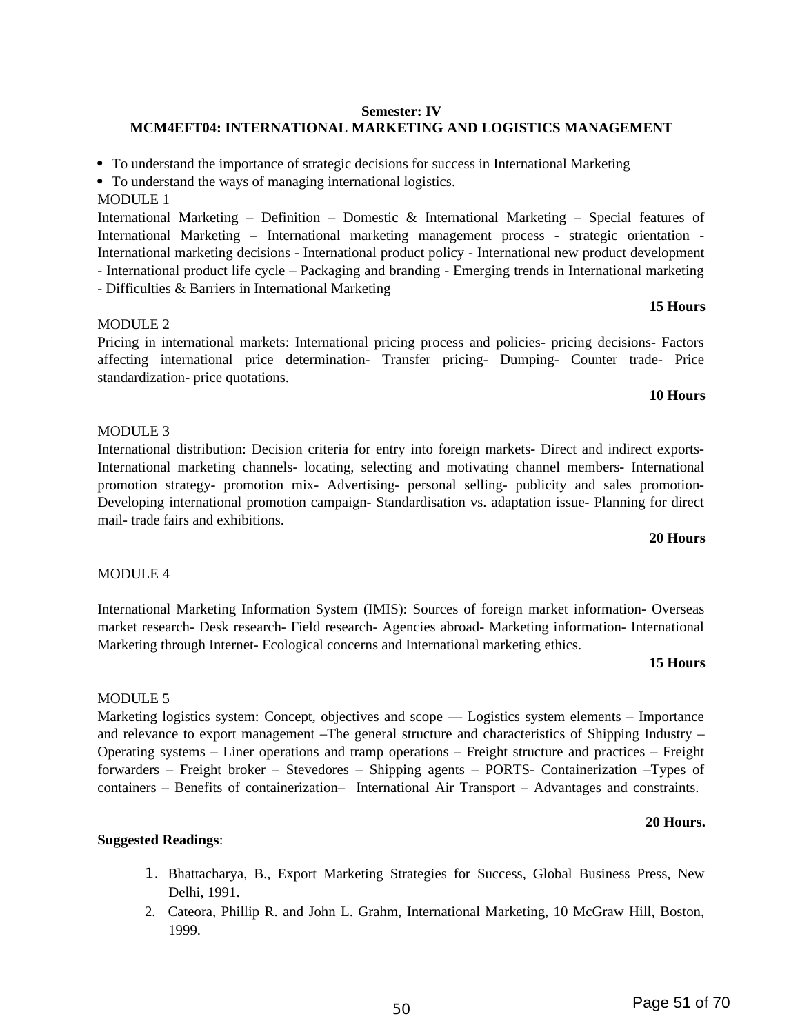## <sup>50</sup> Page 51 of 70

#### **Semester: IV**

## **MCM4EFT04: INTERNATIONAL MARKETING AND LOGISTICS MANAGEMENT**

To understand the importance of strategic decisions for success in International Marketing

- To understand the ways of managing international logistics.
- MODULE 1

International Marketing – Definition – Domestic & International Marketing – Special features of International Marketing – International marketing management process - strategic orientation - International marketing decisions - International product policy - International new product development - International product life cycle – Packaging and branding - Emerging trends in International marketing

- Difficulties & Barriers in International Marketing

### MODULE 2

Pricing in international markets: International pricing process and policies- pricing decisions- Factors affecting international price determination- Transfer pricing- Dumping- Counter trade- Price standardization- price quotations.

#### **10 Hours**

### MODULE 3

International distribution: Decision criteria for entry into foreign markets- Direct and indirect exports-International marketing channels- locating, selecting and motivating channel members- International promotion strategy- promotion mix- Advertising- personal selling- publicity and sales promotion-Developing international promotion campaign- Standardisation vs. adaptation issue- Planning for direct mail- trade fairs and exhibitions.

#### **20 Hours**

### MODULE 4

International Marketing Information System (IMIS): Sources of foreign market information- Overseas market research- Desk research- Field research- Agencies abroad- Marketing information- International Marketing through Internet- Ecological concerns and International marketing ethics.

#### **15 Hours**

### MODULE 5

Marketing logistics system: Concept, objectives and scope — Logistics system elements – Importance and relevance to export management –The general structure and characteristics of Shipping Industry – Operating systems – Liner operations and tramp operations – Freight structure and practices – Freight forwarders – Freight broker – Stevedores – Shipping agents – PORTS- Containerization –Types of containers – Benefits of containerization– International Air Transport – Advantages and constraints.

#### **20 Hours.**

### **Suggested Readings**:

- 1. Bhattacharya, B., Export Marketing Strategies for Success, Global Business Press, New Delhi, 1991.
- 2. Cateora, Phillip R. and John L. Grahm, International Marketing, 10 McGraw Hill, Boston, 1999.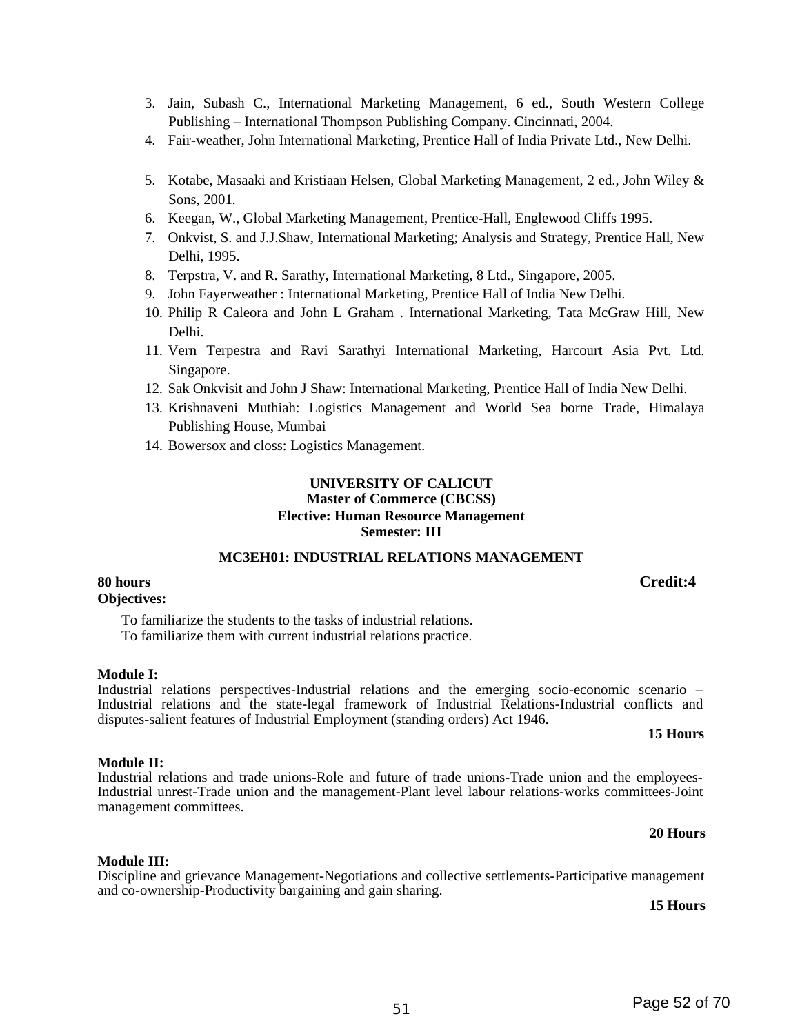- 3. Jain, Subash C., International Marketing Management, 6 ed., South Western College Publishing – International Thompson Publishing Company. Cincinnati, 2004.
- 4. Fair-weather, John International Marketing, Prentice Hall of India Private Ltd., New Delhi.
- 5. Kotabe, Masaaki and Kristiaan Helsen, Global Marketing Management, 2 ed., John Wiley & Sons, 2001.
- 6. Keegan, W., Global Marketing Management, Prentice-Hall, Englewood Cliffs 1995.
- 7. Onkvist, S. and J.J.Shaw, International Marketing; Analysis and Strategy, Prentice Hall, New Delhi, 1995.
- 8. Terpstra, V. and R. Sarathy, International Marketing, 8 Ltd., Singapore, 2005.
- 9. John Fayerweather : International Marketing, Prentice Hall of India New Delhi.
- 10. Philip R Caleora and John L Graham . International Marketing, Tata McGraw Hill, New Delhi.
- 11. Vern Terpestra and Ravi Sarathyi International Marketing, Harcourt Asia Pvt. Ltd. Singapore.
- 12. Sak Onkvisit and John J Shaw: International Marketing, Prentice Hall of India New Delhi.
- 13. Krishnaveni Muthiah: Logistics Management and World Sea borne Trade, Himalaya Publishing House, Mumbai
- 14. Bowersox and closs: Logistics Management.

#### **UNIVERSITY OF CALICUT Master of Commerce (CBCSS) Elective: Human Resource Management Semester: III**

#### **MC3EH01: INDUSTRIAL RELATIONS MANAGEMENT**

#### **80 hours Credit:4 Objectives:**

To familiarize the students to the tasks of industrial relations.

To familiarize them with current industrial relations practice.

#### **Module I:**

Industrial relations perspectives-Industrial relations and the emerging socio-economic scenario – Industrial relations and the state-legal framework of Industrial Relations-Industrial conflicts and disputes-salient features of Industrial Employment (standing orders) Act 1946.

#### **15 Hours**

### **Module II:**

#### Industrial relations and trade unions-Role and future of trade unions-Trade union and the employees-Industrial unrest-Trade union and the management-Plant level labour relations-works committees-Joint management committees.

#### **20 Hours**

### **Module III:**

Discipline and grievance Management-Negotiations and collective settlements-Participative management and co-ownership-Productivity bargaining and gain sharing.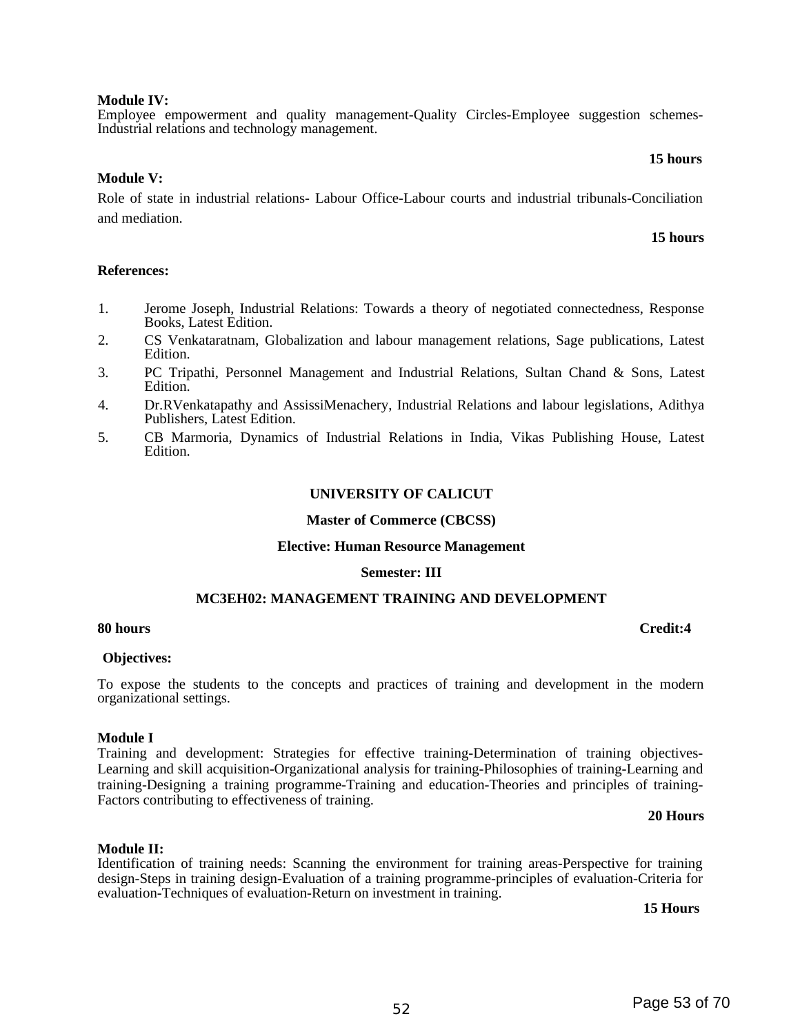#### **Module IV:**

Employee empowerment and quality management-Quality Circles-Employee suggestion schemes-Industrial relations and technology management.

#### **15 hours**

#### **Module V:**

Role of state in industrial relations- Labour Office-Labour courts and industrial tribunals-Conciliation and mediation.

#### **15 hours**

#### **References:**

- 1. Jerome Joseph, Industrial Relations: Towards a theory of negotiated connectedness, Response Books, Latest Edition.
- 2. CS Venkataratnam, Globalization and labour management relations, Sage publications, Latest Edition.
- 3. PC Tripathi, Personnel Management and Industrial Relations, Sultan Chand & Sons, Latest Edition.
- 4. Dr.RVenkatapathy and AssissiMenachery, Industrial Relations and labour legislations, Adithya Publishers, Latest Edition.
- 5. CB Marmoria, Dynamics of Industrial Relations in India, Vikas Publishing House, Latest Edition.

#### **UNIVERSITY OF CALICUT**

#### **Master of Commerce (CBCSS)**

#### **Elective: Human Resource Management**

#### **Semester: III**

#### **MC3EH02: MANAGEMENT TRAINING AND DEVELOPMENT**

#### **80 hours Credit:4**

#### **Objectives:**

To expose the students to the concepts and practices of training and development in the modern organizational settings.

#### **Module I**

Training and development: Strategies for effective training-Determination of training objectives-Learning and skill acquisition-Organizational analysis for training-Philosophies of training-Learning and training-Designing a training programme-Training and education-Theories and principles of training-Factors contributing to effectiveness of training.

#### **20 Hours**

#### **Module II:**

Identification of training needs: Scanning the environment for training areas-Perspective for training design-Steps in training design-Evaluation of a training programme-principles of evaluation-Criteria for evaluation-Techniques of evaluation-Return on investment in training.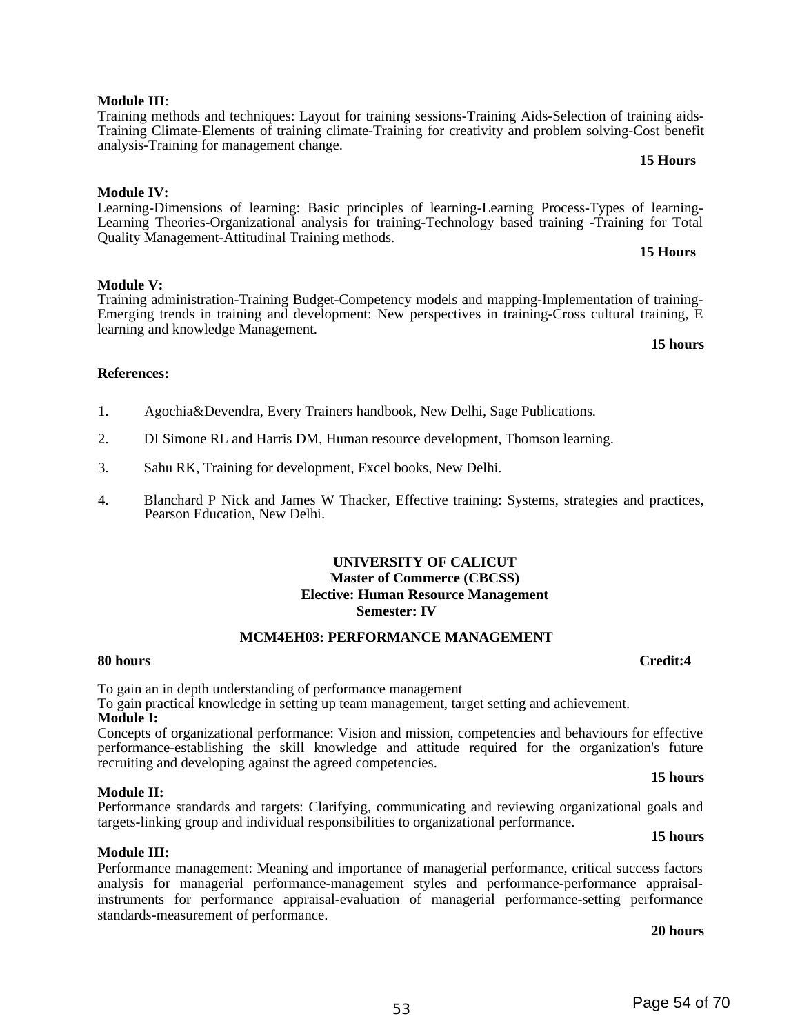## **Module III:**

Performance management: Meaning and importance of managerial performance, critical success factors analysis for managerial performance-management styles and performance-performance appraisalinstruments for performance appraisal-evaluation of managerial performance-setting performance standards-measurement of performance.

**20 hours**

### **15 hours**

**15 hours**

**15 hours**

## **Module III**:

#### Training methods and techniques: Layout for training sessions-Training Aids-Selection of training aids-Training Climate-Elements of training climate-Training for creativity and problem solving-Cost benefit analysis-Training for management change.  **15 Hours**

## **Module IV:**

Learning-Dimensions of learning: Basic principles of learning-Learning Process-Types of learning-Learning Theories-Organizational analysis for training-Technology based training -Training for Total Quality Management-Attitudinal Training methods.  **15 Hours**

### **Module V:**

Training administration-Training Budget-Competency models and mapping-Implementation of training-Emerging trends in training and development: New perspectives in training-Cross cultural training, E learning and knowledge Management.

### **References:**

- 1. Agochia&Devendra, Every Trainers handbook, New Delhi, Sage Publications.
- 2. DI Simone RL and Harris DM, Human resource development, Thomson learning.
- 3. Sahu RK, Training for development, Excel books, New Delhi.
- 4. Blanchard P Nick and James W Thacker, Effective training: Systems, strategies and practices, Pearson Education, New Delhi.

### **UNIVERSITY OF CALICUT Master of Commerce (CBCSS) Elective: Human Resource Management Semester: IV**

#### **MCM4EH03: PERFORMANCE MANAGEMENT**

### **80 hours Credit:4**

To gain an in depth understanding of performance management

To gain practical knowledge in setting up team management, target setting and achievement.

## **Module I:**

Concepts of organizational performance: Vision and mission, competencies and behaviours for effective performance-establishing the skill knowledge and attitude required for the organization's future recruiting and developing against the agreed competencies.

#### **Module II:**  Performance standards and targets: Clarifying, communicating and reviewing organizational goals and

targets-linking group and individual responsibilities to organizational performance.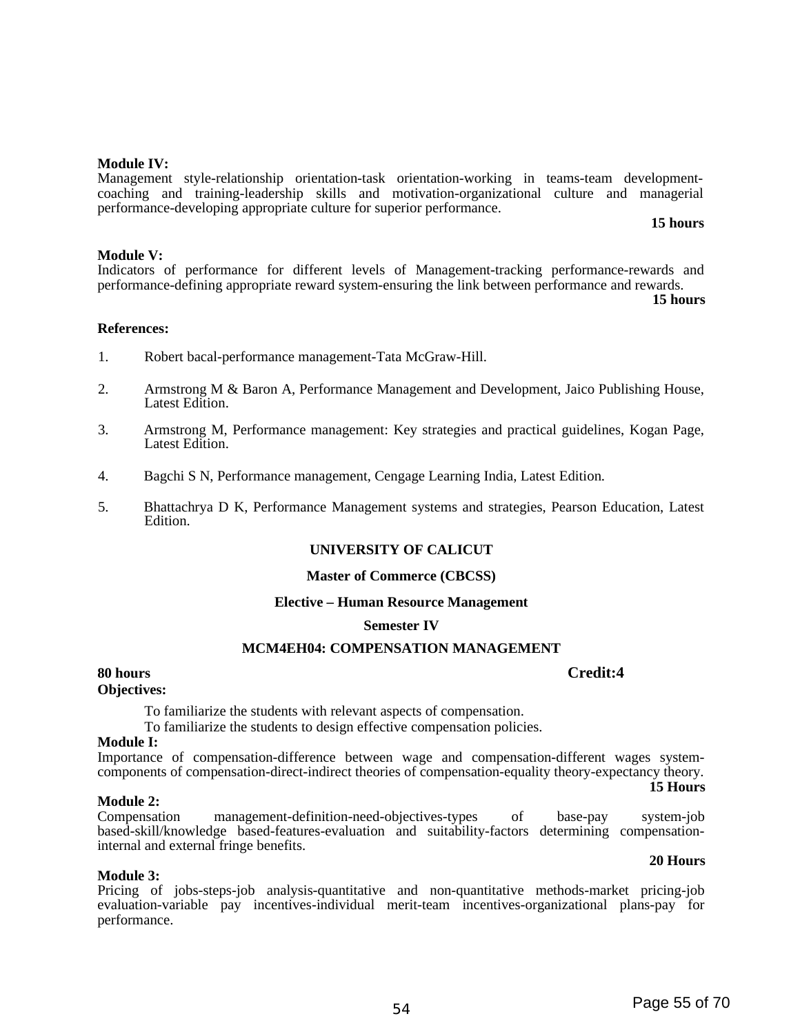#### **Module IV:**

Management style-relationship orientation-task orientation-working in teams-team developmentcoaching and training-leadership skills and motivation-organizational culture and managerial performance-developing appropriate culture for superior performance.

**15 hours**

#### **Module V:**

Indicators of performance for different levels of Management-tracking performance-rewards and performance-defining appropriate reward system-ensuring the link between performance and rewards.

**15 hours**

#### **References:**

- 1. Robert bacal-performance management-Tata McGraw-Hill.
- 2. Armstrong M & Baron A, Performance Management and Development, Jaico Publishing House, Latest Edition.
- 3. Armstrong M, Performance management: Key strategies and practical guidelines, Kogan Page, Latest Edition.
- 4. Bagchi S N, Performance management, Cengage Learning India, Latest Edition.
- 5. Bhattachrya D K, Performance Management systems and strategies, Pearson Education, Latest Edition.

#### **UNIVERSITY OF CALICUT**

#### **Master of Commerce (CBCSS)**

#### **Elective – Human Resource Management**

#### **Semester IV**

#### **MCM4EH04: COMPENSATION MANAGEMENT**

## **80 hours Credit:4**

#### **Objectives:**

To familiarize the students with relevant aspects of compensation.

To familiarize the students to design effective compensation policies.

#### **Module I:**

Importance of compensation-difference between wage and compensation-different wages systemcomponents of compensation-direct-indirect theories of compensation-equality theory-expectancy theory. **15 Hours**

#### **Module 2:**

Compensation management-definition-need-objectives-types of base-pay system-job based-skill/knowledge based-features-evaluation and suitability-factors determining compensationinternal and external fringe benefits.

#### **Module 3:**

Pricing of jobs-steps-job analysis-quantitative and non-quantitative methods-market pricing-job evaluation-variable pay incentives-individual merit-team incentives-organizational plans-pay for performance.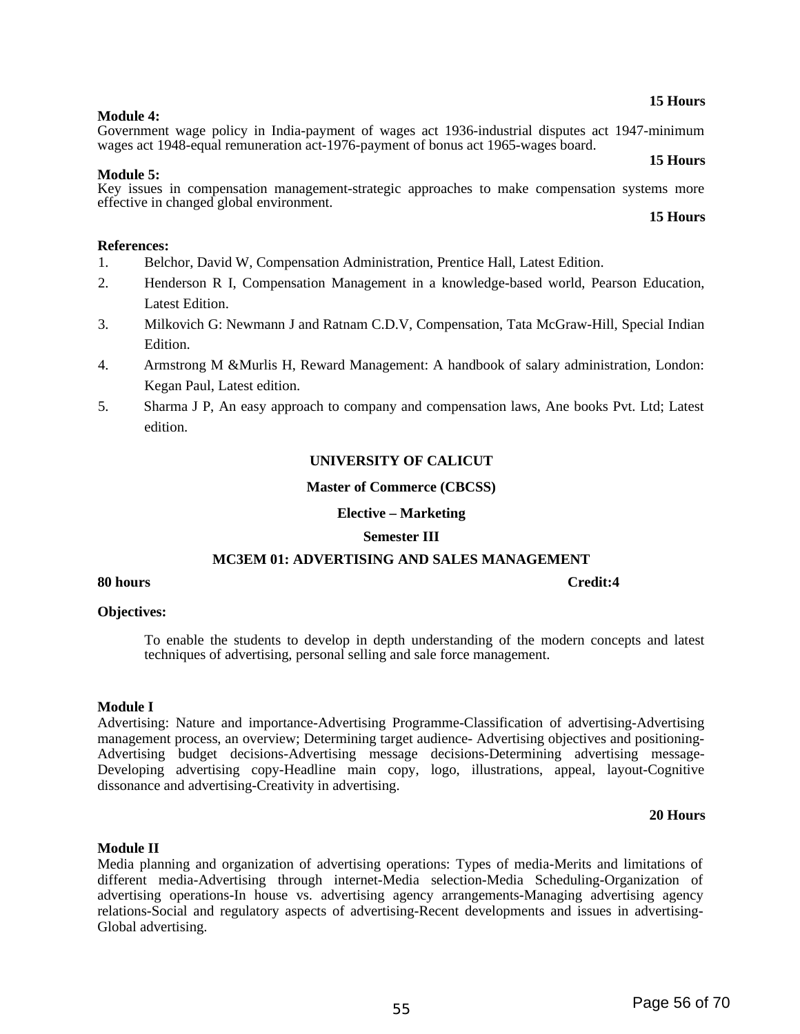#### **15 Hours**

#### **Module 4:**  Government wage policy in India-payment of wages act 1936-industrial disputes act 1947-minimum wages act 1948-equal remuneration act-1976-payment of bonus act 1965-wages board.

#### **15 Hours**

#### **Module 5:**

Key issues in compensation management-strategic approaches to make compensation systems more effective in changed global environment.

#### **15 Hours**

#### **References:**

- 1. Belchor, David W, Compensation Administration, Prentice Hall, Latest Edition.
- 2. Henderson R I, Compensation Management in a knowledge-based world, Pearson Education, Latest Edition.
- 3. Milkovich G: Newmann J and Ratnam C.D.V, Compensation, Tata McGraw-Hill, Special Indian Edition.
- 4. Armstrong M &Murlis H, Reward Management: A handbook of salary administration, London: Kegan Paul, Latest edition.
- 5. Sharma J P, An easy approach to company and compensation laws, Ane books Pvt. Ltd; Latest edition.

#### **UNIVERSITY OF CALICUT**

#### **Master of Commerce (CBCSS)**

#### **Elective – Marketing**

#### **Semester III**

### **MC3EM 01: ADVERTISING AND SALES MANAGEMENT**

#### **80 hours Credit:4**

#### **Objectives:**

To enable the students to develop in depth understanding of the modern concepts and latest techniques of advertising, personal selling and sale force management.

#### **Module I**

Advertising: Nature and importance-Advertising Programme-Classification of advertising-Advertising management process, an overview; Determining target audience- Advertising objectives and positioning-Advertising budget decisions-Advertising message decisions-Determining advertising message-Developing advertising copy-Headline main copy, logo, illustrations, appeal, layout-Cognitive dissonance and advertising-Creativity in advertising.

#### **20 Hours**

#### **Module II**

Media planning and organization of advertising operations: Types of media-Merits and limitations of different media-Advertising through internet-Media selection-Media Scheduling-Organization of advertising operations-In house vs. advertising agency arrangements-Managing advertising agency relations-Social and regulatory aspects of advertising-Recent developments and issues in advertising-Global advertising.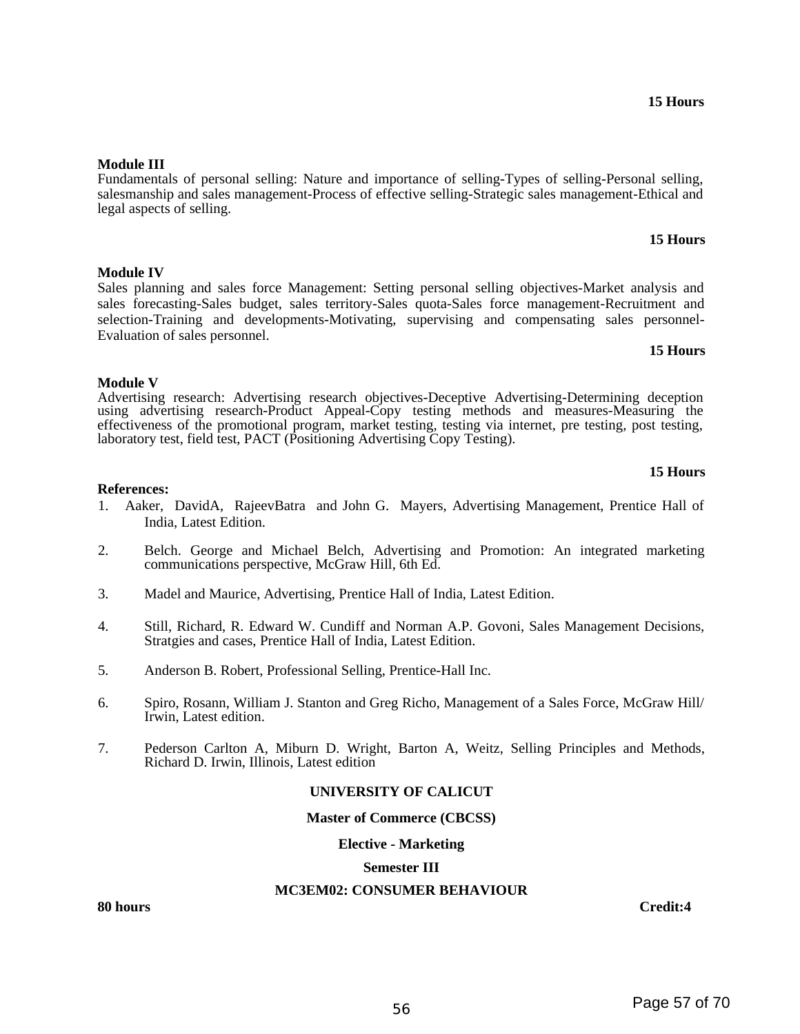#### **15 Hours**

**15 Hours**

#### **Module III**

**Module IV**

Fundamentals of personal selling: Nature and importance of selling-Types of selling-Personal selling, salesmanship and sales management-Process of effective selling-Strategic sales management-Ethical and legal aspects of selling.

Sales planning and sales force Management: Setting personal selling objectives-Market analysis and sales forecasting-Sales budget, sales territory-Sales quota-Sales force management-Recruitment and selection-Training and developments-Motivating, supervising and compensating sales personnel-Evaluation of sales personnel.

#### **Module V**

Advertising research: Advertising research objectives-Deceptive Advertising-Determining deception using advertising research-Product Appeal-Copy testing methods and measures-Measuring the effectiveness of the promotional program, market testing, testing via internet, pre testing, post testing, laboratory test, field test, PACT (Positioning Advertising Copy Testing).

#### **15 Hours**

#### **References:**

- 1. Aaker, DavidA, RajeevBatra and John G. Mayers, Advertising Management, Prentice Hall of India, Latest Edition.
- 2. Belch. George and Michael Belch, Advertising and Promotion: An integrated marketing communications perspective, McGraw Hill, 6th Ed.
- 3. Madel and Maurice, Advertising, Prentice Hall of India, Latest Edition.
- 4. Still, Richard, R. Edward W. Cundiff and Norman A.P. Govoni, Sales Management Decisions, Stratgies and cases, Prentice Hall of India, Latest Edition.
- 5. Anderson B. Robert, Professional Selling, Prentice-Hall Inc.
- 6. Spiro, Rosann, William J. Stanton and Greg Richo, Management of a Sales Force, McGraw Hill/ Irwin, Latest edition.
- 7. Pederson Carlton A, Miburn D. Wright, Barton A, Weitz, Selling Principles and Methods, Richard D. Irwin, Illinois, Latest edition

#### **UNIVERSITY OF CALICUT**

#### **Master of Commerce (CBCSS)**

#### **Elective - Marketing**

#### **Semester III**

#### **MC3EM02: CONSUMER BEHAVIOUR**

**80 hours Credit:4**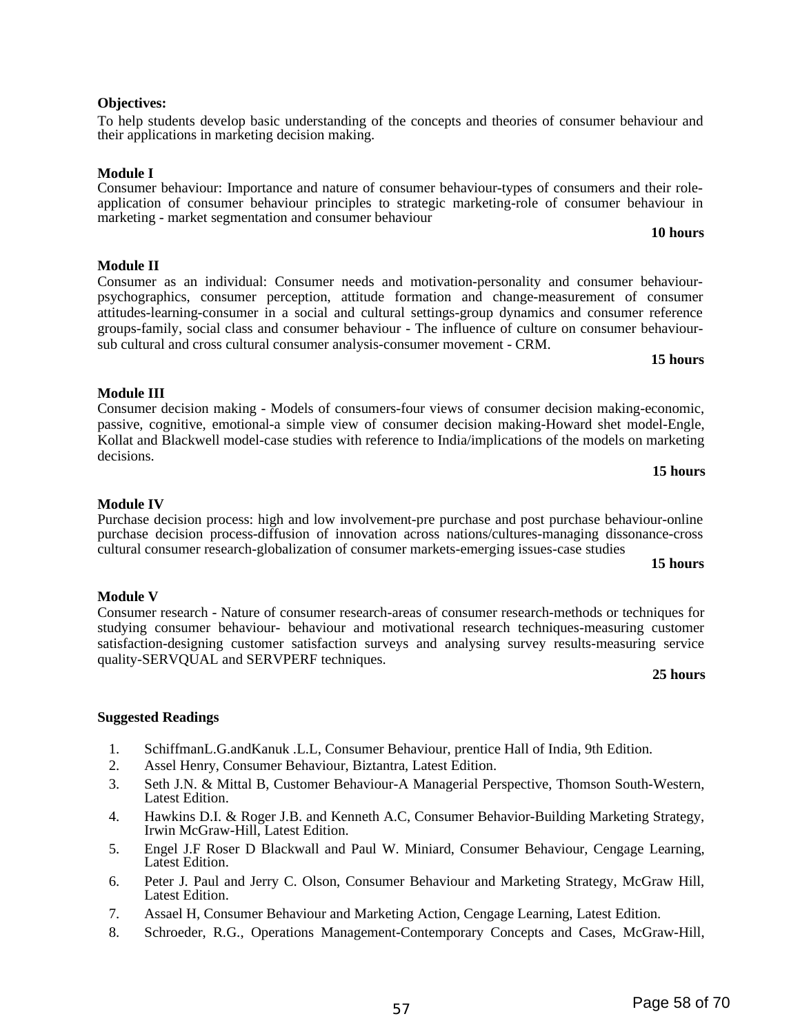sub cultural and cross cultural consumer analysis-consumer movement - CRM.

Consumer decision making - Models of consumers-four views of consumer decision making-economic, passive, cognitive, emotional-a simple view of consumer decision making-Howard shet model-Engle, Kollat and Blackwell model-case studies with reference to India/implications of the models on marketing decisions.

#### **Module IV**

**Module III** 

Purchase decision process: high and low involvement-pre purchase and post purchase behaviour-online purchase decision process-diffusion of innovation across nations/cultures-managing dissonance-cross cultural consumer research-globalization of consumer markets-emerging issues-case studies

#### **15 hours**

## **Module V**

Consumer research - Nature of consumer research-areas of consumer research-methods or techniques for studying consumer behaviour- behaviour and motivational research techniques-measuring customer satisfaction-designing customer satisfaction surveys and analysing survey results-measuring service quality-SERVQUAL and SERVPERF techniques.

## **Suggested Readings**

- 1. SchiffmanL.G.andKanuk .L.L, Consumer Behaviour, prentice Hall of India, 9th Edition.
- 2. Assel Henry, Consumer Behaviour, Biztantra, Latest Edition.
- 3. Seth J.N. & Mittal B, Customer Behaviour-A Managerial Perspective, Thomson South-Western, Latest Edition.
- 4. Hawkins D.I. & Roger J.B. and Kenneth A.C, Consumer Behavior-Building Marketing Strategy, Irwin McGraw-Hill, Latest Edition.
- 5. Engel J.F Roser D Blackwall and Paul W. Miniard, Consumer Behaviour, Cengage Learning, Latest Edition.
- 6. Peter J. Paul and Jerry C. Olson, Consumer Behaviour and Marketing Strategy, McGraw Hill, Latest Edition.
- 7. Assael H, Consumer Behaviour and Marketing Action, Cengage Learning, Latest Edition.
- 8. Schroeder, R.G., Operations Management-Contemporary Concepts and Cases, McGraw-Hill,

#### **Objectives:**

**Module II** 

To help students develop basic understanding of the concepts and theories of consumer behaviour and their applications in marketing decision making.

**Module I** 

Consumer behaviour: Importance and nature of consumer behaviour-types of consumers and their roleapplication of consumer behaviour principles to strategic marketing-role of consumer behaviour in marketing - market segmentation and consumer behaviour

Consumer as an individual: Consumer needs and motivation-personality and consumer behaviourpsychographics, consumer perception, attitude formation and change-measurement of consumer attitudes-learning-consumer in a social and cultural settings-group dynamics and consumer reference groups-family, social class and consumer behaviour - The influence of culture on consumer behaviour-

**10 hours**

**15 hours**

**15 hours**

#### **25 hours**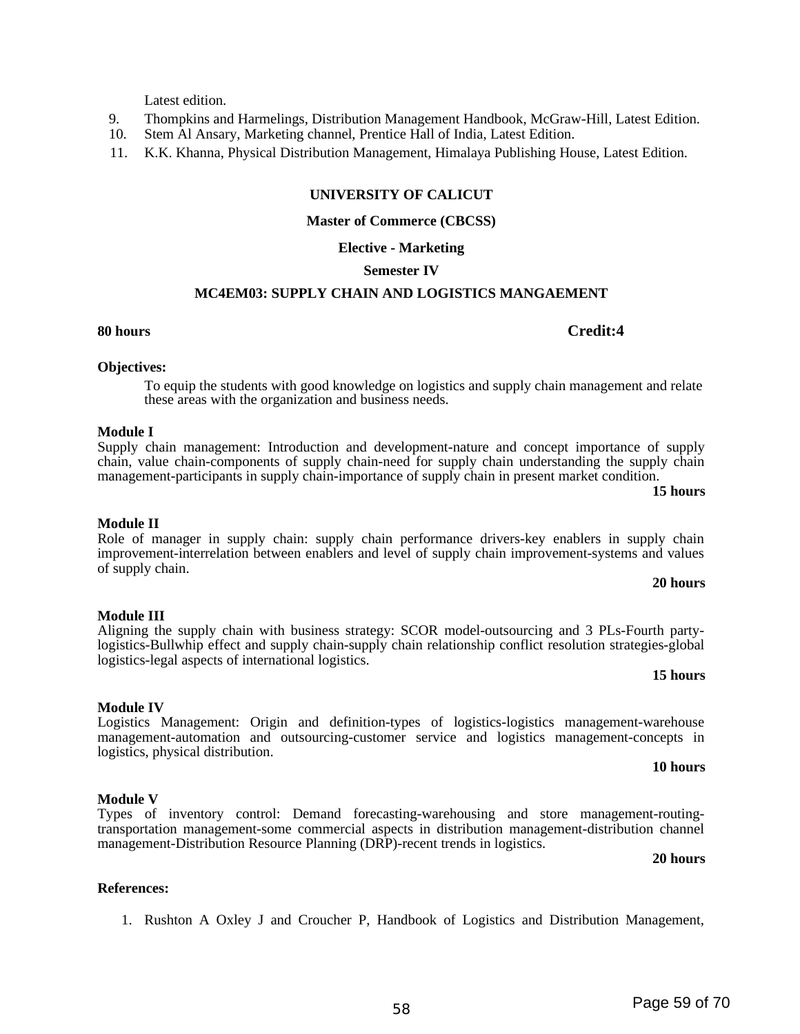#### Latest edition.

- 9. Thompkins and Harmelings, Distribution Management Handbook, McGraw-Hill, Latest Edition.
- 10. Stem Al Ansary, Marketing channel, Prentice Hall of India, Latest Edition.
- 11. K.K. Khanna, Physical Distribution Management, Himalaya Publishing House, Latest Edition.

## **UNIVERSITY OF CALICUT**

#### **Master of Commerce (CBCSS)**

#### **Elective - Marketing**

#### **Semester IV**

### **MC4EM03: SUPPLY CHAIN AND LOGISTICS MANGAEMENT**

#### **Objectives:**

To equip the students with good knowledge on logistics and supply chain management and relate these areas with the organization and business needs.

#### **Module I**

Supply chain management: Introduction and development-nature and concept importance of supply chain, value chain-components of supply chain-need for supply chain understanding the supply chain management-participants in supply chain-importance of supply chain in present market condition.

#### **15 hours**

#### **Module II**

#### Role of manager in supply chain: supply chain performance drivers-key enablers in supply chain improvement-interrelation between enablers and level of supply chain improvement-systems and values of supply chain.

#### **20 hours**

**15 hours**

#### **Module III**

Aligning the supply chain with business strategy: SCOR model-outsourcing and 3 PLs-Fourth partylogistics-Bullwhip effect and supply chain-supply chain relationship conflict resolution strategies-global logistics-legal aspects of international logistics.

#### **Module IV**

#### Logistics Management: Origin and definition-types of logistics-logistics management-warehouse management-automation and outsourcing-customer service and logistics management-concepts in logistics, physical distribution. **10 hours**

## **Module V**

#### Types of inventory control: Demand forecasting-warehousing and store management-routingtransportation management-some commercial aspects in distribution management-distribution channel management-Distribution Resource Planning (DRP)-recent trends in logistics.

**20 hours**

#### **References:**

1. Rushton A Oxley J and Croucher P, Handbook of Logistics and Distribution Management,

#### **80 hours Credit:4**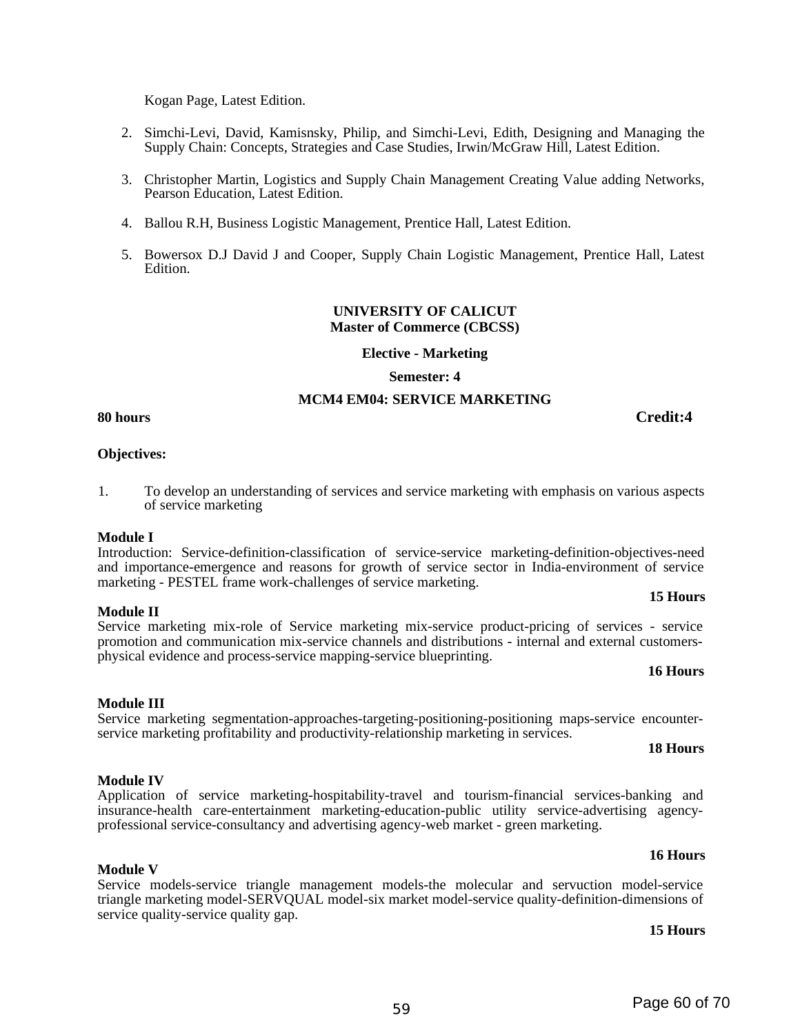Kogan Page, Latest Edition.

- 2. Simchi-Levi, David, Kamisnsky, Philip, and Simchi-Levi, Edith, Designing and Managing the Supply Chain: Concepts, Strategies and Case Studies, Irwin/McGraw Hill, Latest Edition.
- 3. Christopher Martin, Logistics and Supply Chain Management Creating Value adding Networks, Pearson Education, Latest Edition.
- 4. Ballou R.H, Business Logistic Management, Prentice Hall, Latest Edition.
- 5. Bowersox D.J David J and Cooper, Supply Chain Logistic Management, Prentice Hall, Latest Edition.

#### **UNIVERSITY OF CALICUT Master of Commerce (CBCSS)**

#### **Elective - Marketing**

**Semester: 4**

#### **MCM4 EM04: SERVICE MARKETING**

**80 hours Credit:4**

## **Objectives:**

1. To develop an understanding of services and service marketing with emphasis on various aspects of service marketing

#### **Module I**

Introduction: Service-definition-classification of service-service marketing-definition-objectives-need and importance-emergence and reasons for growth of service sector in India-environment of service marketing - PESTEL frame work-challenges of service marketing.

#### **Module II**

Service marketing mix-role of Service marketing mix-service product-pricing of services - service promotion and communication mix-service channels and distributions - internal and external customersphysical evidence and process-service mapping-service blueprinting.

#### **16 Hours**

**15 Hours**

## **Module III**

### Service marketing segmentation-approaches-targeting-positioning-positioning maps-service encounterservice marketing profitability and productivity-relationship marketing in services.

### **18 Hours**

#### **Module IV** Application of service marketing-hospitability-travel and tourism-financial services-banking and

## professional service-consultancy and advertising agency-web market - green marketing.

Service models-service triangle management models-the molecular and servuction model-service triangle marketing model-SERVQUAL model-six market model-service quality-definition-dimensions of service quality-service quality gap.

insurance-health care-entertainment marketing-education-public utility service-advertising agency-

**15 Hours**

**16 Hours**

# **Module V**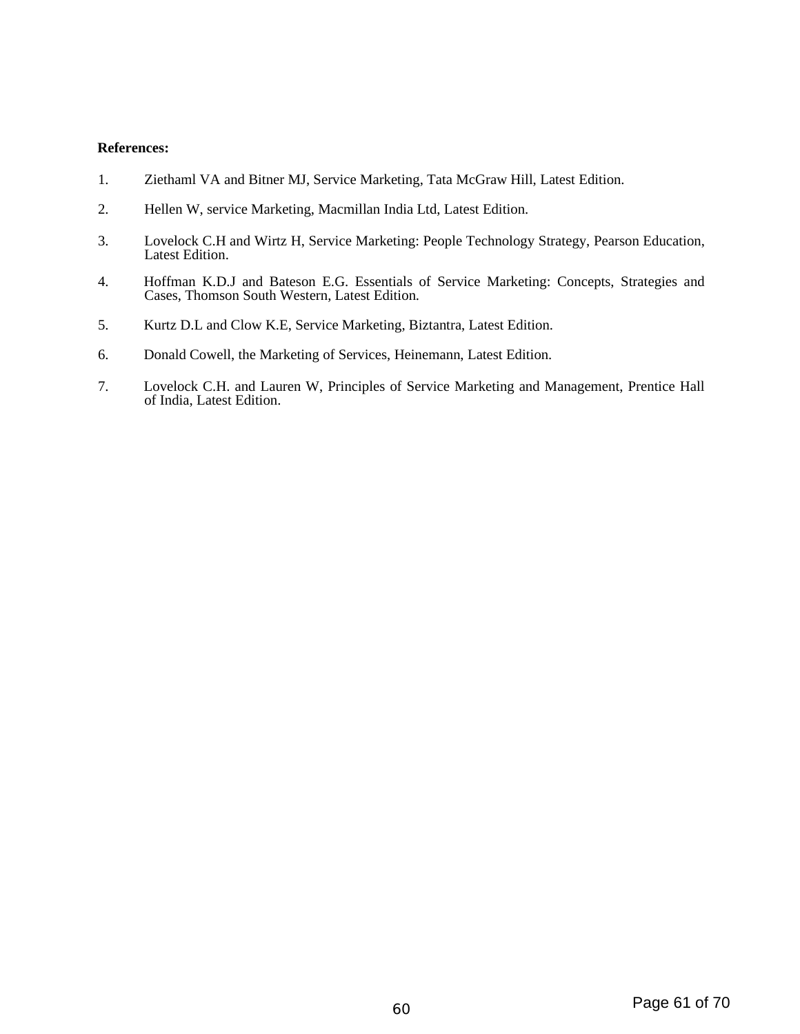#### **References:**

- 1. Ziethaml VA and Bitner MJ, Service Marketing, Tata McGraw Hill, Latest Edition.
- 2. Hellen W, service Marketing, Macmillan India Ltd, Latest Edition.
- 3. Lovelock C.H and Wirtz H, Service Marketing: People Technology Strategy, Pearson Education, Latest Edition.
- 4. Hoffman K.D.J and Bateson E.G. Essentials of Service Marketing: Concepts, Strategies and Cases, Thomson South Western, Latest Edition.
- 5. Kurtz D.L and Clow K.E, Service Marketing, Biztantra, Latest Edition.
- 6. Donald Cowell, the Marketing of Services, Heinemann, Latest Edition.
- 7. Lovelock C.H. and Lauren W, Principles of Service Marketing and Management, Prentice Hall of India, Latest Edition.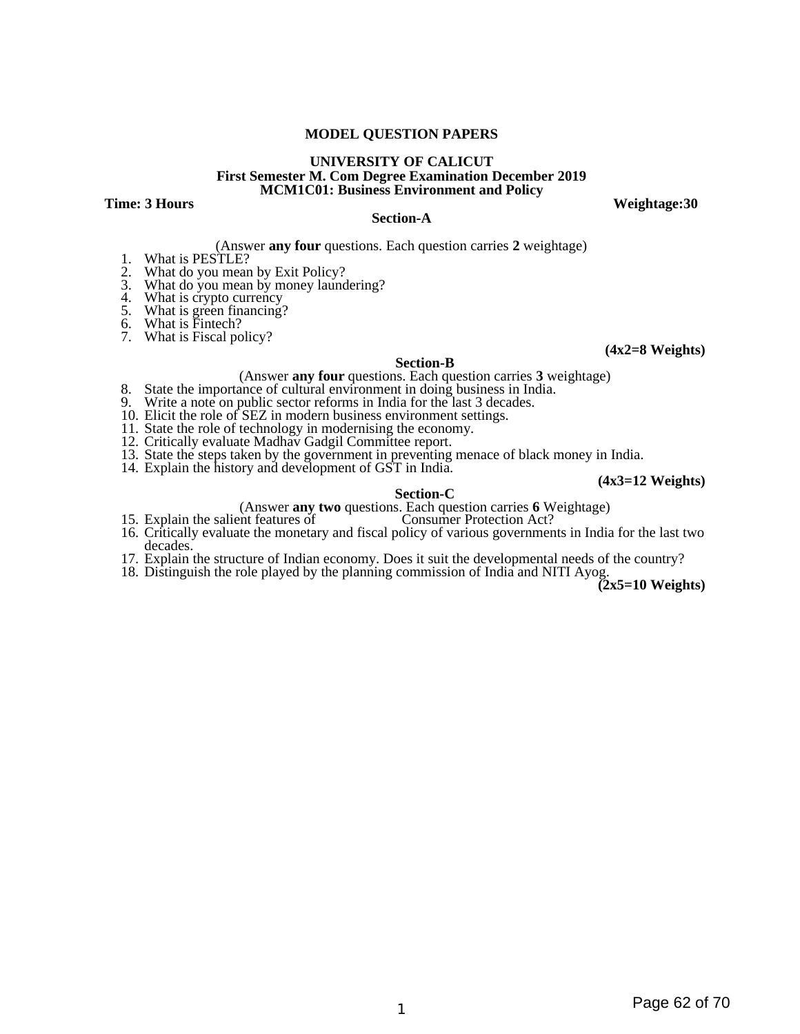#### **MODEL QUESTION PAPERS**

#### **UNIVERSITY OF CALICUT First Semester M. Com Degree Examination December 2019 MCM1C01: Business Environment and Policy**

**Time: 3 Hours Weightage:30** 

#### **Section-A**

(Answer **any four** questions. Each question carries **2** weightage)

- 1. What is PESTLE?<br>2. What do you mean
- What do you mean by Exit Policy?
- 3. What do you mean by money laundering?
- 4. What is crypto currency
- 5. What is green financing?
- 6. What is Fintech?
- 6. What is Fintecn:<br>7. What is Fiscal policy?

#### **(4x2=8 Weights)**

#### **Section-B**

- (Answer **any four** questions. Each question carries **3** weightage)
- 8. State the importance of cultural environment in doing business in India.
- 9. Write a note on public sector reforms in India for the last 3 decades.
- 10. Elicit the role of SEZ in modern business environment settings.
- 11. State the role of technology in modernising the economy.
- 12. Critically evaluate Madhav Gadgil Committee report.
- 13. State the steps taken by the government in preventing menace of black money in India.
- 14. Explain the history and development of GST in India.

**(4x3=12 Weights)**

#### **Section-C**

- (Answer **any two** questions. Each question carries **6** Weightage)
- 15. Explain the salient features of
- 16. Critically evaluate the monetary and fiscal policy of various governments in India for the last two decades.
- 17. Explain the structure of Indian economy. Does it suit the developmental needs of the country?
- 18. Distinguish the role played by the planning commission of India and NITI Ayog.

**(2x5=10 Weights)**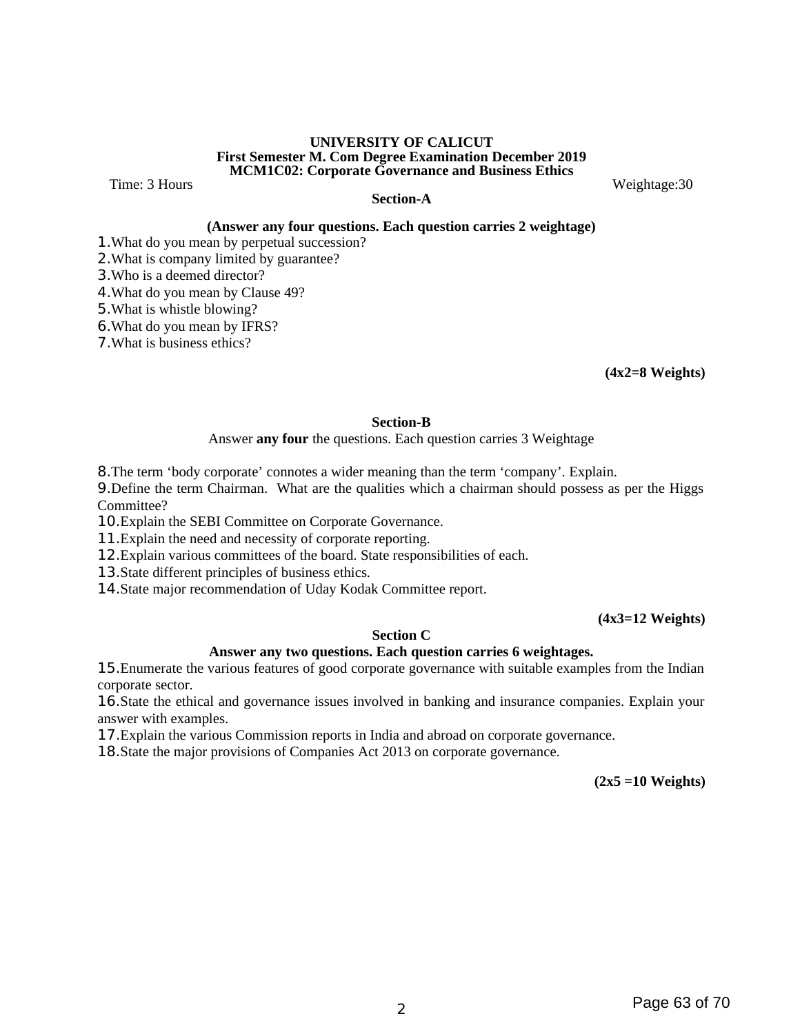#### **UNIVERSITY OF CALICUT First Semester M. Com Degree Examination December 2019 MCM1C02: Corporate Governance and Business Ethics**

Time: 3 Hours **Metallic Except Contract Contract Contract Contract Contract Contract Contract Contract Contract Contract Contract Contract Contract Contract Contract Contract Contract Contract Contract Contract Contract Co** 

#### **Section-A**

#### **(Answer any four questions. Each question carries 2 weightage)**

1.What do you mean by perpetual succession?

2.What is company limited by guarantee?

3.Who is a deemed director?

4.What do you mean by Clause 49?

5.What is whistle blowing?

6.What do you mean by IFRS?

7.What is business ethics?

**(4x2=8 Weights)**

#### **Section-B**

Answer **any four** the questions. Each question carries 3 Weightage

8.The term 'body corporate' connotes a wider meaning than the term 'company'. Explain.

9.Define the term Chairman. What are the qualities which a chairman should possess as per the Higgs Committee?

10.Explain the SEBI Committee on Corporate Governance.

11.Explain the need and necessity of corporate reporting.

12.Explain various committees of the board. State responsibilities of each.

13.State different principles of business ethics.

14.State major recommendation of Uday Kodak Committee report.

#### **(4x3=12 Weights)**

#### **Section C**

#### **Answer any two questions. Each question carries 6 weightages.**

15.Enumerate the various features of good corporate governance with suitable examples from the Indian corporate sector.

16.State the ethical and governance issues involved in banking and insurance companies. Explain your answer with examples.

17.Explain the various Commission reports in India and abroad on corporate governance.

18.State the major provisions of Companies Act 2013 on corporate governance.

**(2x5 =10 Weights)**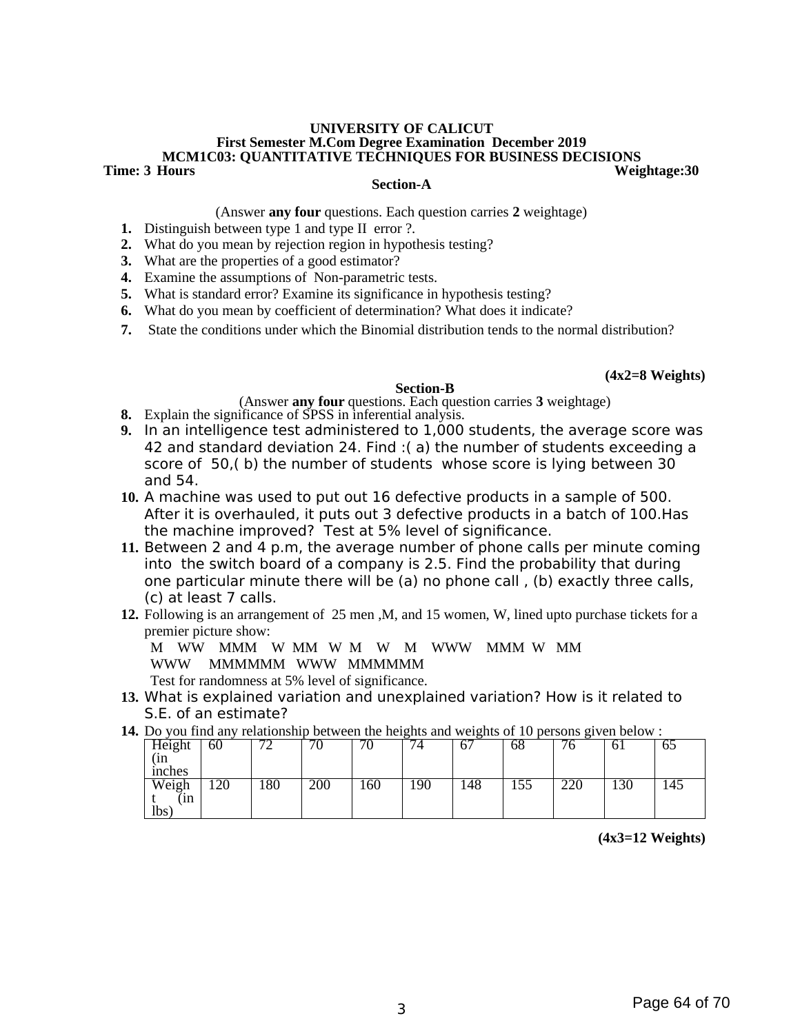#### **UNIVERSITY OF CALICUT First Semester M.Com Degree Examination December 2019 MCM1C03: QUANTITATIVE TECHNIQUES FOR BUSINESS DECISIONS Weightage:30**

#### **Section-A**

(Answer **any four** questions. Each question carries **2** weightage)

- **1.** Distinguish between type 1 and type II error ?.
- **2.** What do you mean by rejection region in hypothesis testing?
- **3.** What are the properties of a good estimator?
- **4.** Examine the assumptions of Non-parametric tests.
- **5.** What is standard error? Examine its significance in hypothesis testing?
- **6.** What do you mean by coefficient of determination? What does it indicate?
- **7.** State the conditions under which the Binomial distribution tends to the normal distribution?

#### **(4x2=8 Weights)**

#### **Section-B**

(Answer **any four** questions. Each question carries **3** weightage)

- **8.** Explain the significance of SPSS in inferential analysis.
- **9.** In an intelligence test administered to 1,000 students, the average score was 42 and standard deviation 24. Find :( a) the number of students exceeding a score of 50,( b) the number of students whose score is lying between 30 and 54.
- **10.** A machine was used to put out 16 defective products in a sample of 500. After it is overhauled, it puts out 3 defective products in a batch of 100.Has the machine improved? Test at 5% level of significance.
- **11.** Between 2 and 4 p.m, the average number of phone calls per minute coming into the switch board of a company is 2.5. Find the probability that during one particular minute there will be (a) no phone call , (b) exactly three calls, (c) at least 7 calls.
- **12.** Following is an arrangement of 25 men ,M, and 15 women, W, lined upto purchase tickets for a premier picture show:

M WW MMM W MM W M W M WWW MMM W MM WWW MMMMMM WWW MMMMMM

Test for randomness at 5% level of significance.

- **13.** What is explained variation and unexplained variation? How is it related to S.E. of an estimate?
- **14.** Do you find any relationship between the heights and weights of 10 persons given below :

| Height                         | 60          | $\overline{ }$ | $\overline{ }$ | $\blacksquare$<br>υ | −<br>4 | $\sqrt{2}$<br>b, | 68  | $\overline{\phantom{a}}$<br>v | υī  | $\sim$ $\sim$<br>כס |
|--------------------------------|-------------|----------------|----------------|---------------------|--------|------------------|-----|-------------------------------|-----|---------------------|
| (in                            |             |                |                |                     |        |                  |     |                               |     |                     |
| inches                         |             |                |                |                     |        |                  |     |                               |     |                     |
| $\overline{\text{Weight}}$ (in | 1 ገበ<br>⊥∠∪ | 180            | 200            | 160                 | 190    | 148              | 155 | ורר<br>∠∠∪                    | 130 | 145                 |
|                                |             |                |                |                     |        |                  |     |                               |     |                     |
| lbs <sup>'</sup>               |             |                |                |                     |        |                  |     |                               |     |                     |

 **(4x3=12 Weights)**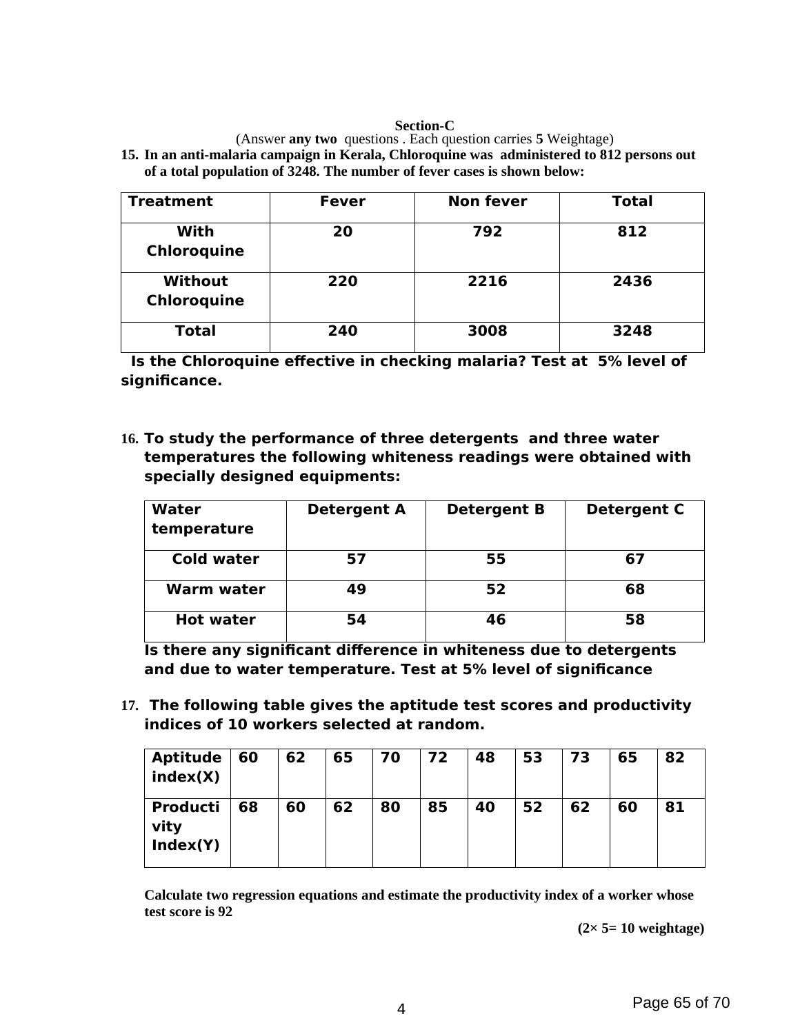#### **Section-C**

(Answer **any two** questions . Each question carries **5** Weightage)

**15. In an anti-malaria campaign in Kerala, Chloroquine was administered to 812 persons out of a total population of 3248. The number of fever cases is shown below:**

| <b>Treatment</b>              | <b>Fever</b> | <b>Non fever</b> | <b>Total</b> |
|-------------------------------|--------------|------------------|--------------|
| With<br>Chloroquine           | 20           | 792              | 812          |
| <b>Without</b><br>Chloroquine | 220          | 2216             | 2436         |
| <b>Total</b>                  | 240          | 3008             | 3248         |

 **Is the Chloroquine effective in checking malaria? Test at 5% level of significance.** 

**16. To study the performance of three detergents and three water temperatures the following whiteness readings were obtained with specially designed equipments:** 

| Water<br>temperature | <b>Detergent A</b> | <b>Detergent B</b> | <b>Detergent C</b> |
|----------------------|--------------------|--------------------|--------------------|
| <b>Cold water</b>    | 57                 | 55                 | 67                 |
| <b>Warm water</b>    | 49                 | 52                 | 68                 |
| <b>Hot water</b>     | 54                 | 46                 | 58                 |

**Is there any significant difference in whiteness due to detergents and due to water temperature. Test at 5% level of significance**

**17. The following table gives the aptitude test scores and productivity indices of 10 workers selected at random.**

| <b>Aptitude</b><br>index(X)         | 60 | 62 | 65 | 70 | 72 | 48 | 53 | 73 | 65 | 82 |
|-------------------------------------|----|----|----|----|----|----|----|----|----|----|
| <b>Producti</b><br>vity<br>Index(Y) | 68 | 60 | 62 | 80 | 85 | 40 | 52 | 62 | 60 | 81 |

**Calculate two regression equations and estimate the productivity index of a worker whose test score is 92**

 **(2× 5= 10 weightage)**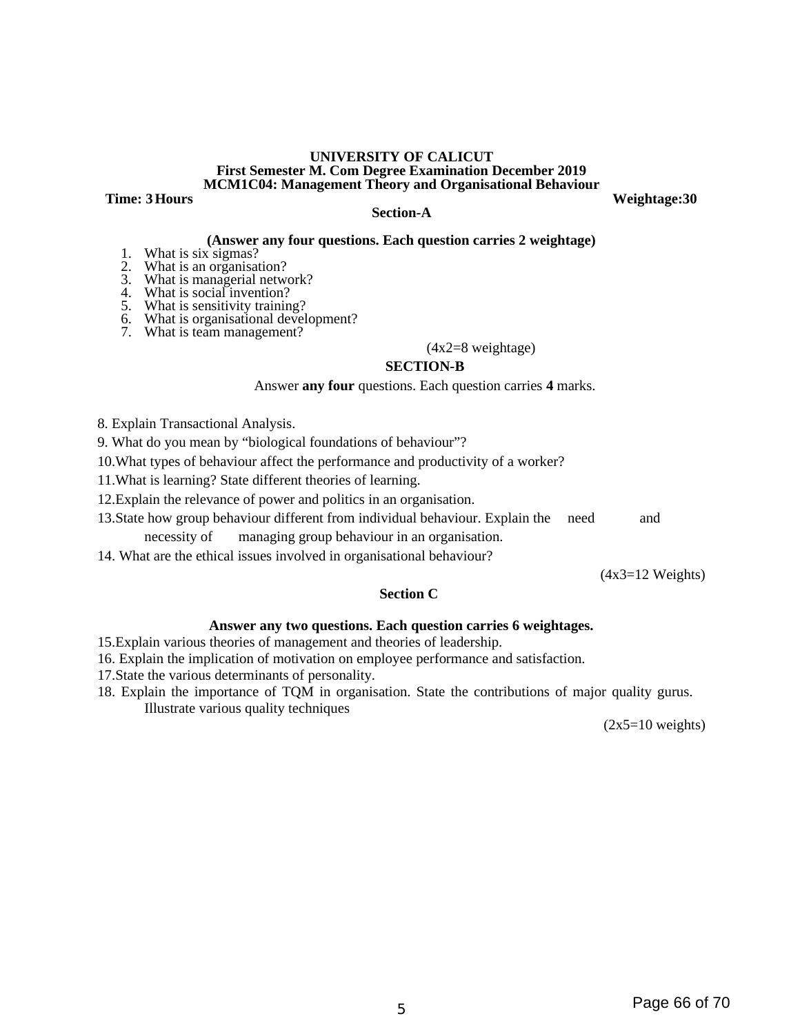#### **UNIVERSITY OF CALICUT First Semester M. Com Degree Examination December 2019 MCM1C04: Management Theory and Organisational Behaviour**

**Time: 3 Hours** Weightage: 30

#### **Section-A**

### **(Answer any four questions. Each question carries 2 weightage)**

- 1. What is six sigmas?
- 2. What is an organisation?
- 3. What is managerial network?
- 4. What is social invention?
- 5. What is sensitivity training?
- 6. What is organisational development?
- 7. What is team management?

#### (4x2=8 weightage)

#### **SECTION-B**

#### Answer **any four** questions. Each question carries **4** marks.

8. Explain Transactional Analysis.

9. What do you mean by "biological foundations of behaviour"?

10.What types of behaviour affect the performance and productivity of a worker?

11.What is learning? State different theories of learning.

12.Explain the relevance of power and politics in an organisation.

13.State how group behaviour different from individual behaviour. Explain the need and

necessity of managing group behaviour in an organisation.

14. What are the ethical issues involved in organisational behaviour?

(4x3=12 Weights)

#### **Section C**

#### **Answer any two questions. Each question carries 6 weightages.**

15.Explain various theories of management and theories of leadership.

16. Explain the implication of motivation on employee performance and satisfaction.

- 17.State the various determinants of personality.
- 18. Explain the importance of TQM in organisation. State the contributions of major quality gurus. Illustrate various quality techniques

(2x5=10 weights)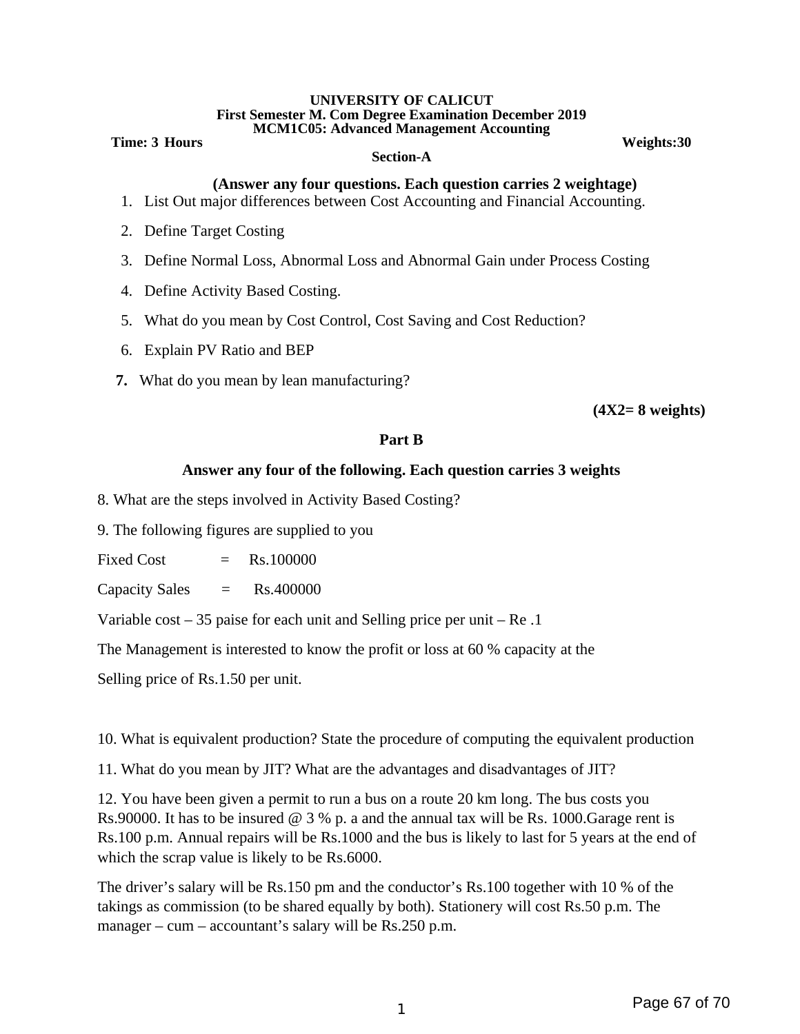#### **UNIVERSITY OF CALICUT First Semester M. Com Degree Examination December 2019 MCM1C05: Advanced Management Accounting**

#### **Time: 3 Hours Weights: 30**

#### **Section-A**

#### **(Answer any four questions. Each question carries 2 weightage)**

- 1. List Out major differences between Cost Accounting and Financial Accounting.
- 2. Define Target Costing
- 3. Define Normal Loss, Abnormal Loss and Abnormal Gain under Process Costing
- 4. Define Activity Based Costing.
- 5. What do you mean by Cost Control, Cost Saving and Cost Reduction?
- 6. Explain PV Ratio and BEP
- **7.** What do you mean by lean manufacturing?

**(4X2= 8 weights)**

### **Part B**

#### **Answer any four of the following. Each question carries 3 weights**

- 8. What are the steps involved in Activity Based Costing?
- 9. The following figures are supplied to you
- $Fixed Cost = Rs.100000$
- Capacity Sales = Rs.400000

Variable cost – 35 paise for each unit and Selling price per unit – Re .1

The Management is interested to know the profit or loss at 60 % capacity at the

Selling price of Rs.1.50 per unit.

10. What is equivalent production? State the procedure of computing the equivalent production

11. What do you mean by JIT? What are the advantages and disadvantages of JIT?

12. You have been given a permit to run a bus on a route 20 km long. The bus costs you Rs.90000. It has to be insured  $\omega$  3 % p. a and the annual tax will be Rs. 1000. Garage rent is Rs.100 p.m. Annual repairs will be Rs.1000 and the bus is likely to last for 5 years at the end of which the scrap value is likely to be Rs.6000.

The driver's salary will be Rs.150 pm and the conductor's Rs.100 together with 10 % of the takings as commission (to be shared equally by both). Stationery will cost Rs.50 p.m. The manager – cum – accountant's salary will be Rs.250 p.m.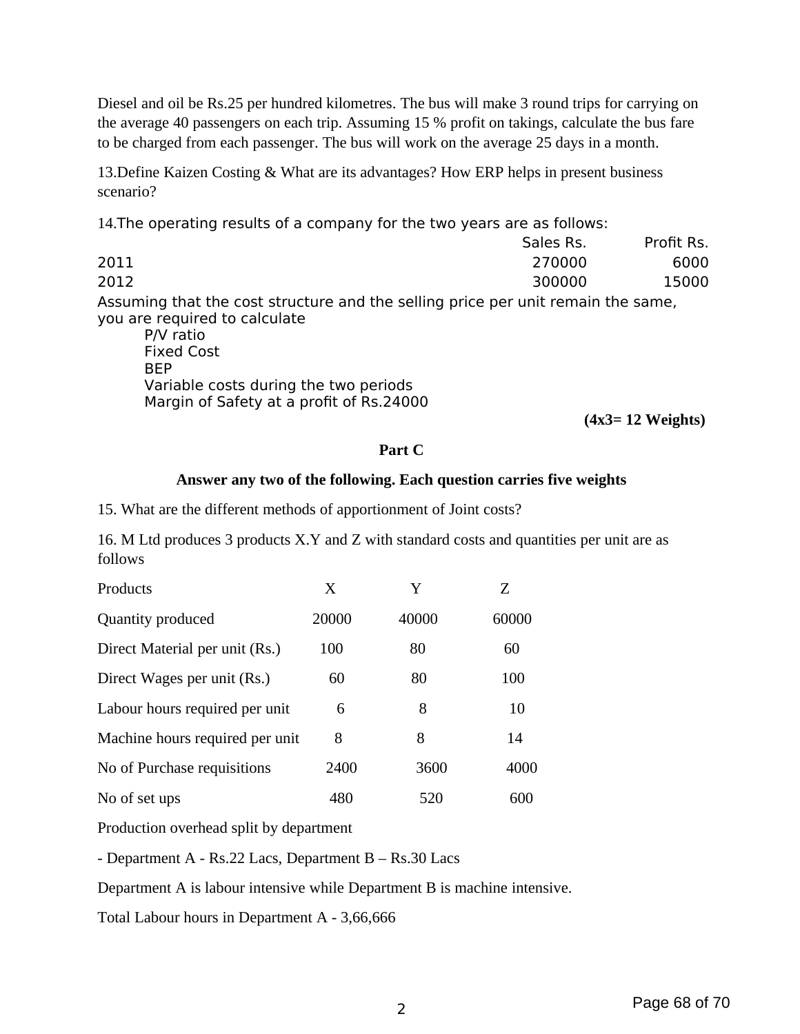Diesel and oil be Rs.25 per hundred kilometres. The bus will make 3 round trips for carrying on the average 40 passengers on each trip. Assuming 15 % profit on takings, calculate the bus fare to be charged from each passenger. The bus will work on the average 25 days in a month.

13.Define Kaizen Costing & What are its advantages? How ERP helps in present business scenario?

14.The operating results of a company for the two years are as follows:

Sales Rs. Profit Rs. 2011 270000 6000 2012 300000 15000 Assuming that the cost structure and the selling price per unit remain the same, you are required to calculate P/V ratio Fixed Cost BEP

Variable costs during the two periods Margin of Safety at a profit of Rs.24000

**(4x3= 12 Weights)**

#### **Part C**

#### **Answer any two of the following. Each question carries five weights**

15. What are the different methods of apportionment of Joint costs?

16. M Ltd produces 3 products X.Y and Z with standard costs and quantities per unit are as follows

| Products                        | X     | Y     | Ζ     |
|---------------------------------|-------|-------|-------|
| Quantity produced               | 20000 | 40000 | 60000 |
| Direct Material per unit (Rs.)  | 100   | 80    | 60    |
| Direct Wages per unit (Rs.)     | 60    | 80    | 100   |
| Labour hours required per unit  | 6     | 8     | 10    |
| Machine hours required per unit | 8     | 8     | 14    |
| No of Purchase requisitions     | 2400  | 3600  | 4000  |
| No of set ups                   | 480   | 520   | 600   |

Production overhead split by department

- Department A - Rs.22 Lacs, Department B – Rs.30 Lacs

Department A is labour intensive while Department B is machine intensive.

Total Labour hours in Department A - 3,66,666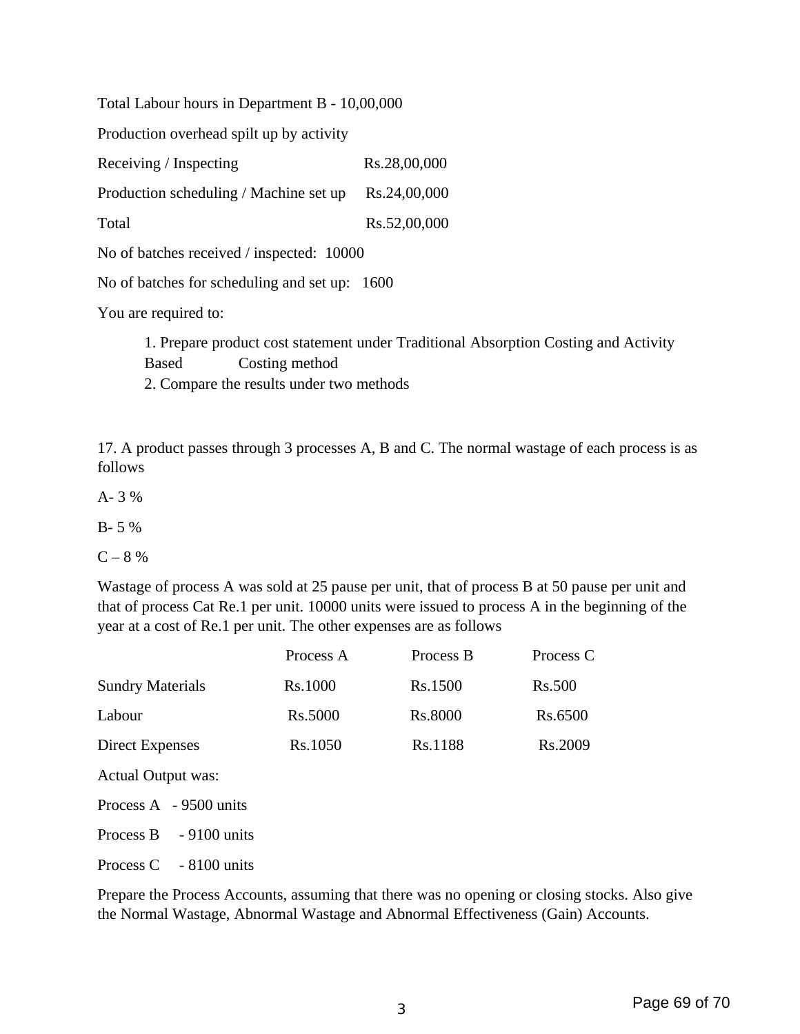Total Labour hours in Department B - 10,00,000

Production overhead spilt up by activity

Receiving / Inspecting Rs.28,00,000

Production scheduling / Machine set up Rs.24,00,000

Total Rs.52,00,000

No of batches received / inspected: 10000

No of batches for scheduling and set up: 1600

You are required to:

1. Prepare product cost statement under Traditional Absorption Costing and Activity Based Costing method 2. Compare the results under two methods

17. A product passes through 3 processes A, B and C. The normal wastage of each process is as follows

A- 3 %

B- 5 %

 $C - 8 \%$ 

Wastage of process A was sold at 25 pause per unit, that of process B at 50 pause per unit and that of process Cat Re.1 per unit. 10000 units were issued to process A in the beginning of the year at a cost of Re.1 per unit. The other expenses are as follows

|                            | Process A                 | Process B | Process C     |  |
|----------------------------|---------------------------|-----------|---------------|--|
| <b>Sundry Materials</b>    | Rs.1000                   | Rs.1500   | <b>Rs.500</b> |  |
| Labour                     | <b>Rs.5000</b><br>Rs.8000 |           | Rs.6500       |  |
| Direct Expenses            | Rs.1050                   | Rs.1188   | Rs.2009       |  |
| <b>Actual Output was:</b>  |                           |           |               |  |
| Process $A - 9500$ units   |                           |           |               |  |
| $-9100$ units<br>Process B |                           |           |               |  |
| $-8100$ units<br>Process C |                           |           |               |  |

Prepare the Process Accounts, assuming that there was no opening or closing stocks. Also give the Normal Wastage, Abnormal Wastage and Abnormal Effectiveness (Gain) Accounts.